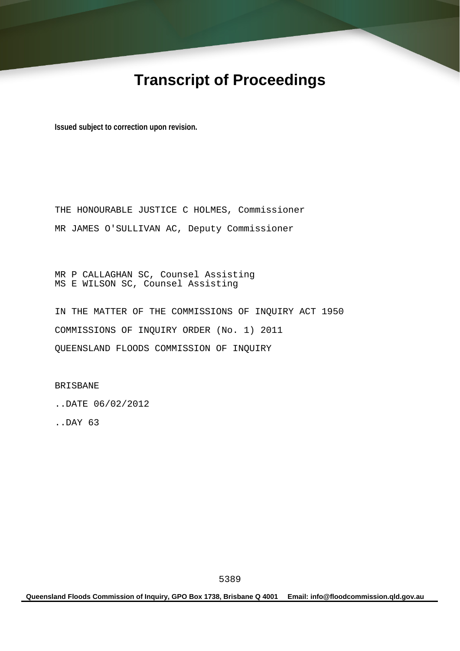# **Transcript of Proceedings**

**Issued subject to correction upon revision.** 

THE HONOURABLE JUSTICE C HOLMES, Commissioner MR JAMES O'SULLIVAN AC, Deputy Commissioner

MR P CALLAGHAN SC, Counsel Assisting MS E WILSON SC, Counsel Assisting

IN THE MATTER OF THE COMMISSIONS OF INQUIRY ACT 1950 COMMISSIONS OF INQUIRY ORDER (No. 1) 2011 QUEENSLAND FLOODS COMMISSION OF INQUIRY

BRISBANE

..DATE 06/02/2012

..DAY 63

**Queensland Floods Commission of Inquiry, GPO Box 1738, Brisbane Q 4001 Email: info@floodcommission.qld.gov.au**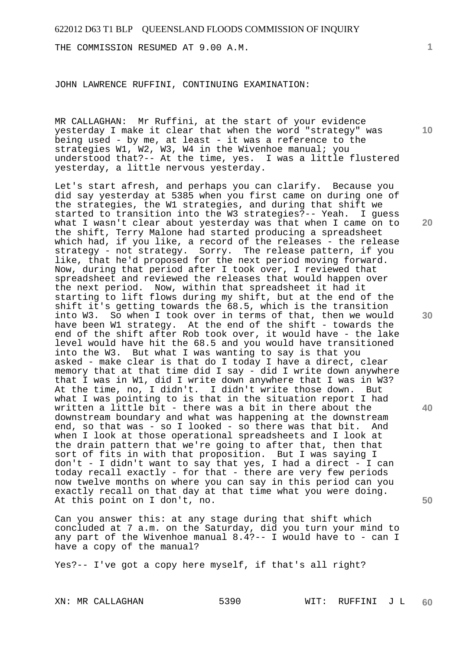THE COMMISSION RESUMED AT 9.00 A.M.

JOHN LAWRENCE RUFFINI, CONTINUING EXAMINATION:

MR CALLAGHAN: Mr Ruffini, at the start of your evidence yesterday I make it clear that when the word "strategy" was being used - by me, at least - it was a reference to the strategies W1, W2, W3, W4 in the Wivenhoe manual; you understood that?-- At the time, yes. I was a little flustered yesterday, a little nervous yesterday.

Let's start afresh, and perhaps you can clarify. Because you did say yesterday at 5385 when you first came on during one of the strategies, the W1 strategies, and during that shift we started to transition into the W3 strategies?-- Yeah. I guess what I wasn't clear about yesterday was that when I came on to the shift, Terry Malone had started producing a spreadsheet which had, if you like, a record of the releases - the release strategy - not strategy. Sorry. The release pattern, if you like, that he'd proposed for the next period moving forward. Now, during that period after I took over, I reviewed that spreadsheet and reviewed the releases that would happen over the next period. Now, within that spreadsheet it had it starting to lift flows during my shift, but at the end of the shift it's getting towards the 68.5, which is the transition into W3. So when I took over in terms of that, then we would have been W1 strategy. At the end of the shift - towards the end of the shift after Rob took over, it would have - the lake level would have hit the 68.5 and you would have transitioned into the W3. But what I was wanting to say is that you asked - make clear is that do I today I have a direct, clear memory that at that time did I say - did I write down anywhere that I was in W1, did I write down anywhere that I was in W3? At the time, no, I didn't. I didn't write those down. But what I was pointing to is that in the situation report I had written a little bit - there was a bit in there about the downstream boundary and what was happening at the downstream end, so that was - so I looked - so there was that bit. And when I look at those operational spreadsheets and I look at the drain pattern that we're going to after that, then that sort of fits in with that proposition. But I was saying I don't - I didn't want to say that yes, I had a direct - I can today recall exactly - for that - there are very few periods now twelve months on where you can say in this period can you exactly recall on that day at that time what you were doing. At this point on I don't, no.

Can you answer this: at any stage during that shift which concluded at 7 a.m. on the Saturday, did you turn your mind to any part of the Wivenhoe manual 8.4?-- I would have to - can I have a copy of the manual?

Yes?-- I've got a copy here myself, if that's all right?

**1**

**20** 

**10** 

**30** 

**40**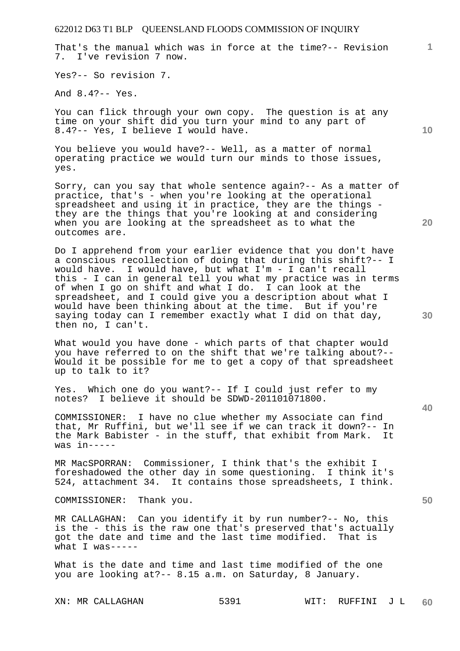That's the manual which was in force at the time?-- Revision 7. I've revision 7 now.

Yes?-- So revision 7.

And 8.4?-- Yes.

You can flick through your own copy. The question is at any time on your shift did you turn your mind to any part of 8.4?-- Yes, I believe I would have.

You believe you would have?-- Well, as a matter of normal operating practice we would turn our minds to those issues, yes.

Sorry, can you say that whole sentence again?-- As a matter of practice, that's - when you're looking at the operational spreadsheet and using it in practice, they are the things they are the things that you're looking at and considering when you are looking at the spreadsheet as to what the outcomes are.

Do I apprehend from your earlier evidence that you don't have a conscious recollection of doing that during this shift?-- I would have. I would have, but what I'm - I can't recall this - I can in general tell you what my practice was in terms of when I go on shift and what I do. I can look at the spreadsheet, and I could give you a description about what I would have been thinking about at the time. But if you're saying today can I remember exactly what I did on that day, then no, I can't.

What would you have done - which parts of that chapter would you have referred to on the shift that we're talking about?-- Would it be possible for me to get a copy of that spreadsheet up to talk to it?

Yes. Which one do you want?-- If I could just refer to my notes? I believe it should be SDWD-201101071800.

COMMISSIONER: I have no clue whether my Associate can find that, Mr Ruffini, but we'll see if we can track it down?-- In the Mark Babister - in the stuff, that exhibit from Mark. It was in-----

MR MacSPORRAN: Commissioner, I think that's the exhibit I foreshadowed the other day in some questioning. I think it's 524, attachment 34. It contains those spreadsheets, I think.

COMMISSIONER: Thank you.

MR CALLAGHAN: Can you identify it by run number?-- No, this is the - this is the raw one that's preserved that's actually got the date and time and the last time modified. That is what  $T$  was-----

What is the date and time and last time modified of the one you are looking at?-- 8.15 a.m. on Saturday, 8 January.

XN: MR CALLAGHAN 5391 WIT: RUFFINI J L **60** 

**30** 

**50** 

**10** 

**20**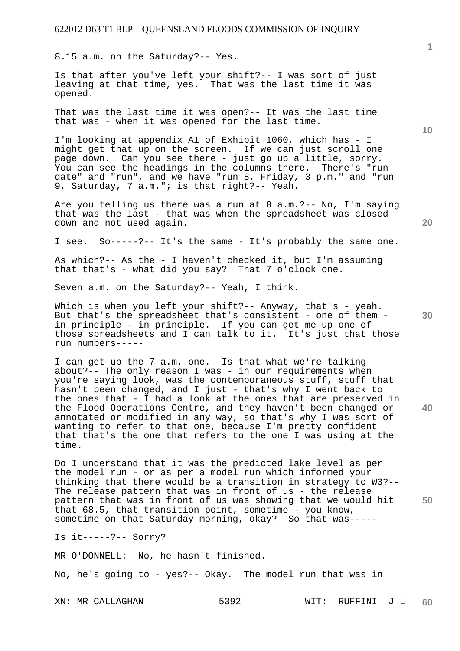8.15 a.m. on the Saturday?-- Yes.

Is that after you've left your shift?-- I was sort of just leaving at that time, yes. That was the last time it was opened.

That was the last time it was open?-- It was the last time that was - when it was opened for the last time.

I'm looking at appendix A1 of Exhibit 1060, which has - I might get that up on the screen. If we can just scroll one page down. Can you see there - just go up a little, sorry. You can see the headings in the columns there. There's "run date" and "run", and we have "run 8, Friday, 3 p.m." and "run 9, Saturday, 7 a.m."; is that right? -- Yeah.

Are you telling us there was a run at 8 a.m.?-- No, I'm saying that was the last - that was when the spreadsheet was closed down and not used again.

I see. So-----?-- It's the same - It's probably the same one.

As which?-- As the - I haven't checked it, but I'm assuming that that's - what did you say? That 7 o'clock one.

Seven a.m. on the Saturday?-- Yeah, I think.

Which is when you left your shift?-- Anyway, that's - yeah. But that's the spreadsheet that's consistent - one of them in principle - in principle. If you can get me up one of those spreadsheets and I can talk to it. It's just that those run numbers-----

I can get up the 7 a.m. one. Is that what we're talking about?-- The only reason I was - in our requirements when you're saying look, was the contemporaneous stuff, stuff that hasn't been changed, and I just - that's why I went back to the ones that  $-$  I had a look at the ones that are preserved in the Flood Operations Centre, and they haven't been changed or annotated or modified in any way, so that's why I was sort of wanting to refer to that one, because I'm pretty confident that that's the one that refers to the one I was using at the time.

**50**  Do I understand that it was the predicted lake level as per the model run - or as per a model run which informed your thinking that there would be a transition in strategy to W3?-- The release pattern that was in front of us - the release pattern that was in front of us was showing that we would hit that 68.5, that transition point, sometime - you know, sometime on that Saturday morning, okay? So that was-----

Is it-----?-- Sorry?

MR O'DONNELL: No, he hasn't finished.

No, he's going to - yes?-- Okay. The model run that was in

**10** 

**1**

**40**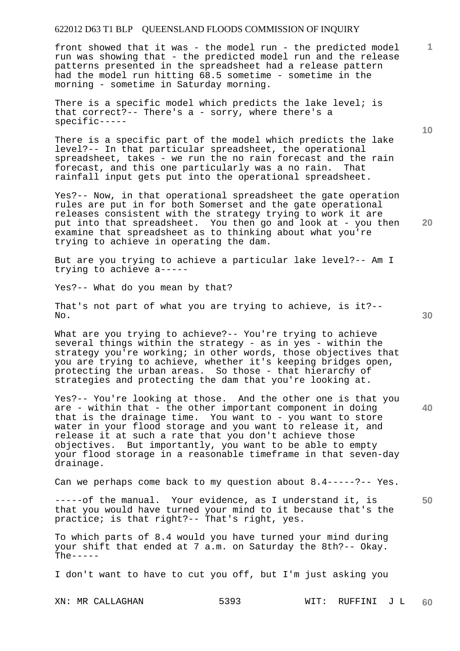front showed that it was - the model run - the predicted model run was showing that - the predicted model run and the release patterns presented in the spreadsheet had a release pattern had the model run hitting 68.5 sometime - sometime in the morning - sometime in Saturday morning.

There is a specific model which predicts the lake level; is that correct?-- There's a - sorry, where there's a specific-----

There is a specific part of the model which predicts the lake level?-- In that particular spreadsheet, the operational spreadsheet, takes - we run the no rain forecast and the rain forecast, and this one particularly was a no rain. That rainfall input gets put into the operational spreadsheet.

Yes?-- Now, in that operational spreadsheet the gate operation rules are put in for both Somerset and the gate operational releases consistent with the strategy trying to work it are put into that spreadsheet. You then go and look at - you then examine that spreadsheet as to thinking about what you're trying to achieve in operating the dam.

But are you trying to achieve a particular lake level?-- Am I trying to achieve a-----

Yes?-- What do you mean by that?

That's not part of what you are trying to achieve, is it?-- No.

What are you trying to achieve?-- You're trying to achieve several things within the strategy - as in yes - within the strategy you're working; in other words, those objectives that you are trying to achieve, whether it's keeping bridges open, protecting the urban areas. So those - that hierarchy of strategies and protecting the dam that you're looking at.

Yes?-- You're looking at those. And the other one is that you are - within that - the other important component in doing that is the drainage time. You want to - you want to store water in your flood storage and you want to release it, and release it at such a rate that you don't achieve those objectives. But importantly, you want to be able to empty your flood storage in a reasonable timeframe in that seven-day drainage.

Can we perhaps come back to my question about  $8.4---?---$  Yes.

-----of the manual. Your evidence, as I understand it, is that you would have turned your mind to it because that's the practice; is that right?-- That's right, yes.

To which parts of 8.4 would you have turned your mind during your shift that ended at 7 a.m. on Saturday the 8th?-- Okay.  $The  $-$$ 

I don't want to have to cut you off, but I'm just asking you

XN: MR CALLAGHAN 5393 WIT: RUFFINI J L **60** 

**30** 

**20** 

**50** 

**10**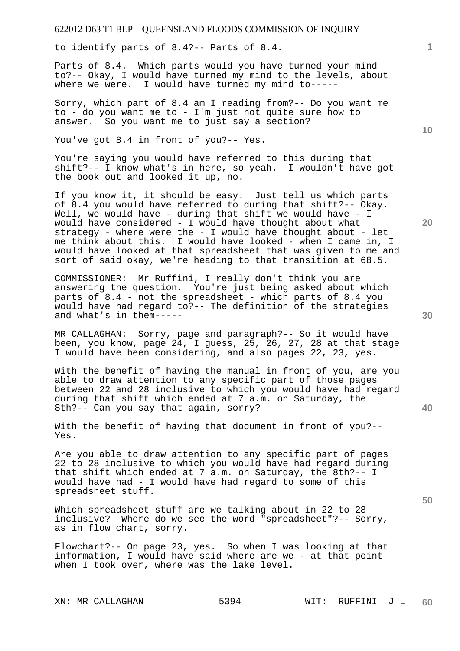to identify parts of 8.4?-- Parts of 8.4.

Parts of 8.4. Which parts would you have turned your mind to?-- Okay, I would have turned my mind to the levels, about where we were. I would have turned my mind to-----

Sorry, which part of 8.4 am I reading from?-- Do you want me to - do you want me to - I'm just not quite sure how to answer. So you want me to just say a section?

You've got 8.4 in front of you?-- Yes.

You're saying you would have referred to this during that shift?-- I know what's in here, so yeah. I wouldn't have got the book out and looked it up, no.

If you know it, it should be easy. Just tell us which parts of 8.4 you would have referred to during that shift?-- Okay. Well, we would have - during that shift we would have - I would have considered - I would have thought about what strategy - where were the - I would have thought about - let me think about this. I would have looked - when I came in, I would have looked at that spreadsheet that was given to me and sort of said okay, we're heading to that transition at 68.5.

COMMISSIONER: Mr Ruffini, I really don't think you are answering the question. You're just being asked about which parts of 8.4 - not the spreadsheet - which parts of 8.4 you would have had regard to?-- The definition of the strategies and what's in them-----

MR CALLAGHAN: Sorry, page and paragraph?-- So it would have been, you know, page 24, I guess, 25, 26, 27, 28 at that stage I would have been considering, and also pages 22, 23, yes.

With the benefit of having the manual in front of you, are you able to draw attention to any specific part of those pages between 22 and 28 inclusive to which you would have had regard during that shift which ended at 7 a.m. on Saturday, the 8th?-- Can you say that again, sorry?

With the benefit of having that document in front of you?-- Yes.

Are you able to draw attention to any specific part of pages 22 to 28 inclusive to which you would have had regard during that shift which ended at 7 a.m. on Saturday, the 8th?-- I would have had - I would have had regard to some of this spreadsheet stuff.

Which spreadsheet stuff are we talking about in 22 to 28 inclusive? Where do we see the word "spreadsheet"?-- Sorry, as in flow chart, sorry.

Flowchart?-- On page 23, yes. So when I was looking at that information, I would have said where are we - at that point when I took over, where was the lake level.

**30** 

**20** 

**50** 

**40** 

**10**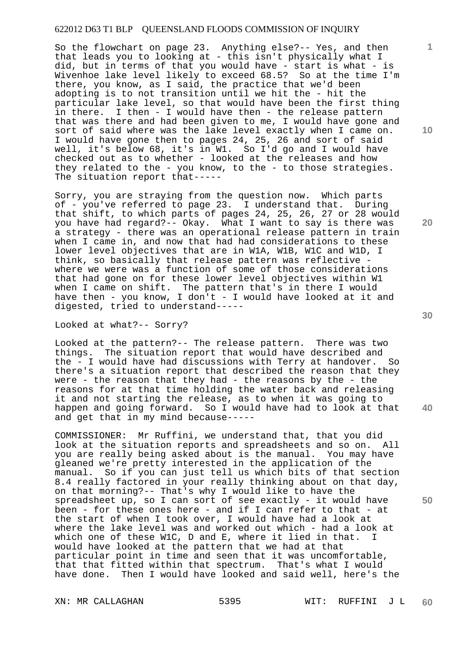So the flowchart on page 23. Anything else?-- Yes, and then that leads you to looking at - this isn't physically what I did, but in terms of that you would have - start is what - is Wivenhoe lake level likely to exceed 68.5? So at the time I'm there, you know, as I said, the practice that we'd been adopting is to not transition until we hit the - hit the particular lake level, so that would have been the first thing in there. I then - I would have then - the release pattern that was there and had been given to me, I would have gone and sort of said where was the lake level exactly when I came on. I would have gone then to pages 24, 25, 26 and sort of said well, it's below 68, it's in W1. So I'd go and I would have checked out as to whether - looked at the releases and how they related to the - you know, to the - to those strategies. The situation report that-----

Sorry, you are straying from the question now. Which parts of - you've referred to page 23. I understand that. During that shift, to which parts of pages 24, 25, 26, 27 or 28 would you have had regard?-- Okay. What I want to say is there was a strategy - there was an operational release pattern in train when I came in, and now that had had considerations to these lower level objectives that are in W1A, W1B, W1C and W1D, I think, so basically that release pattern was reflective where we were was a function of some of those considerations that had gone on for these lower level objectives within W1 when I came on shift. The pattern that's in there I would have then - you know, I don't - I would have looked at it and digested, tried to understand-----

Looked at what?-- Sorry?

Looked at the pattern?-- The release pattern. There was two things. The situation report that would have described and the - I would have had discussions with Terry at handover. So there's a situation report that described the reason that they were - the reason that they had - the reasons by the - the reasons for at that time holding the water back and releasing it and not starting the release, as to when it was going to happen and going forward. So I would have had to look at that and get that in my mind because-----

COMMISSIONER: Mr Ruffini, we understand that, that you did look at the situation reports and spreadsheets and so on. All you are really being asked about is the manual. You may have gleaned we're pretty interested in the application of the manual. So if you can just tell us which bits of that section 8.4 really factored in your really thinking about on that day, on that morning?-- That's why I would like to have the spreadsheet up, so I can sort of see exactly - it would have been - for these ones here - and if I can refer to that - at the start of when I took over, I would have had a look at where the lake level was and worked out which - had a look at which one of these W1C, D and E, where it lied in that. I would have looked at the pattern that we had at that particular point in time and seen that it was uncomfortable, that that fitted within that spectrum. That's what I would have done. Then I would have looked and said well, here's the

**10** 

**1**

**20** 

**40**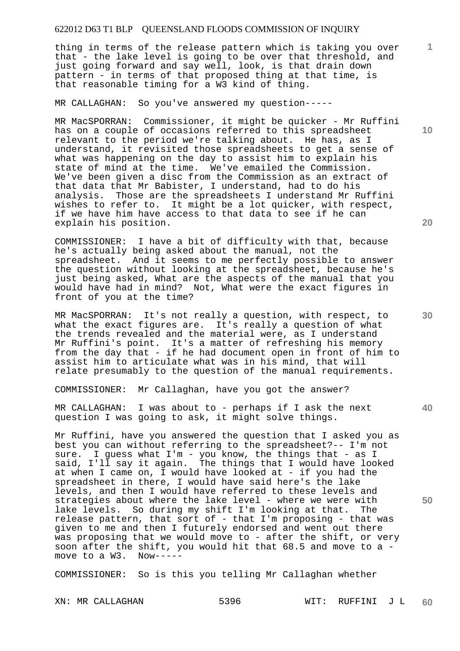thing in terms of the release pattern which is taking you over that - the lake level is going to be over that threshold, and just going forward and say well, look, is that drain down pattern - in terms of that proposed thing at that time, is that reasonable timing for a W3 kind of thing.

MR CALLAGHAN: So you've answered my question-----

MR MacSPORRAN: Commissioner, it might be quicker - Mr Ruffini has on a couple of occasions referred to this spreadsheet relevant to the period we're talking about. He has, as I understand, it revisited those spreadsheets to get a sense of what was happening on the day to assist him to explain his state of mind at the time. We've emailed the Commission. We've been given a disc from the Commission as an extract of that data that Mr Babister, I understand, had to do his analysis. Those are the spreadsheets I understand Mr Ruffini wishes to refer to. It might be a lot quicker, with respect, if we have him have access to that data to see if he can explain his position.

COMMISSIONER: I have a bit of difficulty with that, because he's actually being asked about the manual, not the spreadsheet. And it seems to me perfectly possible to answer the question without looking at the spreadsheet, because he's just being asked, What are the aspects of the manual that you would have had in mind? Not, What were the exact figures in front of you at the time?

MR MacSPORRAN: It's not really a question, with respect, to what the exact figures are. It's really a question of what the trends revealed and the material were, as I understand Mr Ruffini's point. It's a matter of refreshing his memory from the day that - if he had document open in front of him to assist him to articulate what was in his mind, that will relate presumably to the question of the manual requirements.

COMMISSIONER: Mr Callaghan, have you got the answer?

MR CALLAGHAN: I was about to - perhaps if I ask the next question I was going to ask, it might solve things.

Mr Ruffini, have you answered the question that I asked you as best you can without referring to the spreadsheet?-- I'm not sure. I guess what I'm - you know, the things that - as I said, I'll say it again. The things that I would have looked at when I came on, I would have looked at - if you had the spreadsheet in there, I would have said here's the lake levels, and then I would have referred to these levels and strategies about where the lake level - where we were with lake levels. So during my shift I'm looking at that. The release pattern, that sort of - that I'm proposing - that was given to me and then I futurely endorsed and went out there was proposing that we would move to - after the shift, or very soon after the shift, you would hit that  $68.5$  and move to a - move to a W3. Now----move to a W3.

COMMISSIONER: So is this you telling Mr Callaghan whether

XN: MR CALLAGHAN 5396 WIT: RUFFINI J L **60** 

**20** 

**1**

**10** 

**30** 

**40**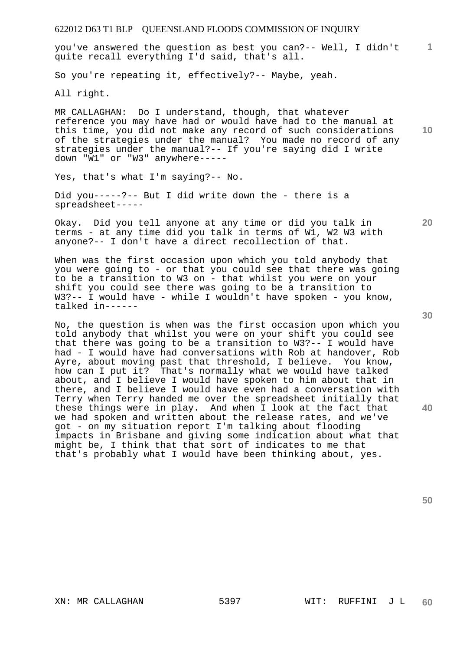**10 20 40**  of the strategies under the manual? You made no record of any strategies under the manual?-- If you're saying did I write down "W1" or "W3" anywhere----- Yes, that's what I'm saying?-- No. Did you-----?-- But I did write down the - there is a spreadsheet----- Okay. Did you tell anyone at any time or did you talk in terms - at any time did you talk in terms of W1, W2 W3 with anyone?-- I don't have a direct recollection of that. When was the first occasion upon which you told anybody that you were going to - or that you could see that there was going to be a transition to W3 on - that whilst you were on your shift you could see there was going to be a transition to W3?-- I would have - while I wouldn't have spoken - you know, talked in------ No, the question is when was the first occasion upon which you told anybody that whilst you were on your shift you could see that there was going to be a transition to W3?-- I would have had - I would have had conversations with Rob at handover, Rob Ayre, about moving past that threshold, I believe. You know, how can I put it? That's normally what we would have talked about, and I believe I would have spoken to him about that in there, and I believe I would have even had a conversation with Terry when Terry handed me over the spreadsheet initially that these things were in play. And when I look at the fact that we had spoken and written about the release rates, and we've got - on my situation report I'm talking about flooding impacts in Brisbane and giving some indication about what that might be, I think that that sort of indicates to me that

that's probably what I would have been thinking about, yes.

MR CALLAGHAN: Do I understand, though, that whatever reference you may have had or would have had to the manual at this time, you did not make any record of such considerations

you've answered the question as best you can?-- Well, I didn't

So you're repeating it, effectively?-- Maybe, yeah.

quite recall everything I'd said, that's all.

622012 D63 T1 BLP QUEENSLAND FLOODS COMMISSION OF INQUIRY

All right.

**1**

**30** 

**50**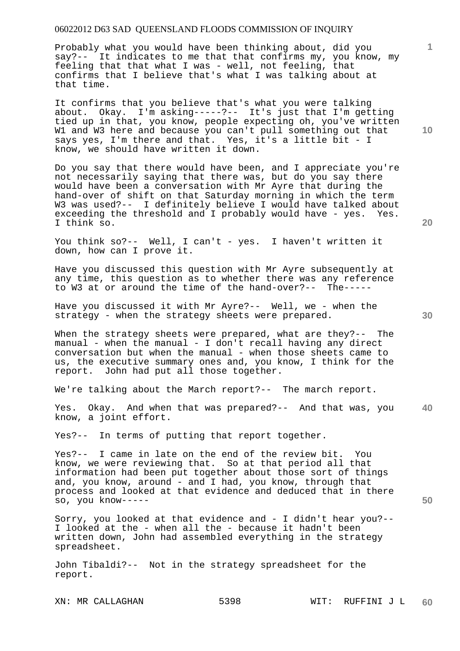Probably what you would have been thinking about, did you say?-- It indicates to me that that confirms my, you know, my feeling that that what I was - well, not feeling, that confirms that I believe that's what I was talking about at that time.

It confirms that you believe that's what you were talking about. Okay. I'm asking-----?-- It's just that I'm getting tied up in that, you know, people expecting oh, you've written W1 and W3 here and because you can't pull something out that says yes, I'm there and that. Yes, it's a little bit - I know, we should have written it down.

Do you say that there would have been, and I appreciate you're not necessarily saying that there was, but do you say there would have been a conversation with Mr Ayre that during the hand-over of shift on that Saturday morning in which the term W3 was used?-- I definitely believe I would have talked about exceeding the threshold and I probably would have - yes. Yes. I think so.

You think so?-- Well, I can't - yes. I haven't written it down, how can I prove it.

Have you discussed this question with Mr Ayre subsequently at any time, this question as to whether there was any reference to W3 at or around the time of the hand-over?-- The-----

Have you discussed it with Mr Ayre?-- Well, we - when the strategy - when the strategy sheets were prepared.

When the strategy sheets were prepared, what are they?-- The manual - when the manual - I don't recall having any direct conversation but when the manual - when those sheets came to us, the executive summary ones and, you know, I think for the report. John had put all those together.

We're talking about the March report?-- The march report.

**40**  Yes. Okay. And when that was prepared?-- And that was, you know, a joint effort.

Yes?-- In terms of putting that report together.

Yes?-- I came in late on the end of the review bit. You know, we were reviewing that. So at that period all that information had been put together about those sort of things and, you know, around - and I had, you know, through that process and looked at that evidence and deduced that in there so, you know-----

Sorry, you looked at that evidence and - I didn't hear you?-- I looked at the - when all the - because it hadn't been written down, John had assembled everything in the strategy spreadsheet.

John Tibaldi?-- Not in the strategy spreadsheet for the report.

**10** 

**1**

**30** 

**50**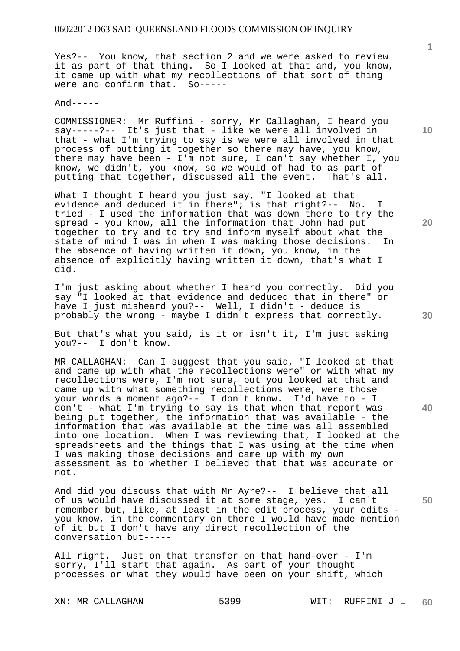Yes?-- You know, that section 2 and we were asked to review it as part of that thing. So I looked at that and, you know, it came up with what my recollections of that sort of thing were and confirm that. So-----

 $And----$ 

COMMISSIONER: Mr Ruffini - sorry, Mr Callaghan, I heard you say-----?-- It's just that - like we were all involved in that - what I'm trying to say is we were all involved in that process of putting it together so there may have, you know, there may have been - I'm not sure, I can't say whether I, you know, we didn't, you know, so we would of had to as part of putting that together, discussed all the event. That's all.

What I thought I heard you just say, "I looked at that evidence and deduced it in there"; is that right?-- No. I tried - I used the information that was down there to try the spread - you know, all the information that John had put together to try and to try and inform myself about what the state of mind I was in when I was making those decisions. In the absence of having written it down, you know, in the absence of explicitly having written it down, that's what I did.

I'm just asking about whether I heard you correctly. Did you say "I looked at that evidence and deduced that in there" or have I just misheard you?-- Well, I didn't - deduce is probably the wrong - maybe I didn't express that correctly.

But that's what you said, is it or isn't it, I'm just asking you?-- I don't know.

MR CALLAGHAN: Can I suggest that you said, "I looked at that and came up with what the recollections were" or with what my recollections were, I'm not sure, but you looked at that and came up with what something recollections were, were those your words a moment ago?-- I don't know. I'd have to - I don't - what I'm trying to say is that when that report was being put together, the information that was available - the information that was available at the time was all assembled into one location. When I was reviewing that, I looked at the spreadsheets and the things that I was using at the time when I was making those decisions and came up with my own assessment as to whether I believed that that was accurate or not.

And did you discuss that with Mr Ayre?-- I believe that all of us would have discussed it at some stage, yes. I can't remember but, like, at least in the edit process, your edits you know, in the commentary on there I would have made mention of it but I don't have any direct recollection of the conversation but-----

All right. Just on that transfer on that hand-over - I'm sorry, I'll start that again. As part of your thought processes or what they would have been on your shift, which

**10** 

**1**

**20** 

**40**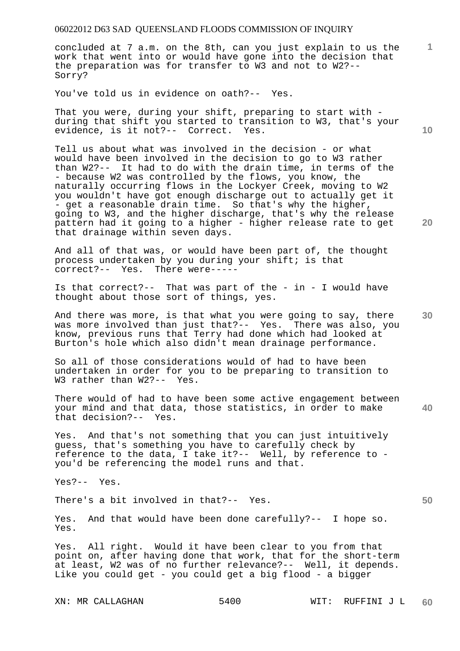concluded at 7 a.m. on the 8th, can you just explain to us the work that went into or would have gone into the decision that the preparation was for transfer to W3 and not to W2?-- Sorry?

You've told us in evidence on oath?-- Yes.

That you were, during your shift, preparing to start with during that shift you started to transition to W3, that's your evidence, is it not?-- Correct. Yes.

Tell us about what was involved in the decision - or what would have been involved in the decision to go to W3 rather than W2?-- It had to do with the drain time, in terms of the - because W2 was controlled by the flows, you know, the naturally occurring flows in the Lockyer Creek, moving to W2 you wouldn't have got enough discharge out to actually get it - get a reasonable drain time. So that's why the higher, going to W3, and the higher discharge, that's why the release pattern had it going to a higher - higher release rate to get that drainage within seven days.

And all of that was, or would have been part of, the thought process undertaken by you during your shift; is that correct?-- Yes. There were-----

Is that correct?-- That was part of the - in - I would have thought about those sort of things, yes.

**30**  And there was more, is that what you were going to say, there was more involved than just that?-- Yes. There was also, you know, previous runs that Terry had done which had looked at Burton's hole which also didn't mean drainage performance.

So all of those considerations would of had to have been undertaken in order for you to be preparing to transition to W3 rather than W2?-- Yes.

**40**  There would of had to have been some active engagement between your mind and that data, those statistics, in order to make that decision?-- Yes.

Yes. And that's not something that you can just intuitively guess, that's something you have to carefully check by reference to the data, I take it?-- Well, by reference to you'd be referencing the model runs and that.

Yes?-- Yes.

There's a bit involved in that?-- Yes.

Yes. And that would have been done carefully?-- I hope so. Yes.

Yes. All right. Would it have been clear to you from that point on, after having done that work, that for the short-term at least, W2 was of no further relevance?-- Well, it depends. Like you could get - you could get a big flood - a bigger

**10** 

**1**

**20**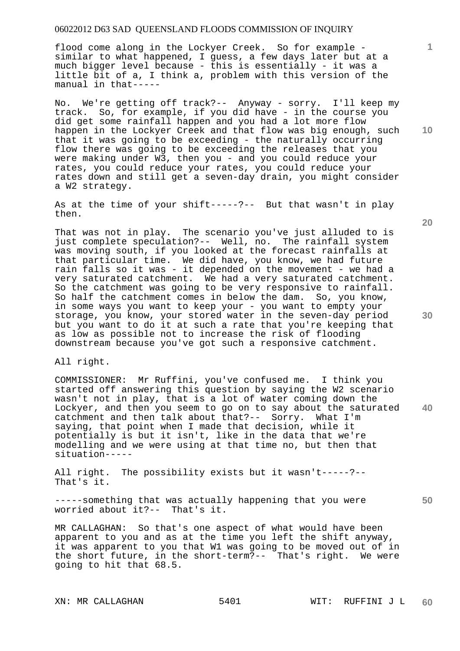flood come along in the Lockyer Creek. So for example similar to what happened, I guess, a few days later but at a much bigger level because - this is essentially - it was a little bit of a, I think a, problem with this version of the manual in that-----

No. We're getting off track?-- Anyway - sorry. I'll keep my track. So, for example, if you did have - in the course you did get some rainfall happen and you had a lot more flow happen in the Lockyer Creek and that flow was big enough, such that it was going to be exceeding - the naturally occurring flow there was going to be exceeding the releases that you were making under W3, then you - and you could reduce your rates, you could reduce your rates, you could reduce your rates down and still get a seven-day drain, you might consider a W2 strategy.

As at the time of your shift-----?-- But that wasn't in play then.

That was not in play. The scenario you've just alluded to is just complete speculation?-- Well, no. The rainfall system was moving south, if you looked at the forecast rainfalls at that particular time. We did have, you know, we had future rain falls so it was - it depended on the movement - we had a very saturated catchment. We had a very saturated catchment. So the catchment was going to be very responsive to rainfall. So half the catchment comes in below the dam. So, you know, in some ways you want to keep your - you want to empty your storage, you know, your stored water in the seven-day period but you want to do it at such a rate that you're keeping that as low as possible not to increase the risk of flooding downstream because you've got such a responsive catchment.

All right.

**40**  COMMISSIONER: Mr Ruffini, you've confused me. I think you started off answering this question by saying the W2 scenario wasn't not in play, that is a lot of water coming down the Lockyer, and then you seem to go on to say about the saturated catchment and then talk about that?-- Sorry. What I'm saying, that point when I made that decision, while it potentially is but it isn't, like in the data that we're modelling and we were using at that time no, but then that situation-----

All right. The possibility exists but it wasn't-----?-- That's it.

-----something that was actually happening that you were worried about it?-- That's it.

MR CALLAGHAN: So that's one aspect of what would have been apparent to you and as at the time you left the shift anyway, it was apparent to you that W1 was going to be moved out of in the short future, in the short-term?-- That's right. We were going to hit that 68.5.

**20** 

**10** 

**1**

**30**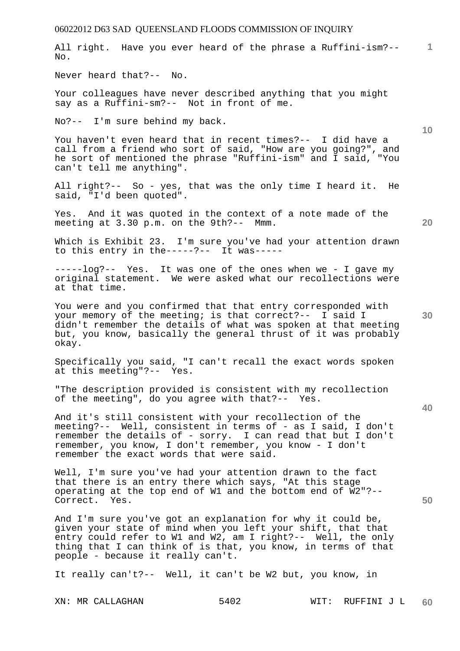| 06022012 D63 SAD QUEENSLAND FLOODS COMMISSION OF INQUIRY                                                                                                                                                                                                                                          |    |
|---------------------------------------------------------------------------------------------------------------------------------------------------------------------------------------------------------------------------------------------------------------------------------------------------|----|
| All right. Have you ever heard of the phrase a Ruffini-ism?--<br>No.                                                                                                                                                                                                                              | 1  |
| Never heard that?-- No.                                                                                                                                                                                                                                                                           |    |
| Your colleagues have never described anything that you might<br>say as a Ruffini-sm?-- Not in front of me.                                                                                                                                                                                        |    |
| No?-- I'm sure behind my back.                                                                                                                                                                                                                                                                    | 10 |
| You haven't even heard that in recent times?-- I did have a<br>call from a friend who sort of said, "How are you going?", and<br>he sort of mentioned the phrase "Ruffini-ism" and I said, "You<br>can't tell me anything".                                                                       |    |
| All right?-- So - yes, that was the only time I heard it. He<br>said, "I'd been quoted".                                                                                                                                                                                                          |    |
| Yes. And it was quoted in the context of a note made of the<br>meeting at 3.30 p.m. on the 9th?-- Mmm.                                                                                                                                                                                            | 20 |
| Which is Exhibit 23. I'm sure you've had your attention drawn<br>to this entry in the-----?-- It was-----                                                                                                                                                                                         |    |
| -----log?-- Yes. It was one of the ones when we - I gave my<br>original statement. We were asked what our recollections were<br>at that time.                                                                                                                                                     |    |
| You were and you confirmed that that entry corresponded with<br>your memory of the meeting; is that correct?-- I said I<br>didn't remember the details of what was spoken at that meeting<br>but, you know, basically the general thrust of it was probably<br>okay.                              | 30 |
| Specifically you said, "I can't recall the exact words spoken<br>at this meeting"?-- Yes.                                                                                                                                                                                                         |    |
| "The description provided is consistent with my recollection<br>of the meeting", do you agree with that?-- Yes.                                                                                                                                                                                   | 40 |
| And it's still consistent with your recollection of the<br>meeting?-- Well, consistent in terms of - as I said, I don't<br>remember the details of - sorry. I can read that but I don't<br>remember, you know, I don't remember, you know - I don't<br>remember the exact words that were said.   |    |
| Well, I'm sure you've had your attention drawn to the fact<br>that there is an entry there which says, "At this stage<br>operating at the top end of W1 and the bottom end of W2"?--<br>Correct. Yes.                                                                                             | 50 |
| And I'm sure you've got an explanation for why it could be,<br>given your state of mind when you left your shift, that that<br>entry could refer to W1 and W2, am I right?-- Well, the only<br>thing that I can think of is that, you know, in terms of that<br>people - because it really can't. |    |
| It really can't?-- Well, it can't be W2 but, you know, in                                                                                                                                                                                                                                         |    |
| 5402<br>XN: MR CALLAGHAN<br>WIT: RUFFINI J L                                                                                                                                                                                                                                                      | 60 |
|                                                                                                                                                                                                                                                                                                   |    |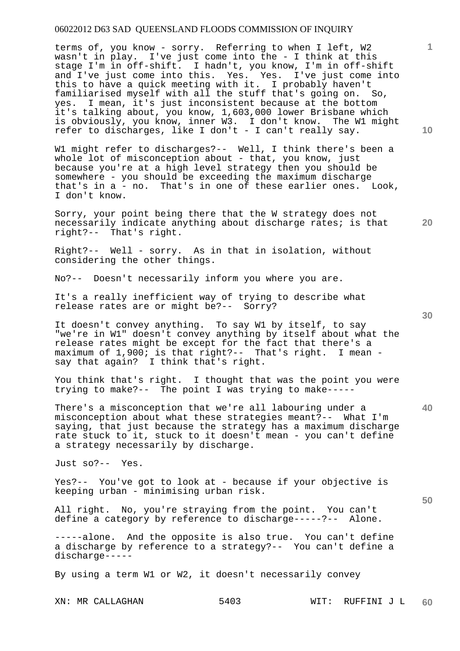terms of, you know - sorry. Referring to when I left, W2 wasn't in play. I've just come into the - I think at this stage I'm in off-shift. I hadn't, you know, I'm in off-shift and I've just come into this. Yes. Yes. I've just come into this to have a quick meeting with it. I probably haven't familiarised myself with all the stuff that's going on. So, yes. I mean, it's just inconsistent because at the bottom it's talking about, you know, 1,603,000 lower Brisbane which is obviously, you know, inner W3. I don't know. The W1 might refer to discharges, like I don't - I can't really say.

W1 might refer to discharges?-- Well, I think there's been a whole lot of misconception about - that, you know, just because you're at a high level strategy then you should be somewhere - you should be exceeding the maximum discharge that's in a - no. That's in one of these earlier ones. Look, I don't know.

Sorry, your point being there that the W strategy does not necessarily indicate anything about discharge rates; is that right?-- That's right.

Right?-- Well - sorry. As in that in isolation, without considering the other things.

No?-- Doesn't necessarily inform you where you are.

It's a really inefficient way of trying to describe what release rates are or might be?-- Sorry?

It doesn't convey anything. To say W1 by itself, to say "we're in W1" doesn't convey anything by itself about what the release rates might be except for the fact that there's a maximum of 1,900; is that right?-- That's right. I mean say that again? I think that's right.

You think that's right. I thought that was the point you were trying to make?-- The point I was trying to make-----

There's a misconception that we're all labouring under a misconception about what these strategies meant?-- What I'm saying, that just because the strategy has a maximum discharge rate stuck to it, stuck to it doesn't mean - you can't define a strategy necessarily by discharge.

Just so?-- Yes.

Yes?-- You've got to look at - because if your objective is keeping urban - minimising urban risk.

All right. No, you're straying from the point. You can't define a category by reference to discharge-----?-- Alone. define a category by reference to discharge-----?--

-----alone. And the opposite is also true. You can't define a discharge by reference to a strategy?-- You can't define a discharge-----

By using a term W1 or W2, it doesn't necessarily convey

**20** 

**10** 

**1**

**30** 

**50**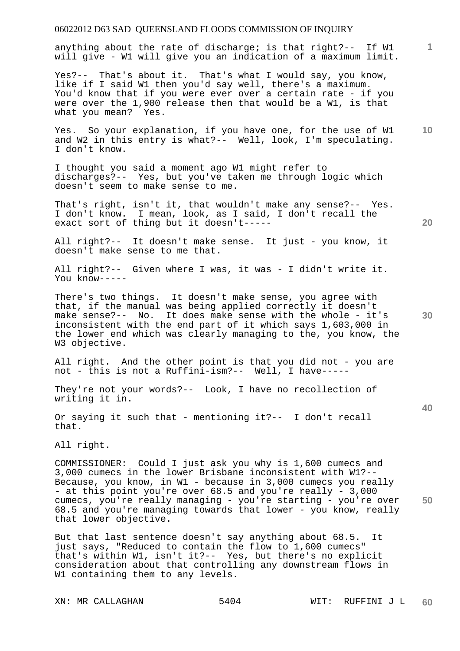anything about the rate of discharge; is that right?-- If W1 will give - W1 will give you an indication of a maximum limit.

Yes?-- That's about it. That's what I would say, you know, like if I said W1 then you'd say well, there's a maximum. You'd know that if you were ever over a certain rate - if you were over the 1,900 release then that would be a W1, is that what you mean? Yes.

**10**  Yes. So your explanation, if you have one, for the use of W1 and W2 in this entry is what?-- Well, look, I'm speculating. I don't know.

I thought you said a moment ago W1 might refer to discharges?-- Yes, but you've taken me through logic which doesn't seem to make sense to me.

That's right, isn't it, that wouldn't make any sense?-- Yes. I don't know. I mean, look, as I said, I don't recall the exact sort of thing but it doesn't-----

All right?-- It doesn't make sense. It just - you know, it doesn't make sense to me that.

All right?-- Given where I was, it was - I didn't write it. You know-----

There's two things. It doesn't make sense, you agree with that, if the manual was being applied correctly it doesn't make sense?-- No. It does make sense with the whole - it's inconsistent with the end part of it which says 1,603,000 in the lower end which was clearly managing to the, you know, the W3 objective.

All right. And the other point is that you did not - you are not - this is not a Ruffini-ism?-- Well, I have-----

They're not your words?-- Look, I have no recollection of writing it in.

Or saying it such that - mentioning it?-- I don't recall that.

All right.

**50**  COMMISSIONER: Could I just ask you why is 1,600 cumecs and 3,000 cumecs in the lower Brisbane inconsistent with W1?-- Because, you know, in W1 - because in 3,000 cumecs you really - at this point you're over 68.5 and you're really - 3,000 cumecs, you're really managing - you're starting - you're over 68.5 and you're managing towards that lower - you know, really that lower objective.

But that last sentence doesn't say anything about 68.5. It just says, "Reduced to contain the flow to 1,600 cumecs" that's within W1, isn't it?-- Yes, but there's no explicit consideration about that controlling any downstream flows in W1 containing them to any levels.

**20** 

**40**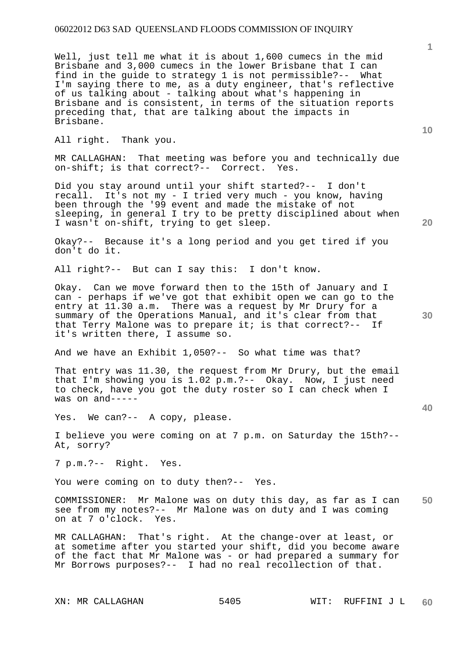Well, just tell me what it is about 1,600 cumecs in the mid Brisbane and 3,000 cumecs in the lower Brisbane that I can find in the guide to strategy 1 is not permissible?-- What I'm saying there to me, as a duty engineer, that's reflective of us talking about - talking about what's happening in Brisbane and is consistent, in terms of the situation reports preceding that, that are talking about the impacts in Brisbane.

All right. Thank you.

MR CALLAGHAN: That meeting was before you and technically due<br>on-shift; is that correct?-- Correct Yes on-shift; is that correct?-- Correct.

Did you stay around until your shift started?-- I don't recall. It's not my - I tried very much - you know, having been through the '99 event and made the mistake of not sleeping, in general I try to be pretty disciplined about when I wasn't on-shift, trying to get sleep.

Okay?-- Because it's a long period and you get tired if you don't do it.

All right?-- But can I say this: I don't know.

Okay. Can we move forward then to the 15th of January and I can - perhaps if we've got that exhibit open we can go to the entry at 11.30 a.m. There was a request by Mr Drury for a summary of the Operations Manual, and it's clear from that that Terry Malone was to prepare it; is that correct?-- If it's written there, I assume so.

And we have an Exhibit 1,050?-- So what time was that?

That entry was 11.30, the request from Mr Drury, but the email that I'm showing you is 1.02 p.m.?-- Okay. Now, I just need to check, have you got the duty roster so I can check when I was on and-----

Yes. We can?-- A copy, please.

I believe you were coming on at 7 p.m. on Saturday the 15th?-- At, sorry?

7 p.m.?-- Right. Yes.

You were coming on to duty then?-- Yes.

**50**  COMMISSIONER: Mr Malone was on duty this day, as far as I can see from my notes?-- Mr Malone was on duty and I was coming<br>on at 7 o'clock. Yes. on at 7 o'clock.

MR CALLAGHAN: That's right. At the change-over at least, or at sometime after you started your shift, did you become aware of the fact that Mr Malone was - or had prepared a summary for Mr Borrows purposes?-- I had no real recollection of that.

**1**

**20** 

**30** 

**40**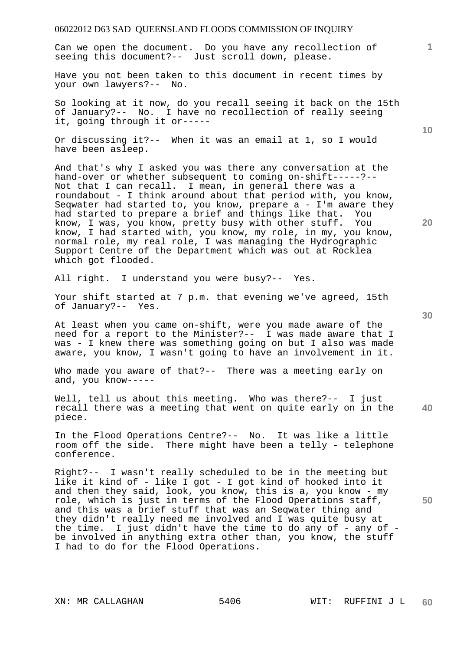Can we open the document. Do you have any recollection of seeing this document?-- Just scroll down, please.

Have you not been taken to this document in recent times by your own lawyers?-- No.

So looking at it now, do you recall seeing it back on the 15th of January?-- No. I have no recollection of really seeing it, going through it or-----

Or discussing it?-- When it was an email at 1, so I would have been asleep.

And that's why I asked you was there any conversation at the hand-over or whether subsequent to coming on-shift-----?-- Not that I can recall. I mean, in general there was a roundabout - I think around about that period with, you know, Seqwater had started to, you know, prepare a - I'm aware they had started to prepare a brief and things like that. You know, I was, you know, pretty busy with other stuff. You know, I had started with, you know, my role, in my, you know, normal role, my real role, I was managing the Hydrographic Support Centre of the Department which was out at Rocklea which got flooded.

All right. I understand you were busy?-- Yes.

Your shift started at 7 p.m. that evening we've agreed, 15th of January?-- Yes.

At least when you came on-shift, were you made aware of the need for a report to the Minister?-- I was made aware that I was - I knew there was something going on but I also was made aware, you know, I wasn't going to have an involvement in it.

Who made you aware of that?-- There was a meeting early on and, you know-----

**40**  Well, tell us about this meeting. Who was there?-- I just recall there was a meeting that went on quite early on in the piece.

In the Flood Operations Centre?-- No. It was like a little room off the side. There might have been a telly - telephone conference.

Right?-- I wasn't really scheduled to be in the meeting but like it kind of - like I got - I got kind of hooked into it and then they said, look, you know, this is a, you know - my role, which is just in terms of the Flood Operations staff, and this was a brief stuff that was an Seqwater thing and they didn't really need me involved and I was quite busy at the time. I just didn't have the time to do any of - any of be involved in anything extra other than, you know, the stuff I had to do for the Flood Operations.

**30** 

**50** 

**20** 

**10**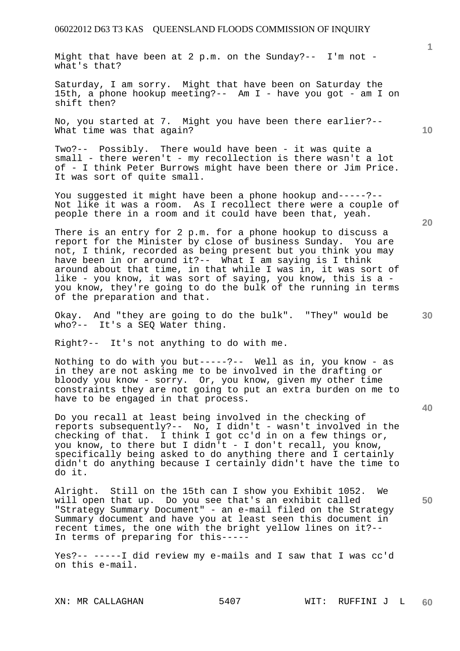Might that have been at 2 p.m. on the Sunday?-- I'm not what's that?

Saturday, I am sorry. Might that have been on Saturday the 15th, a phone hookup meeting?-- Am I - have you got - am I on shift then?

No, you started at 7. Might you have been there earlier?-- What time was that again?

Two?-- Possibly. There would have been - it was quite a small - there weren't - my recollection is there wasn't a lot of - I think Peter Burrows might have been there or Jim Price. It was sort of quite small.

You suggested it might have been a phone hookup and-----?-- Not like it was a room. As I recollect there were a couple of people there in a room and it could have been that, yeah.

There is an entry for 2 p.m. for a phone hookup to discuss a report for the Minister by close of business Sunday. You are not, I think, recorded as being present but you think you may have been in or around it?-- What I am saying is I think around about that time, in that while I was in, it was sort of like - you know, it was sort of saying, you know, this is a you know, they're going to do the bulk of the running in terms of the preparation and that.

Okay. And "they are going to do the bulk". "They" would be who?-- It's a SEQ Water thing.

Right?-- It's not anything to do with me.

Nothing to do with you but-----?-- Well as in, you know - as in they are not asking me to be involved in the drafting or bloody you know - sorry. Or, you know, given my other time constraints they are not going to put an extra burden on me to have to be engaged in that process.

Do you recall at least being involved in the checking of reports subsequently?-- No, I didn't - wasn't involved in the checking of that. I think I got cc'd in on a few things or, you know, to there but I didn't - I don't recall, you know, specifically being asked to do anything there and I certainly didn't do anything because I certainly didn't have the time to do it.

Alright. Still on the 15th can I show you Exhibit 1052. We will open that up. Do you see that's an exhibit called "Strategy Summary Document" - an e-mail filed on the Strategy Summary document and have you at least seen this document in recent times, the one with the bright yellow lines on it?-- In terms of preparing for this-----

Yes?-- -----I did review my e-mails and I saw that I was cc'd on this e-mail.

**20** 

**10** 

**40**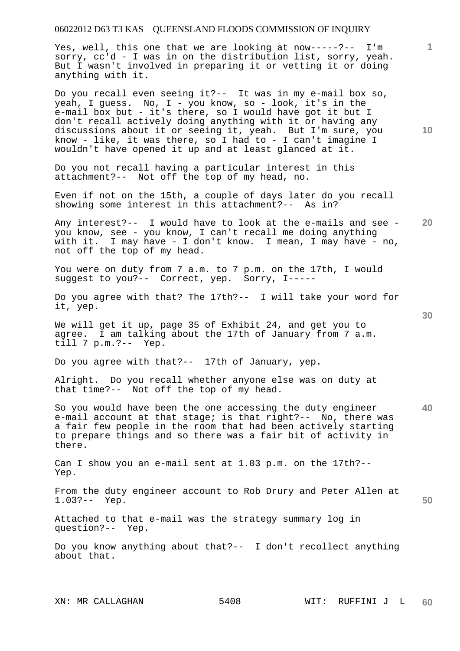Yes, well, this one that we are looking at now-----?-- I'm sorry, cc'd - I was in on the distribution list, sorry, yeah. But I wasn't involved in preparing it or vetting it or doing anything with it.

Do you recall even seeing it?-- It was in my e-mail box so, yeah, I guess. No, I - you know, so - look, it's in the e-mail box but - it's there, so I would have got it but I don't recall actively doing anything with it or having any discussions about it or seeing it, yeah. But I'm sure, you know - like, it was there, so I had to - I can't imagine I wouldn't have opened it up and at least glanced at it.

Do you not recall having a particular interest in this attachment?-- Not off the top of my head, no.

Even if not on the 15th, a couple of days later do you recall showing some interest in this attachment?-- As in?

**20**  Any interest?-- I would have to look at the e-mails and see you know, see - you know, I can't recall me doing anything with it. I may have - I don't know. I mean, I may have - no, not off the top of my head.

You were on duty from 7 a.m. to 7 p.m. on the 17th, I would suggest to you?-- Correct, yep. Sorry, I-----

Do you agree with that? The 17th?-- I will take your word for it, yep.

We will get it up, page 35 of Exhibit 24, and get you to agree. I am talking about the 17th of January from 7 a.m. till 7 p.m.?-- Yep.

Do you agree with that?-- 17th of January, yep.

Alright. Do you recall whether anyone else was on duty at that time?-- Not off the top of my head.

**40**  So you would have been the one accessing the duty engineer e-mail account at that stage; is that right?-- No, there was a fair few people in the room that had been actively starting to prepare things and so there was a fair bit of activity in there.

Can I show you an e-mail sent at 1.03 p.m. on the 17th?-- Yep.

From the duty engineer account to Rob Drury and Peter Allen at 1.03?-- Yep.

Attached to that e-mail was the strategy summary log in question?-- Yep.

Do you know anything about that?-- I don't recollect anything about that.

**10** 

**1**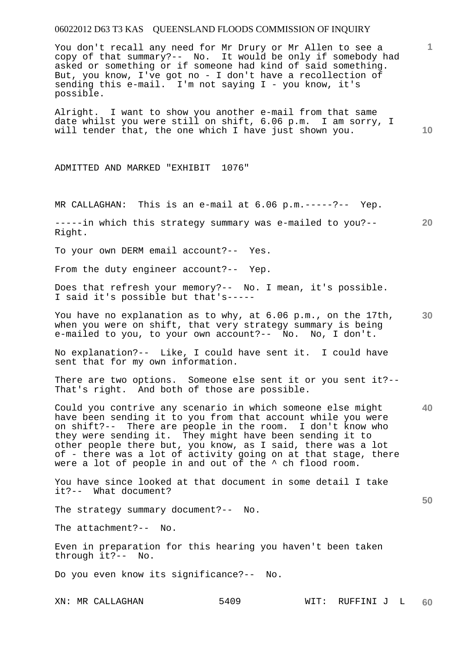You don't recall any need for Mr Drury or Mr Allen to see a copy of that summary?-- No. It would be only if somebody had asked or something or if someone had kind of said something. But, you know, I've got no - I don't have a recollection of sending this e-mail. I'm not saying I - you know, it's possible.

Alright. I want to show you another e-mail from that same date whilst you were still on shift, 6.06 p.m. I am sorry, I will tender that, the one which I have just shown you.

ADMITTED AND MARKED "EXHIBIT 1076"

MR CALLAGHAN: This is an e-mail at 6.06 p.m.-----?-- Yep.

**20**  -----in which this strategy summary was e-mailed to you?-- Right.

To your own DERM email account?-- Yes.

From the duty engineer account?-- Yep.

Does that refresh your memory?-- No. I mean, it's possible. I said it's possible but that's-----

**30**  You have no explanation as to why, at 6.06 p.m., on the 17th, when you were on shift, that very strategy summary is being e-mailed to you, to your own account?-- No. No, I don't.

No explanation?-- Like, I could have sent it. I could have sent that for my own information.

There are two options. Someone else sent it or you sent it?-- That's right. And both of those are possible.

Could you contrive any scenario in which someone else might have been sending it to you from that account while you were on shift?-- There are people in the room. I don't know who they were sending it. They might have been sending it to other people there but, you know, as I said, there was a lot of - there was a lot of activity going on at that stage, there were a lot of people in and out of the  $\sim$  ch flood room.

You have since looked at that document in some detail I take it?-- What document?

The strategy summary document?-- No.

The attachment?-- No.

Even in preparation for this hearing you haven't been taken through it?-- No.

Do you even know its significance?-- No.

**1**

**10** 

**40**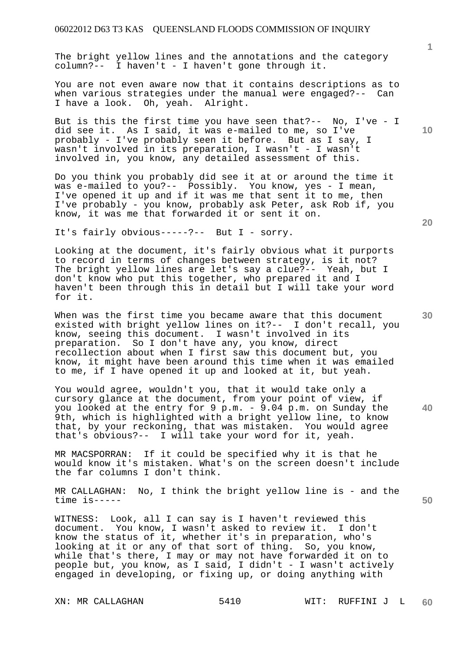The bright yellow lines and the annotations and the category column?-- I haven't - I haven't gone through it.

You are not even aware now that it contains descriptions as to when various strategies under the manual were engaged?-- Can I have a look. Oh, yeah. Alright.

But is this the first time you have seen that?-- No, I've - I did see it. As I said, it was e-mailed to me, so I've probably - I've probably seen it before. But as I say, I wasn't involved in its preparation, I wasn't - I wasn't involved in, you know, any detailed assessment of this.

Do you think you probably did see it at or around the time it was e-mailed to you?-- Possibly. You know, yes - I mean, I've opened it up and if it was me that sent it to me, then I've probably - you know, probably ask Peter, ask Rob if, you know, it was me that forwarded it or sent it on.

It's fairly obvious-----?-- But I - sorry.

Looking at the document, it's fairly obvious what it purports to record in terms of changes between strategy, is it not? The bright yellow lines are let's say a clue?-- Yeah, but I don't know who put this together, who prepared it and I haven't been through this in detail but I will take your word for it.

When was the first time you became aware that this document existed with bright yellow lines on it?-- I don't recall, you know, seeing this document. I wasn't involved in its preparation. So I don't have any, you know, direct recollection about when I first saw this document but, you know, it might have been around this time when it was emailed to me, if I have opened it up and looked at it, but yeah.

You would agree, wouldn't you, that it would take only a cursory glance at the document, from your point of view, if you looked at the entry for 9 p.m. - 9.04 p.m. on Sunday the 9th, which is highlighted with a bright yellow line, to know that, by your reckoning, that was mistaken. You would agree that's obvious?-- I will take your word for it, yeah.

MR MACSPORRAN: If it could be specified why it is that he would know it's mistaken. What's on the screen doesn't include the far columns I don't think.

MR CALLAGHAN: No, I think the bright yellow line is - and the time is-----

WITNESS: Look, all I can say is I haven't reviewed this document. You know, I wasn't asked to review it. I don't know the status of it, whether it's in preparation, who's looking at it or any of that sort of thing. So, you know, while that's there, I may or may not have forwarded it on to people but, you know, as I said, I didn't - I wasn't actively engaged in developing, or fixing up, or doing anything with

**1**

**10** 

**20** 

**40**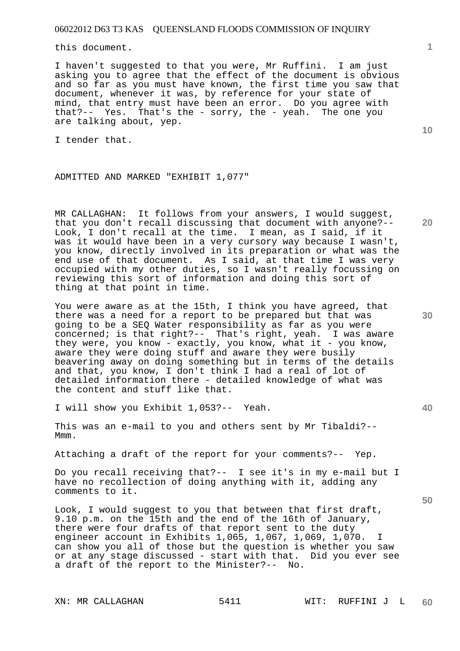this document.

I haven't suggested to that you were, Mr Ruffini. I am just asking you to agree that the effect of the document is obvious and so far as you must have known, the first time you saw that document, whenever it was, by reference for your state of mind, that entry must have been an error. Do you agree with that?-- Yes. That's the - sorry, the - yeah. The one you are talking about, yep.

I tender that.

**10** 

**20** 

**30** 

**40** 

**50** 

**1**

#### ADMITTED AND MARKED "EXHIBIT 1,077"

MR CALLAGHAN: It follows from your answers, I would suggest, that you don't recall discussing that document with anyone?-- Look, I don't recall at the time. I mean, as I said, if it was it would have been in a very cursory way because I wasn't, you know, directly involved in its preparation or what was the end use of that document. As I said, at that time I was very occupied with my other duties, so I wasn't really focussing on reviewing this sort of information and doing this sort of thing at that point in time.

You were aware as at the 15th, I think you have agreed, that there was a need for a report to be prepared but that was going to be a SEQ Water responsibility as far as you were concerned; is that right?-- That's right, yeah. I was aware they were, you know - exactly, you know, what it - you know, aware they were doing stuff and aware they were busily beavering away on doing something but in terms of the details and that, you know, I don't think I had a real of lot of detailed information there - detailed knowledge of what was the content and stuff like that.

I will show you Exhibit 1,053?-- Yeah.

This was an e-mail to you and others sent by Mr Tibaldi?-- Mmm.

Attaching a draft of the report for your comments?-- Yep.

Do you recall receiving that?-- I see it's in my e-mail but I have no recollection of doing anything with it, adding any comments to it.

Look, I would suggest to you that between that first draft, 9.10 p.m. on the 15th and the end of the 16th of January, there were four drafts of that report sent to the duty engineer account in Exhibits 1,065, 1,067, 1,069, 1,070. I can show you all of those but the question is whether you saw or at any stage discussed - start with that. Did you ever see a draft of the report to the Minister?-- No.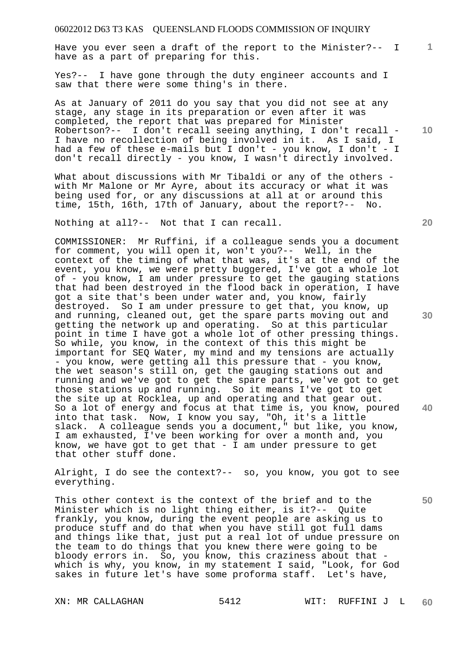Have you ever seen a draft of the report to the Minister?-- I have as a part of preparing for this.

Yes?-- I have gone through the duty engineer accounts and I saw that there were some thing's in there.

As at January of 2011 do you say that you did not see at any stage, any stage in its preparation or even after it was completed, the report that was prepared for Minister Robertson?-- I don't recall seeing anything, I don't recall - I have no recollection of being involved in it. As I said, I had a few of these e-mails but I don't - you know, I don't - I don't recall directly - you know, I wasn't directly involved.

What about discussions with Mr Tibaldi or any of the others with Mr Malone or Mr Ayre, about its accuracy or what it was being used for, or any discussions at all at or around this time, 15th, 16th, 17th of January, about the report?-- No.

Nothing at all?-- Not that I can recall.

COMMISSIONER: Mr Ruffini, if a colleague sends you a document for comment, you will open it, won't you?-- Well, in the context of the timing of what that was, it's at the end of the event, you know, we were pretty buggered, I've got a whole lot of - you know, I am under pressure to get the gauging stations that had been destroyed in the flood back in operation, I have got a site that's been under water and, you know, fairly destroyed. So I am under pressure to get that, you know, up and running, cleaned out, get the spare parts moving out and getting the network up and operating. So at this particular point in time I have got a whole lot of other pressing things. So while, you know, in the context of this this might be important for SEQ Water, my mind and my tensions are actually - you know, were getting all this pressure that - you know, the wet season's still on, get the gauging stations out and running and we've got to get the spare parts, we've got to get those stations up and running. So it means I've got to get the site up at Rocklea, up and operating and that gear out. So a lot of energy and focus at that time is, you know, poured into that task. Now, I know you say, "Oh, it's a little slack. A colleague sends you a document," but like, you know, I am exhausted, I've been working for over a month and, you know, we have got to get that - I am under pressure to get that other stuff done.

Alright, I do see the context?-- so, you know, you got to see everything.

This other context is the context of the brief and to the Minister which is no light thing either, is it?-- Quite frankly, you know, during the event people are asking us to produce stuff and do that when you have still got full dams and things like that, just put a real lot of undue pressure on the team to do things that you knew there were going to be bloody errors in. So, you know, this craziness about that which is why, you know, in my statement I said, "Look, for God sakes in future let's have some proforma staff. Let's have,

**20** 

**30** 

**40** 

**50** 

**10**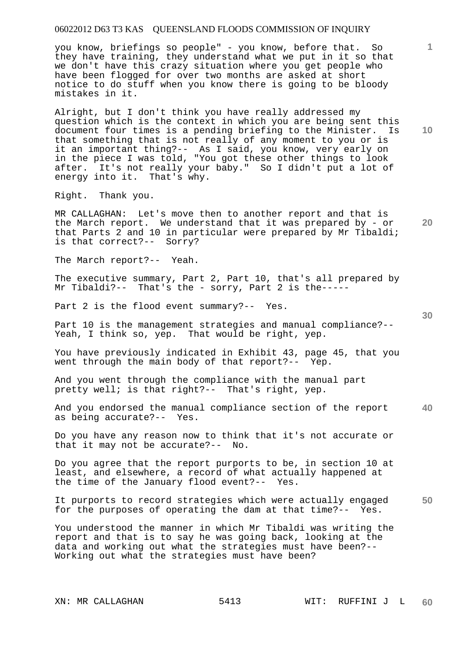you know, briefings so people" - you know, before that. So they have training, they understand what we put in it so that we don't have this crazy situation where you get people who have been flogged for over two months are asked at short notice to do stuff when you know there is going to be bloody mistakes in it.

Alright, but I don't think you have really addressed my question which is the context in which you are being sent this document four times is a pending briefing to the Minister. Is that something that is not really of any moment to you or is it an important thing?-- As I said, you know, very early on in the piece I was told, "You got these other things to look after. It's not really your baby." So I didn't put a lot of energy into it. That's why.

Right. Thank you.

**20**  MR CALLAGHAN: Let's move then to another report and that is the March report. We understand that it was prepared by - or that Parts 2 and 10 in particular were prepared by Mr Tibaldi; is that correct?-- Sorry?

The March report?-- Yeah.

The executive summary, Part 2, Part 10, that's all prepared by Mr Tibaldi?-- That's the - sorry, Part 2 is the-----

Part 2 is the flood event summary?-- Yes.

Part 10 is the management strategies and manual compliance?-- Yeah, I think so, yep. That would be right, yep.

You have previously indicated in Exhibit 43, page 45, that you went through the main body of that report?-- Yep.

And you went through the compliance with the manual part pretty well; is that right?-- That's right, yep.

**40**  And you endorsed the manual compliance section of the report as being accurate?-- Yes.

Do you have any reason now to think that it's not accurate or that it may not be accurate?-- No.

Do you agree that the report purports to be, in section 10 at least, and elsewhere, a record of what actually happened at the time of the January flood event?-- Yes.

**50**  It purports to record strategies which were actually engaged for the purposes of operating the dam at that time?-- Yes.

You understood the manner in which Mr Tibaldi was writing the report and that is to say he was going back, looking at the data and working out what the strategies must have been?-- Working out what the strategies must have been?

**1**

**10**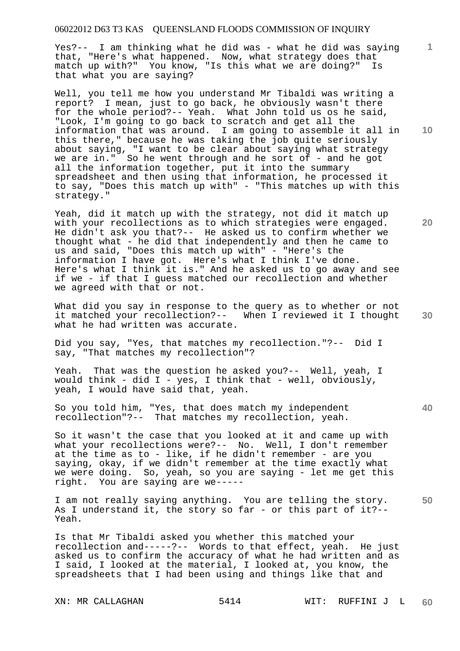Yes?-- I am thinking what he did was - what he did was saying that, "Here's what happened. Now, what strategy does that match up with?" You know, "Is this what we are doing?" Is that what you are saying?

Well, you tell me how you understand Mr Tibaldi was writing a report? I mean, just to go back, he obviously wasn't there for the whole period?-- Yeah. What John told us os he said, "Look, I'm going to go back to scratch and get all the information that was around. I am going to assemble it all in this there," because he was taking the job quite seriously about saying, "I want to be clear about saying what strategy we are in." So he went through and he sort of - and he got all the information together, put it into the summary spreadsheet and then using that information, he processed it to say, "Does this match up with" - "This matches up with this strategy."

Yeah, did it match up with the strategy, not did it match up with your recollections as to which strategies were engaged. He didn't ask you that?-- He asked us to confirm whether we thought what - he did that independently and then he came to us and said, "Does this match up with" - "Here's the information I have got. Here's what I think I've done. Here's what I think it is." And he asked us to go away and see if we - if that I guess matched our recollection and whether we agreed with that or not.

What did you say in response to the query as to whether or not it matched your recollection?-- When I reviewed it I thought what he had written was accurate.

Did you say, "Yes, that matches my recollection."?-- Did I say, "That matches my recollection"?

Yeah. That was the question he asked you?-- Well, yeah, I would think - did I - yes, I think that - well, obviously, yeah, I would have said that, yeah.

So you told him, "Yes, that does match my independent recollection"?-- That matches my recollection, yeah.

So it wasn't the case that you looked at it and came up with what your recollections were?-- No. Well, I don't remember at the time as to - like, if he didn't remember - are you saying, okay, if we didn't remember at the time exactly what we were doing. So, yeah, so you are saying - let me get this right. You are saying are we-----

**50**  I am not really saying anything. You are telling the story. As I understand it, the story so far - or this part of it?-- Yeah.

Is that Mr Tibaldi asked you whether this matched your recollection and-----?-- Words to that effect, yeah. He just asked us to confirm the accuracy of what he had written and as I said, I looked at the material, I looked at, you know, the spreadsheets that I had been using and things like that and

**10** 

**1**

**20** 

**40**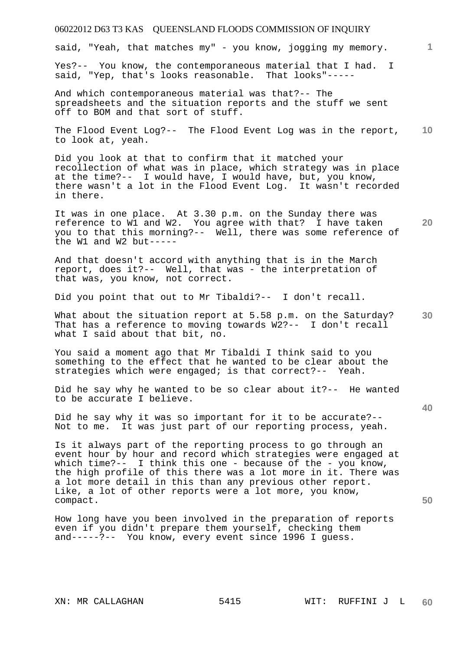said, "Yeah, that matches my" - you know, jogging my memory.

Yes?-- You know, the contemporaneous material that I had. I said, "Yep, that's looks reasonable. That looks"-----

And which contemporaneous material was that?-- The spreadsheets and the situation reports and the stuff we sent off to BOM and that sort of stuff.

**10**  The Flood Event Log?-- The Flood Event Log was in the report, to look at, yeah.

Did you look at that to confirm that it matched your recollection of what was in place, which strategy was in place at the time?-- I would have, I would have, but, you know, there wasn't a lot in the Flood Event Log. It wasn't recorded in there.

It was in one place. At 3.30 p.m. on the Sunday there was reference to W1 and W2. You agree with that? I have taken you to that this morning?-- Well, there was some reference of the W1 and W2 but-----

And that doesn't accord with anything that is in the March report, does it?-- Well, that was - the interpretation of that was, you know, not correct.

Did you point that out to Mr Tibaldi?-- I don't recall.

What about the situation report at 5.58 p.m. on the Saturday? That has a reference to moving towards W2?-- I don't recall what I said about that bit, no.

You said a moment ago that Mr Tibaldi I think said to you something to the effect that he wanted to be clear about the strategies which were engaged; is that correct?-- Yeah.

Did he say why he wanted to be so clear about it?-- He wanted to be accurate I believe.

Did he say why it was so important for it to be accurate?-- Not to me. It was just part of our reporting process, yeah.

Is it always part of the reporting process to go through an event hour by hour and record which strategies were engaged at which time?-- I think this one - because of the - you know, the high profile of this there was a lot more in it. There was a lot more detail in this than any previous other report. Like, a lot of other reports were a lot more, you know, compact.

How long have you been involved in the preparation of reports even if you didn't prepare them yourself, checking them and-----?-- You know, every event since 1996 I guess.

**1**

**30** 

**20** 

**40**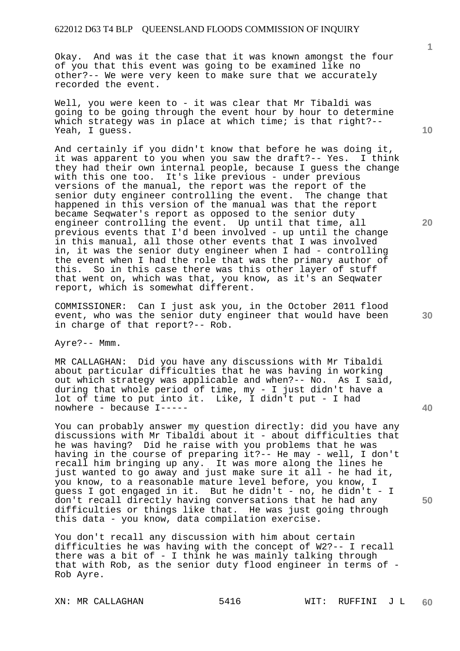Okay. And was it the case that it was known amongst the four of you that this event was going to be examined like no other?-- We were very keen to make sure that we accurately recorded the event.

Well, you were keen to - it was clear that Mr Tibaldi was going to be going through the event hour by hour to determine which strategy was in place at which time; is that right?--Yeah, I guess.

And certainly if you didn't know that before he was doing it, it was apparent to you when you saw the draft?-- Yes. I think they had their own internal people, because I guess the change with this one too. It's like previous - under previous versions of the manual, the report was the report of the senior duty engineer controlling the event. The change that happened in this version of the manual was that the report became Seqwater's report as opposed to the senior duty engineer controlling the event. Up until that time, all previous events that I'd been involved - up until the change in this manual, all those other events that I was involved in, it was the senior duty engineer when I had - controlling the event when I had the role that was the primary author of this. So in this case there was this other layer of stuff that went on, which was that, you know, as it's an Seqwater report, which is somewhat different.

COMMISSIONER: Can I just ask you, in the October 2011 flood event, who was the senior duty engineer that would have been in charge of that report?-- Rob.

Ayre?-- Mmm.

MR CALLAGHAN: Did you have any discussions with Mr Tibaldi about particular difficulties that he was having in working out which strategy was applicable and when?-- No. As I said, during that whole period of time, my - I just didn't have a lot of time to put into it. Like, I didn't put - I had nowhere - because I-----

You can probably answer my question directly: did you have any discussions with Mr Tibaldi about it - about difficulties that he was having? Did he raise with you problems that he was having in the course of preparing it?-- He may - well, I don't recall him bringing up any. It was more along the lines he just wanted to go away and just make sure it all - he had it, you know, to a reasonable mature level before, you know, I guess I got engaged in it. But he didn't - no, he didn't - I don't recall directly having conversations that he had any difficulties or things like that. He was just going through this data - you know, data compilation exercise.

You don't recall any discussion with him about certain difficulties he was having with the concept of W2?-- I recall there was a bit of - I think he was mainly talking through that with Rob, as the senior duty flood engineer in terms of - Rob Ayre.

XN: MR CALLAGHAN 5416 WIT: RUFFINI J L

**1**

**20** 

**40**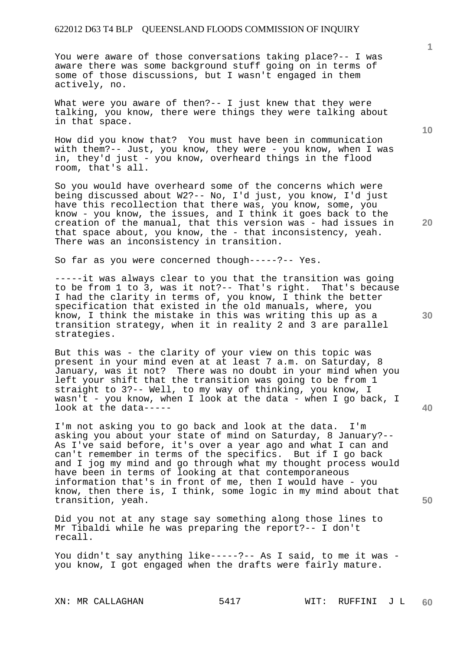You were aware of those conversations taking place?-- I was aware there was some background stuff going on in terms of some of those discussions, but I wasn't engaged in them actively, no.

What were you aware of then?-- I just knew that they were talking, you know, there were things they were talking about in that space.

How did you know that? You must have been in communication with them?-- Just, you know, they were - you know, when I was in, they'd just - you know, overheard things in the flood room, that's all.

So you would have overheard some of the concerns which were being discussed about W2?-- No, I'd just, you know, I'd just have this recollection that there was, you know, some, you know - you know, the issues, and I think it goes back to the creation of the manual, that this version was - had issues in that space about, you know, the - that inconsistency, yeah. There was an inconsistency in transition.

So far as you were concerned though-----?-- Yes.

-----it was always clear to you that the transition was going to be from 1 to 3, was it not?-- That's right. That's because I had the clarity in terms of, you know, I think the better specification that existed in the old manuals, where, you know, I think the mistake in this was writing this up as a transition strategy, when it in reality 2 and 3 are parallel strategies.

But this was - the clarity of your view on this topic was present in your mind even at at least 7 a.m. on Saturday, 8 January, was it not? There was no doubt in your mind when you left your shift that the transition was going to be from 1 straight to 3?-- Well, to my way of thinking, you know, I wasn't - you know, when I look at the data - when I go back, I look at the data-----

I'm not asking you to go back and look at the data. I'm asking you about your state of mind on Saturday, 8 January?-- As I've said before, it's over a year ago and what I can and can't remember in terms of the specifics. But if I go back and I jog my mind and go through what my thought process would have been in terms of looking at that contemporaneous information that's in front of me, then I would have - you know, then there is, I think, some logic in my mind about that transition, yeah.

Did you not at any stage say something along those lines to Mr Tibaldi while he was preparing the report?-- I don't recall.

You didn't say anything like-----?-- As I said, to me it was you know, I got engaged when the drafts were fairly mature.

**1**

**10** 

**30** 

**20**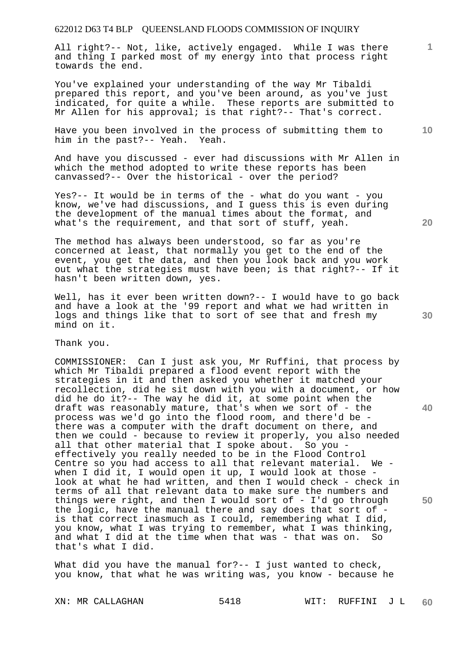All right?-- Not, like, actively engaged. While I was there and thing I parked most of my energy into that process right towards the end.

You've explained your understanding of the way Mr Tibaldi prepared this report, and you've been around, as you've just indicated, for quite a while. These reports are submitted to Mr Allen for his approval; is that right?-- That's correct.

Have you been involved in the process of submitting them to him in the past?-- Yeah. Yeah.

And have you discussed - ever had discussions with Mr Allen in which the method adopted to write these reports has been canvassed?-- Over the historical - over the period?

Yes?-- It would be in terms of the - what do you want - you know, we've had discussions, and I guess this is even during the development of the manual times about the format, and what's the requirement, and that sort of stuff, yeah.

The method has always been understood, so far as you're concerned at least, that normally you get to the end of the event, you get the data, and then you look back and you work out what the strategies must have been; is that right?-- If it hasn't been written down, yes.

Well, has it ever been written down?-- I would have to go back and have a look at the '99 report and what we had written in logs and things like that to sort of see that and fresh my mind on it.

Thank you.

COMMISSIONER: Can I just ask you, Mr Ruffini, that process by which Mr Tibaldi prepared a flood event report with the strategies in it and then asked you whether it matched your recollection, did he sit down with you with a document, or how did he do it?-- The way he did it, at some point when the draft was reasonably mature, that's when we sort of - the process was we'd go into the flood room, and there'd be there was a computer with the draft document on there, and then we could - because to review it properly, you also needed all that other material that I spoke about. So you effectively you really needed to be in the Flood Control Centre so you had access to all that relevant material. We when I did it, I would open it up, I would look at those look at what he had written, and then I would check - check in terms of all that relevant data to make sure the numbers and things were right, and then I would sort of - I'd go through the logic, have the manual there and say does that sort of is that correct inasmuch as I could, remembering what I did, you know, what I was trying to remember, what I was thinking, and what I did at the time when that was - that was on. So that's what I did.

What did you have the manual for?-- I just wanted to check, you know, that what he was writing was, you know - because he

**20** 

**10** 

**1**

**40**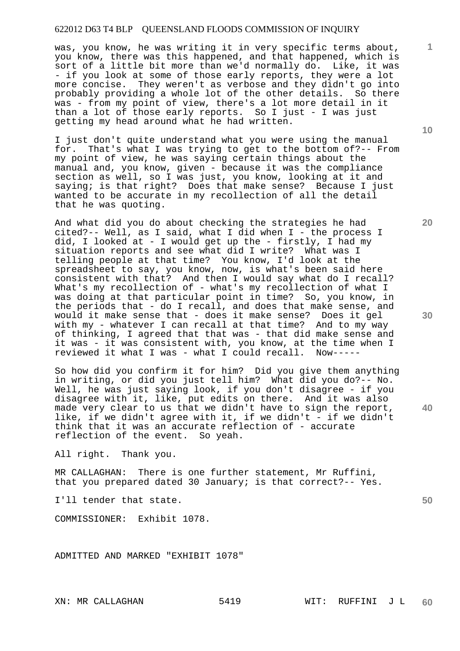was, you know, he was writing it in very specific terms about, you know, there was this happened, and that happened, which is sort of a little bit more than we'd normally do. Like, it was - if you look at some of those early reports, they were a lot more concise. They weren't as verbose and they didn't go into probably providing a whole lot of the other details. So there was - from my point of view, there's a lot more detail in it than a lot of those early reports. So I just - I was just getting my head around what he had written.

I just don't quite understand what you were using the manual for. That's what I was trying to get to the bottom of?-- From my point of view, he was saying certain things about the manual and, you know, given - because it was the compliance section as well, so I was just, you know, looking at it and saying; is that right? Does that make sense? Because I just wanted to be accurate in my recollection of all the detail that he was quoting.

And what did you do about checking the strategies he had cited?-- Well, as I said, what I did when I - the process I did, I looked at - I would get up the - firstly, I had my situation reports and see what did I write? What was I telling people at that time? You know, I'd look at the spreadsheet to say, you know, now, is what's been said here consistent with that? And then I would say what do I recall? What's my recollection of - what's my recollection of what I was doing at that particular point in time? So, you know, in the periods that - do I recall, and does that make sense, and would it make sense that - does it make sense? Does it gel with my - whatever I can recall at that time? And to my way of thinking, I agreed that that was - that did make sense and it was - it was consistent with, you know, at the time when I reviewed it what I was - what I could recall. Now-----

So how did you confirm it for him? Did you give them anything in writing, or did you just tell him? What did you do?-- No. Well, he was just saying look, if you don't disagree - if you disagree with it, like, put edits on there. And it was also made very clear to us that we didn't have to sign the report, like, if we didn't agree with it, if we didn't - if we didn't think that it was an accurate reflection of - accurate reflection of the event. So yeah.

All right. Thank you.

MR CALLAGHAN: There is one further statement, Mr Ruffini, that you prepared dated 30 January; is that correct?-- Yes.

I'll tender that state.

COMMISSIONER: Exhibit 1078.

ADMITTED AND MARKED "EXHIBIT 1078"

**10** 

**1**

**20** 

**30** 

**40**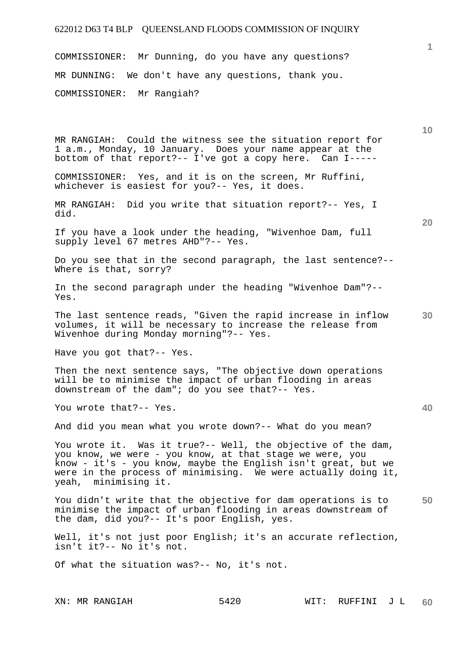COMMISSIONER: Mr Dunning, do you have any questions? MR DUNNING: We don't have any questions, thank you. COMMISSIONER: Mr Rangiah?

|                                                                                                                                                                                                                                                                                    | 10 |
|------------------------------------------------------------------------------------------------------------------------------------------------------------------------------------------------------------------------------------------------------------------------------------|----|
| MR RANGIAH: Could the witness see the situation report for<br>1 a.m., Monday, 10 January. Does your name appear at the<br>bottom of that report?-- I've got a copy here. Can I-----                                                                                                |    |
| COMMISSIONER: Yes, and it is on the screen, Mr Ruffini,<br>whichever is easiest for you?-- Yes, it does.                                                                                                                                                                           |    |
| Did you write that situation report?-- Yes, I<br>MR RANGIAH:<br>did.                                                                                                                                                                                                               | 20 |
| If you have a look under the heading, "Wivenhoe Dam, full<br>supply level 67 metres AHD"?-- Yes.                                                                                                                                                                                   |    |
| Do you see that in the second paragraph, the last sentence?--<br>Where is that, sorry?                                                                                                                                                                                             |    |
| In the second paragraph under the heading "Wivenhoe Dam"?--<br>Yes.                                                                                                                                                                                                                |    |
| The last sentence reads, "Given the rapid increase in inflow<br>volumes, it will be necessary to increase the release from<br>Wivenhoe during Monday morning"?-- Yes.                                                                                                              | 30 |
| Have you got that ?-- Yes.                                                                                                                                                                                                                                                         |    |
| Then the next sentence says, "The objective down operations<br>will be to minimise the impact of urban flooding in areas<br>downstream of the dam"; do you see that?-- Yes.                                                                                                        |    |
| You wrote that?-- Yes.                                                                                                                                                                                                                                                             | 40 |
| And did you mean what you wrote down?-- What do you mean?                                                                                                                                                                                                                          |    |
| You wrote it. Was it true?-- Well, the objective of the dam,<br>you know, we were - you know, at that stage we were, you<br>know - it's - you know, maybe the English isn't great, but we<br>were in the process of minimising. We were actually doing it,<br>yeah, minimising it. |    |
| You didn't write that the objective for dam operations is to<br>minimise the impact of urban flooding in areas downstream of<br>the dam, did you ?-- It's poor English, yes.                                                                                                       | 50 |
| Well, it's not just poor English; it's an accurate reflection,<br>isn't it ?-- No it's not.                                                                                                                                                                                        |    |
| Of what the situation was?-- No, it's not.                                                                                                                                                                                                                                         |    |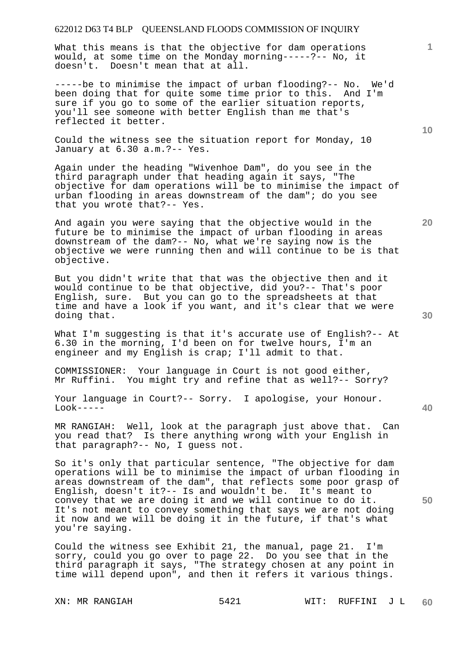What this means is that the objective for dam operations would, at some time on the Monday morning-----?-- No, it doesn't. Doesn't mean that at all.

-----be to minimise the impact of urban flooding?-- No. We'd been doing that for quite some time prior to this. And I'm sure if you go to some of the earlier situation reports, you'll see someone with better English than me that's reflected it better.

Could the witness see the situation report for Monday, 10 January at 6.30 a.m.?-- Yes.

Again under the heading "Wivenhoe Dam", do you see in the third paragraph under that heading again it says, "The objective for dam operations will be to minimise the impact of urban flooding in areas downstream of the dam"; do you see that you wrote that?-- Yes.

And again you were saying that the objective would in the future be to minimise the impact of urban flooding in areas downstream of the dam?-- No, what we're saying now is the objective we were running then and will continue to be is that objective.

But you didn't write that that was the objective then and it would continue to be that objective, did you?-- That's poor English, sure. But you can go to the spreadsheets at that time and have a look if you want, and it's clear that we were doing that.

What I'm suggesting is that it's accurate use of English?-- At 6.30 in the morning, I'd been on for twelve hours, I'm an engineer and my English is crap; I'll admit to that.

COMMISSIONER: Your language in Court is not good either, You might try and refine that as well?-- Sorry?

Your language in Court?-- Sorry. I apologise, your Honour.  $Look----$ 

MR RANGIAH: Well, look at the paragraph just above that. Can you read that? Is there anything wrong with your English in that paragraph?-- No, I guess not.

So it's only that particular sentence, "The objective for dam operations will be to minimise the impact of urban flooding in areas downstream of the dam", that reflects some poor grasp of English, doesn't it?-- Is and wouldn't be. It's meant to convey that we are doing it and we will continue to do it. It's not meant to convey something that says we are not doing it now and we will be doing it in the future, if that's what you're saying.

Could the witness see Exhibit 21, the manual, page 21. I'm sorry, could you go over to page 22. Do you see that in the third paragraph it says, "The strategy chosen at any point in time will depend upon", and then it refers it various things.

**10** 

**1**

**20** 

**40**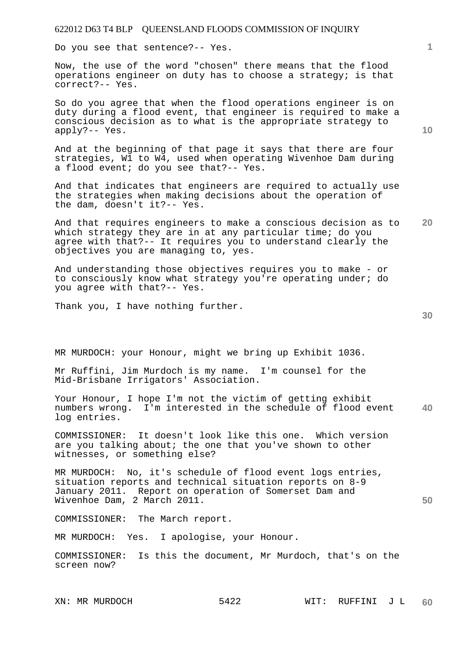Do you see that sentence?-- Yes.

Now, the use of the word "chosen" there means that the flood operations engineer on duty has to choose a strategy; is that correct?-- Yes.

So do you agree that when the flood operations engineer is on duty during a flood event, that engineer is required to make a conscious decision as to what is the appropriate strategy to apply?-- Yes.

And at the beginning of that page it says that there are four strategies, W1 to W4, used when operating Wivenhoe Dam during a flood event; do you see that?-- Yes.

And that indicates that engineers are required to actually use the strategies when making decisions about the operation of the dam, doesn't it?-- Yes.

**20**  And that requires engineers to make a conscious decision as to which strategy they are in at any particular time; do you agree with that?-- It requires you to understand clearly the objectives you are managing to, yes.

And understanding those objectives requires you to make - or to consciously know what strategy you're operating under; do you agree with that?-- Yes.

Thank you, I have nothing further.

MR MURDOCH: your Honour, might we bring up Exhibit 1036.

Mr Ruffini, Jim Murdoch is my name. I'm counsel for the Mid-Brisbane Irrigators' Association.

**40**  Your Honour, I hope I'm not the victim of getting exhibit numbers wrong. I'm interested in the schedule of flood event log entries.

COMMISSIONER: It doesn't look like this one. Which version are you talking about; the one that you've shown to other witnesses, or something else?

MR MURDOCH: No, it's schedule of flood event logs entries, situation reports and technical situation reports on 8-9 January 2011. Report on operation of Somerset Dam and Wivenhoe Dam, 2 March 2011.

COMMISSIONER: The March report.

MR MURDOCH: Yes. I apologise, your Honour.

COMMISSIONER: Is this the document, Mr Murdoch, that's on the screen now?

XN: MR MURDOCH 5422 WIT: RUFFINI J L **60** 

**30**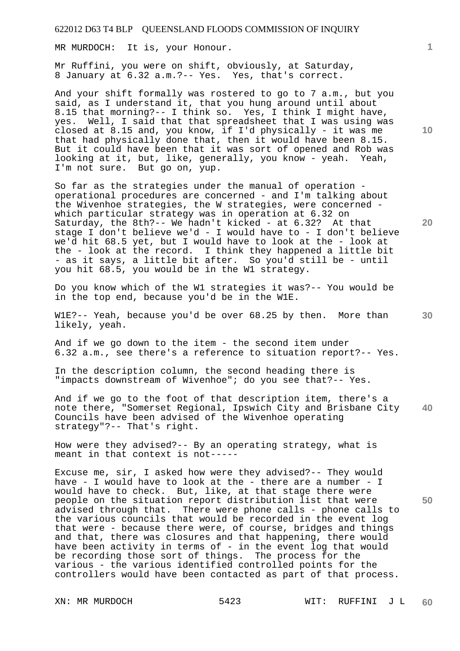MR MURDOCH: It is, your Honour.

Mr Ruffini, you were on shift, obviously, at Saturday, 8 January at 6.32 a.m.?-- Yes. Yes, that's correct.

And your shift formally was rostered to go to 7 a.m., but you said, as I understand it, that you hung around until about 8.15 that morning?-- I think so. Yes, I think I might have, yes. Well, I said that that spreadsheet that I was using was closed at 8.15 and, you know, if I'd physically - it was me that had physically done that, then it would have been 8.15. But it could have been that it was sort of opened and Rob was looking at it, but, like, generally, you know - yeah. Yeah, I'm not sure. But go on, yup.

So far as the strategies under the manual of operation operational procedures are concerned - and I'm talking about the Wivenhoe strategies, the W strategies, were concerned which particular strategy was in operation at 6.32 on Saturday, the 8th?-- We hadn't kicked - at 6.32? At that stage I don't believe we'd - I would have to - I don't believe we'd hit 68.5 yet, but I would have to look at the - look at the - look at the record. I think they happened a little bit - as it says, a little bit after. So you'd still be - until you hit 68.5, you would be in the W1 strategy.

Do you know which of the W1 strategies it was?-- You would be in the top end, because you'd be in the W1E.

W1E?-- Yeah, because you'd be over 68.25 by then. More than likely, yeah.

And if we go down to the item - the second item under 6.32 a.m., see there's a reference to situation report?-- Yes.

In the description column, the second heading there is "impacts downstream of Wivenhoe"; do you see that?-- Yes.

**40**  And if we go to the foot of that description item, there's a note there, "Somerset Regional, Ipswich City and Brisbane City Councils have been advised of the Wivenhoe operating strategy"?-- That's right.

How were they advised?-- By an operating strategy, what is meant in that context is not-----

Excuse me, sir, I asked how were they advised?-- They would have - I would have to look at the - there are a number - I would have to check. But, like, at that stage there were people on the situation report distribution list that were advised through that. There were phone calls - phone calls to the various councils that would be recorded in the event log that were - because there were, of course, bridges and things and that, there was closures and that happening, there would have been activity in terms of - in the event log that would be recording those sort of things. The process for the various - the various identified controlled points for the controllers would have been contacted as part of that process.

**10** 

**1**

**20**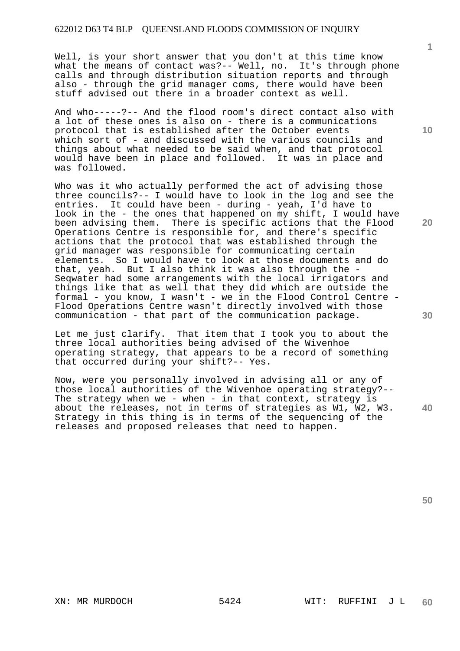Well, is your short answer that you don't at this time know what the means of contact was?-- Well, no. It's through phone calls and through distribution situation reports and through also - through the grid manager coms, there would have been stuff advised out there in a broader context as well.

And who-----?-- And the flood room's direct contact also with a lot of these ones is also on - there is a communications protocol that is established after the October events which sort of - and discussed with the various councils and things about what needed to be said when, and that protocol would have been in place and followed. It was in place and was followed.

Who was it who actually performed the act of advising those three councils?-- I would have to look in the log and see the entries. It could have been - during - yeah, I'd have to look in the - the ones that happened on my shift, I would have been advising them. There is specific actions that the Flood Operations Centre is responsible for, and there's specific actions that the protocol that was established through the grid manager was responsible for communicating certain elements. So I would have to look at those documents and do that, yeah. But I also think it was also through the - Seqwater had some arrangements with the local irrigators and things like that as well that they did which are outside the formal - you know, I wasn't - we in the Flood Control Centre - Flood Operations Centre wasn't directly involved with those communication - that part of the communication package.

Let me just clarify. That item that I took you to about the three local authorities being advised of the Wivenhoe operating strategy, that appears to be a record of something that occurred during your shift?-- Yes.

**40**  Now, were you personally involved in advising all or any of those local authorities of the Wivenhoe operating strategy?-- The strategy when we - when - in that context, strategy is about the releases, not in terms of strategies as W1, W2, W3. Strategy in this thing is in terms of the sequencing of the releases and proposed releases that need to happen.

**10** 

**1**

**20**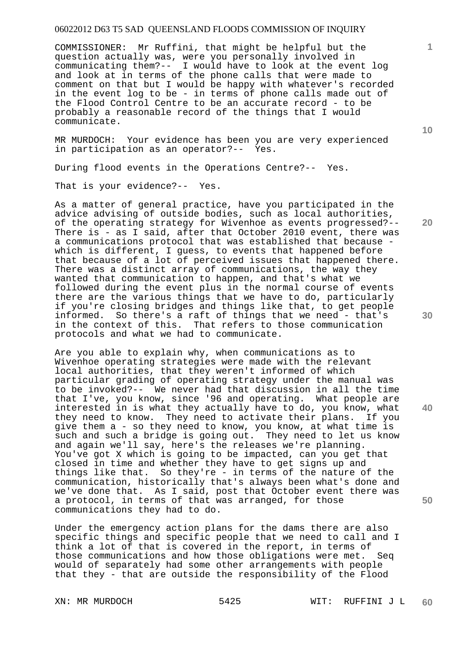COMMISSIONER: Mr Ruffini, that might be helpful but the question actually was, were you personally involved in communicating them?-- I would have to look at the event log and look at in terms of the phone calls that were made to comment on that but I would be happy with whatever's recorded in the event log to be - in terms of phone calls made out of the Flood Control Centre to be an accurate record - to be probably a reasonable record of the things that I would communicate.

MR MURDOCH: Your evidence has been you are very experienced in participation as an operator?-- Yes.

During flood events in the Operations Centre?-- Yes.

That is your evidence?-- Yes.

As a matter of general practice, have you participated in the advice advising of outside bodies, such as local authorities, of the operating strategy for Wivenhoe as events progressed?-- There is - as I said, after that October 2010 event, there was a communications protocol that was established that because which is different, I guess, to events that happened before that because of a lot of perceived issues that happened there. There was a distinct array of communications, the way they wanted that communication to happen, and that's what we followed during the event plus in the normal course of events there are the various things that we have to do, particularly if you're closing bridges and things like that, to get people informed. So there's a raft of things that we need - that's in the context of this. That refers to those communication protocols and what we had to communicate.

Are you able to explain why, when communications as to Wivenhoe operating strategies were made with the relevant local authorities, that they weren't informed of which particular grading of operating strategy under the manual was to be invoked?-- We never had that discussion in all the time that I've, you know, since '96 and operating. What people are interested in is what they actually have to do, you know, what they need to know. They need to activate their plans. If you give them a - so they need to know, you know, at what time is such and such a bridge is going out. They need to let us know and again we'll say, here's the releases we're planning. You've got X which is going to be impacted, can you get that closed in time and whether they have to get signs up and things like that. So they're - in terms of the nature of the communication, historically that's always been what's done and we've done that. As I said, post that October event there was a protocol, in terms of that was arranged, for those communications they had to do.

Under the emergency action plans for the dams there are also specific things and specific people that we need to call and I think a lot of that is covered in the report, in terms of those communications and how those obligations were met. Seq would of separately had some other arrangements with people that they - that are outside the responsibility of the Flood

**10** 

**20** 

**1**

**30** 

**40**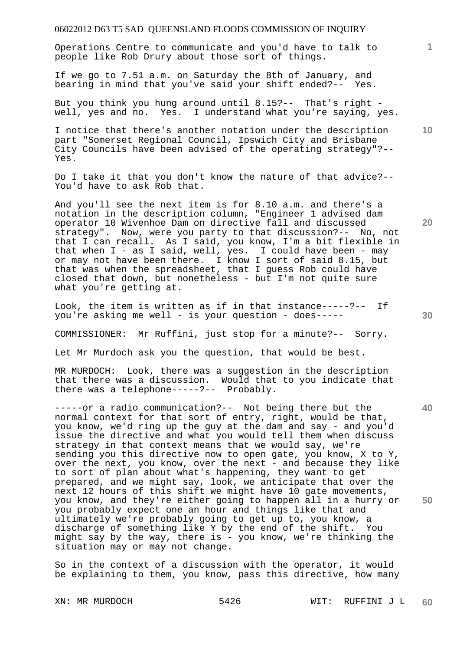Operations Centre to communicate and you'd have to talk to people like Rob Drury about those sort of things.

If we go to 7.51 a.m. on Saturday the 8th of January, and bearing in mind that you've said your shift ended?-- Yes.

But you think you hung around until 8.15?-- That's right well, yes and no. Yes. I understand what you're saying, yes.

I notice that there's another notation under the description part "Somerset Regional Council, Ipswich City and Brisbane City Councils have been advised of the operating strategy"?-- Yes.

Do I take it that you don't know the nature of that advice?-- You'd have to ask Rob that.

And you'll see the next item is for 8.10 a.m. and there's a notation in the description column, "Engineer 1 advised dam operator 10 Wivenhoe Dam on directive fall and discussed strategy". Now, were you party to that discussion?-- No, not that I can recall. As I said, you know, I'm a bit flexible in that when I - as I said, well, yes. I could have been - may or may not have been there. I know I sort of said 8.15, but that was when the spreadsheet, that I guess Rob could have closed that down, but nonetheless - but I'm not quite sure what you're getting at.

Look, the item is written as if in that instance-----?-- If you're asking me well - is your question - does-----

COMMISSIONER: Mr Ruffini, just stop for a minute?-- Sorry.

Let Mr Murdoch ask you the question, that would be best.

MR MURDOCH: Look, there was a suggestion in the description that there was a discussion. Would that to you indicate that there was a telephone-----?-- Probably.

-----or a radio communication?-- Not being there but the normal context for that sort of entry, right, would be that, you know, we'd ring up the guy at the dam and say - and you'd issue the directive and what you would tell them when discuss strategy in that context means that we would say, we're sending you this directive now to open gate, you know, X to Y, over the next, you know, over the next - and because they like to sort of plan about what's happening, they want to get prepared, and we might say, look, we anticipate that over the next 12 hours of this shift we might have 10 gate movements, you know, and they're either going to happen all in a hurry or you probably expect one an hour and things like that and ultimately we're probably going to get up to, you know, a discharge of something like Y by the end of the shift. You might say by the way, there is - you know, we're thinking the situation may or may not change.

So in the context of a discussion with the operator, it would be explaining to them, you know, pass this directive, how many

**10** 

**1**

**30** 

**20** 

**40**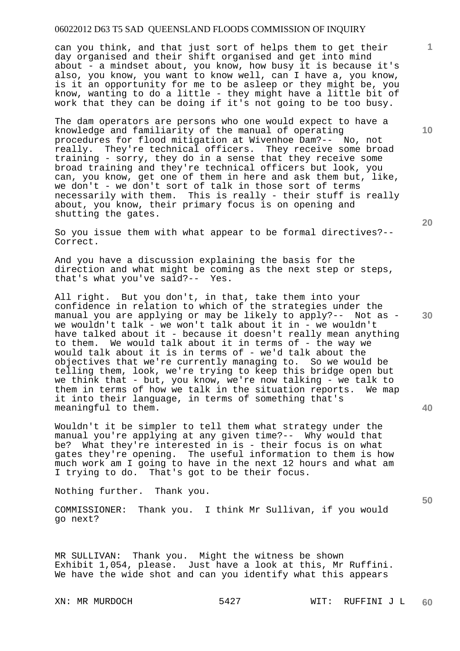can you think, and that just sort of helps them to get their day organised and their shift organised and get into mind about - a mindset about, you know, how busy it is because it's also, you know, you want to know well, can I have a, you know, is it an opportunity for me to be asleep or they might be, you know, wanting to do a little - they might have a little bit of work that they can be doing if it's not going to be too busy.

The dam operators are persons who one would expect to have a knowledge and familiarity of the manual of operating procedures for flood mitigation at Wivenhoe Dam?-- No, not really. They're technical officers. They receive some broad training - sorry, they do in a sense that they receive some broad training and they're technical officers but look, you can, you know, get one of them in here and ask them but, like, we don't - we don't sort of talk in those sort of terms necessarily with them. This is really - their stuff is really about, you know, their primary focus is on opening and shutting the gates.

So you issue them with what appear to be formal directives?-- Correct.

And you have a discussion explaining the basis for the direction and what might be coming as the next step or steps, that's what you've said?-- Yes.

All right. But you don't, in that, take them into your confidence in relation to which of the strategies under the manual you are applying or may be likely to apply?-- Not as we wouldn't talk - we won't talk about it in - we wouldn't have talked about it - because it doesn't really mean anything to them. We would talk about it in terms of  $-$  the way we would talk about it is in terms of - we'd talk about the objectives that we're currently managing to. So we would be telling them, look, we're trying to keep this bridge open but we think that - but, you know, we're now talking - we talk to them in terms of how we talk in the situation reports. We map it into their language, in terms of something that's meaningful to them.

Wouldn't it be simpler to tell them what strategy under the manual you're applying at any given time?-- Why would that be? What they're interested in is - their focus is on what gates they're opening. The useful information to them is how much work am I going to have in the next 12 hours and what am I trying to do. That's got to be their focus.

Nothing further. Thank you.

COMMISSIONER: Thank you. I think Mr Sullivan, if you would go next?

MR SULLIVAN: Thank you. Might the witness be shown Exhibit 1,054, please. Just have a look at this, Mr Ruffini. We have the wide shot and can you identify what this appears

**10** 

**1**

**20** 

**40**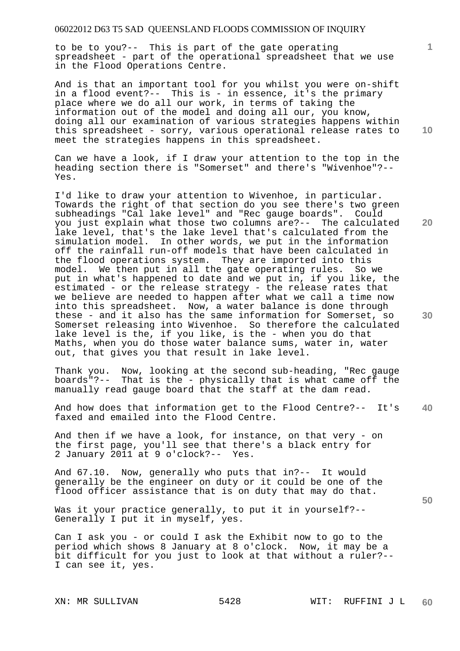to be to you?-- This is part of the gate operating spreadsheet - part of the operational spreadsheet that we use in the Flood Operations Centre.

And is that an important tool for you whilst you were on-shift in a flood event?-- This is - in essence, it's the primary place where we do all our work, in terms of taking the information out of the model and doing all our, you know, doing all our examination of various strategies happens within this spreadsheet - sorry, various operational release rates to meet the strategies happens in this spreadsheet.

Can we have a look, if I draw your attention to the top in the heading section there is "Somerset" and there's "Wivenhoe"?-- Yes.

I'd like to draw your attention to Wivenhoe, in particular. Towards the right of that section do you see there's two green subheadings "Cal lake level" and "Rec gauge boards". Could you just explain what those two columns are?-- The calculated lake level, that's the lake level that's calculated from the simulation model. In other words, we put in the information off the rainfall run-off models that have been calculated in the flood operations system. They are imported into this model. We then put in all the gate operating rules. So we put in what's happened to date and we put in, if you like, the estimated - or the release strategy - the release rates that we believe are needed to happen after what we call a time now into this spreadsheet. Now, a water balance is done through these - and it also has the same information for Somerset, so Somerset releasing into Wivenhoe. So therefore the calculated lake level is the, if you like, is the - when you do that Maths, when you do those water balance sums, water in, water out, that gives you that result in lake level.

Thank you. Now, looking at the second sub-heading, "Rec gauge boards"?-- That is the - physically that is what came off the manually read gauge board that the staff at the dam read.

**40**  And how does that information get to the Flood Centre?-- It's faxed and emailed into the Flood Centre.

And then if we have a look, for instance, on that very - on the first page, you'll see that there's a black entry for 2 January 2011 at 9 o'clock?-- Yes.

And 67.10. Now, generally who puts that in?-- It would generally be the engineer on duty or it could be one of the flood officer assistance that is on duty that may do that.

Was it your practice generally, to put it in yourself?--Generally I put it in myself, yes.

Can I ask you - or could I ask the Exhibit now to go to the period which shows 8 January at 8 o'clock. Now, it may be a bit difficult for you just to look at that without a ruler?-- I can see it, yes.

**10** 

**1**

**20** 

**30**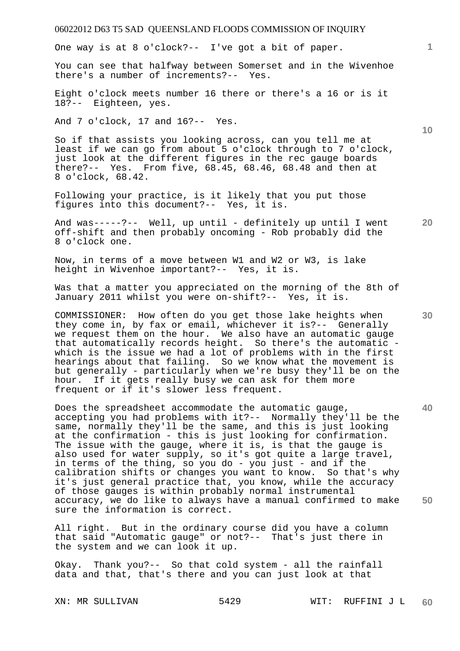One way is at 8 o'clock?-- I've got a bit of paper.

You can see that halfway between Somerset and in the Wivenhoe there's a number of increments?-- Yes.

Eight o'clock meets number 16 there or there's a 16 or is it 18?-- Eighteen, yes.

And 7 o'clock, 17 and 16?-- Yes.

So if that assists you looking across, can you tell me at least if we can go from about 5 o'clock through to 7 o'clock, just look at the different figures in the rec gauge boards there?-- Yes. From five, 68.45, 68.46, 68.48 and then at 8 o'clock, 68.42.

Following your practice, is it likely that you put those figures into this document?-- Yes, it is.

And was-----?-- Well, up until - definitely up until I went off-shift and then probably oncoming - Rob probably did the 8 o'clock one.

Now, in terms of a move between W1 and W2 or W3, is lake height in Wivenhoe important?-- Yes, it is.

Was that a matter you appreciated on the morning of the 8th of January 2011 whilst you were on-shift?-- Yes, it is.

COMMISSIONER: How often do you get those lake heights when they come in, by fax or email, whichever it is?-- Generally we request them on the hour. We also have an automatic gauge that automatically records height. So there's the automatic which is the issue we had a lot of problems with in the first hearings about that failing. So we know what the movement is but generally - particularly when we're busy they'll be on the hour. If it gets really busy we can ask for them more frequent or if it's slower less frequent.

**40 50**  Does the spreadsheet accommodate the automatic gauge, accepting you had problems with it?-- Normally they'll be the same, normally they'll be the same, and this is just looking at the confirmation - this is just looking for confirmation. The issue with the gauge, where it is, is that the gauge is also used for water supply, so it's got quite a large travel, in terms of the thing, so you do - you just - and if the calibration shifts or changes you want to know. So that's why it's just general practice that, you know, while the accuracy of those gauges is within probably normal instrumental accuracy, we do like to always have a manual confirmed to make sure the information is correct.

All right. But in the ordinary course did you have a column that said "Automatic gauge" or not?-- That's just there in the system and we can look it up.

Okay. Thank you?-- So that cold system - all the rainfall data and that, that's there and you can just look at that

**10** 

**1**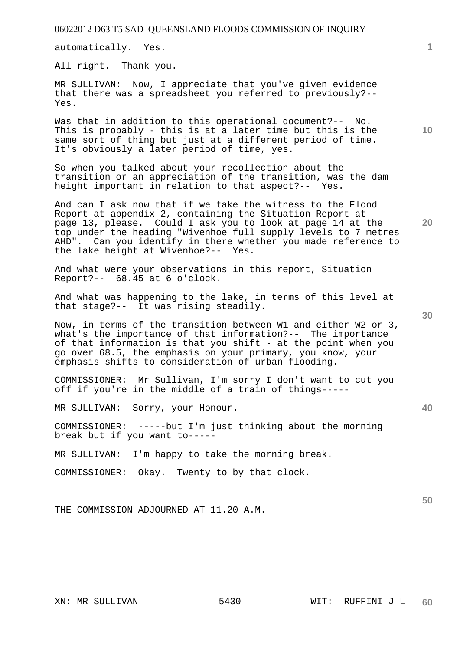automatically. Yes.

All right. Thank you.

MR SULLIVAN: Now, I appreciate that you've given evidence that there was a spreadsheet you referred to previously?-- Yes.

Was that in addition to this operational document?-- No. This is probably - this is at a later time but this is the same sort of thing but just at a different period of time. It's obviously a later period of time, yes.

So when you talked about your recollection about the transition or an appreciation of the transition, was the dam height important in relation to that aspect?-- Yes.

And can I ask now that if we take the witness to the Flood Report at appendix 2, containing the Situation Report at page 13, please. Could I ask you to look at page 14 at the top under the heading "Wivenhoe full supply levels to 7 metres AHD". Can you identify in there whether you made reference to the lake height at Wivenhoe?-- Yes.

And what were your observations in this report, Situation Report?-- 68.45 at 6 o'clock.

And what was happening to the lake, in terms of this level at that stage?-- It was rising steadily.

Now, in terms of the transition between W1 and either W2 or 3, what's the importance of that information?-- The importance of that information is that you shift - at the point when you go over 68.5, the emphasis on your primary, you know, your emphasis shifts to consideration of urban flooding.

COMMISSIONER: Mr Sullivan, I'm sorry I don't want to cut you off if you're in the middle of a train of things-----

MR SULLIVAN: Sorry, your Honour.

COMMISSIONER: -----but I'm just thinking about the morning break but if you want to-----

MR SULLIVAN: I'm happy to take the morning break.

COMMISSIONER: Okay. Twenty to by that clock.

THE COMMISSION ADJOURNED AT 11.20 A.M.

**1**

**20** 

**10** 

**30** 

**40**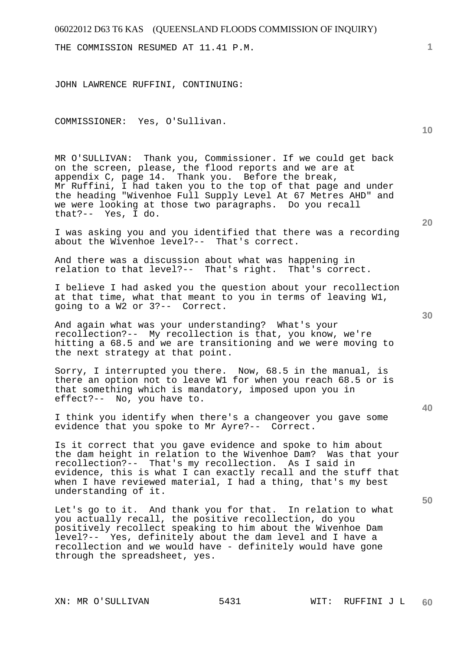THE COMMISSION RESUMED AT 11.41 P.M.

JOHN LAWRENCE RUFFINI, CONTINUING:

COMMISSIONER: Yes, O'Sullivan.

MR O'SULLIVAN: Thank you, Commissioner. If we could get back on the screen, please, the flood reports and we are at appendix C, page 14. Thank you. Before the break, Mr Ruffini, I had taken you to the top of that page and under the heading "Wivenhoe Full Supply Level At 67 Metres AHD" and we were looking at those two paragraphs. Do you recall that?-- Yes, I do.

I was asking you and you identified that there was a recording about the Wivenhoe level?-- That's correct.

And there was a discussion about what was happening in relation to that level?-- That's right. That's correct.

I believe I had asked you the question about your recollection at that time, what that meant to you in terms of leaving W1, going to a W2 or 3?-- Correct.

And again what was your understanding? What's your recollection?-- My recollection is that, you know, we're hitting a 68.5 and we are transitioning and we were moving to the next strategy at that point.

Sorry, I interrupted you there. Now, 68.5 in the manual, is there an option not to leave W1 for when you reach 68.5 or is that something which is mandatory, imposed upon you in effect?-- No, you have to.

I think you identify when there's a changeover you gave some evidence that you spoke to Mr Ayre?-- Correct.

Is it correct that you gave evidence and spoke to him about the dam height in relation to the Wivenhoe Dam? Was that your recollection?-- That's my recollection. As I said in evidence, this is what I can exactly recall and the stuff that when I have reviewed material, I had a thing, that's my best understanding of it.

Let's go to it. And thank you for that. In relation to what you actually recall, the positive recollection, do you positively recollect speaking to him about the Wivenhoe Dam level?-- Yes, definitely about the dam level and I have a recollection and we would have - definitely would have gone through the spreadsheet, yes.

**10** 

**1**

**30** 

**20** 

**40**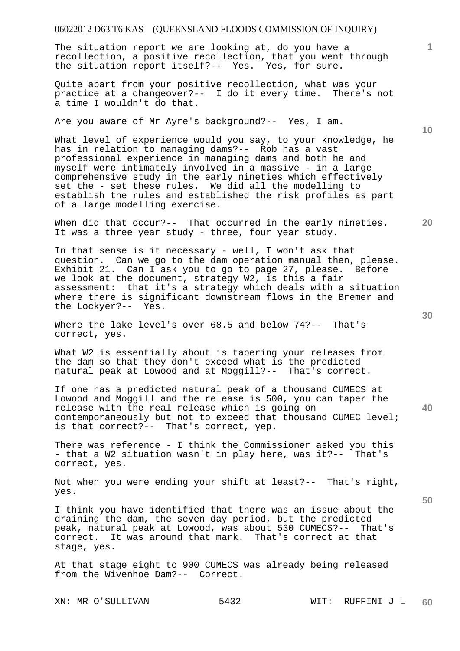The situation report we are looking at, do you have a recollection, a positive recollection, that you went through the situation report itself?-- Yes. Yes, for sure.

Quite apart from your positive recollection, what was your practice at a changeover?-- I do it every time. There's not a time I wouldn't do that.

Are you aware of Mr Ayre's background?-- Yes, I am.

What level of experience would you say, to your knowledge, he has in relation to managing dams?-- Rob has a vast professional experience in managing dams and both he and myself were intimately involved in a massive - in a large comprehensive study in the early nineties which effectively set the - set these rules. We did all the modelling to establish the rules and established the risk profiles as part of a large modelling exercise.

When did that occur?-- That occurred in the early nineties. It was a three year study - three, four year study.

In that sense is it necessary - well, I won't ask that question. Can we go to the dam operation manual then, please. Exhibit 21. Can I ask you to go to page 27, please. Before we look at the document, strategy W2, is this a fair assessment: that it's a strategy which deals with a situation where there is significant downstream flows in the Bremer and the Lockyer?-- Yes.

Where the lake level's over 68.5 and below 74?-- That's correct, yes.

What W2 is essentially about is tapering your releases from the dam so that they don't exceed what is the predicted natural peak at Lowood and at Moggill?-- That's correct.

If one has a predicted natural peak of a thousand CUMECS at Lowood and Moggill and the release is 500, you can taper the release with the real release which is going on contemporaneously but not to exceed that thousand CUMEC level; is that correct?-- That's correct, yep.

There was reference - I think the Commissioner asked you this - that a W2 situation wasn't in play here, was it?-- That's correct, yes.

Not when you were ending your shift at least?-- That's right, yes.

I think you have identified that there was an issue about the draining the dam, the seven day period, but the predicted peak, natural peak at Lowood, was about 530 CUMECS?-- That's correct. It was around that mark. That's correct at that stage, yes.

At that stage eight to 900 CUMECS was already being released from the Wivenhoe Dam?-- Correct.

XN: MR O'SULLIVAN 5432 WIT: RUFFINI J L

**30** 

**20** 

**10** 

**1**

**50**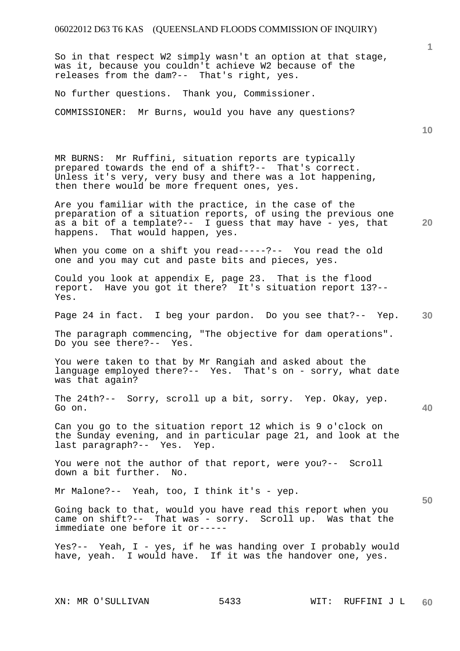So in that respect W2 simply wasn't an option at that stage, was it, because you couldn't achieve W2 because of the releases from the dam?-- That's right, yes.

No further questions. Thank you, Commissioner.

COMMISSIONER: Mr Burns, would you have any questions?

**10** 

MR BURNS: Mr Ruffini, situation reports are typically prepared towards the end of a shift?-- That's correct. Unless it's very, very busy and there was a lot happening, then there would be more frequent ones, yes.

**20**  Are you familiar with the practice, in the case of the preparation of a situation reports, of using the previous one as a bit of a template?-- I guess that may have - yes, that happens. That would happen, yes.

When you come on a shift you read-----?-- You read the old one and you may cut and paste bits and pieces, yes.

Could you look at appendix E, page 23. That is the flood report. Have you got it there? It's situation report 13?-- Yes.

**30**  Page 24 in fact. I beg your pardon. Do you see that?-- Yep.

The paragraph commencing, "The objective for dam operations". Do you see there?-- Yes.

You were taken to that by Mr Rangiah and asked about the language employed there?-- Yes. That's on - sorry, what date was that again?

The 24th?-- Sorry, scroll up a bit, sorry. Yep. Okay, yep. Go on.

Can you go to the situation report 12 which is 9 o'clock on the Sunday evening, and in particular page 21, and look at the last paragraph?-- Yes. Yep.

You were not the author of that report, were you?-- Scroll down a bit further. No.

Mr Malone?-- Yeah, too, I think it's - yep.

Going back to that, would you have read this report when you came on shift?-- That was - sorry. Scroll up. Was that the immediate one before it or-----

Yes?-- Yeah, I - yes, if he was handing over I probably would have, yeah. I would have. If it was the handover one, yes.

**40**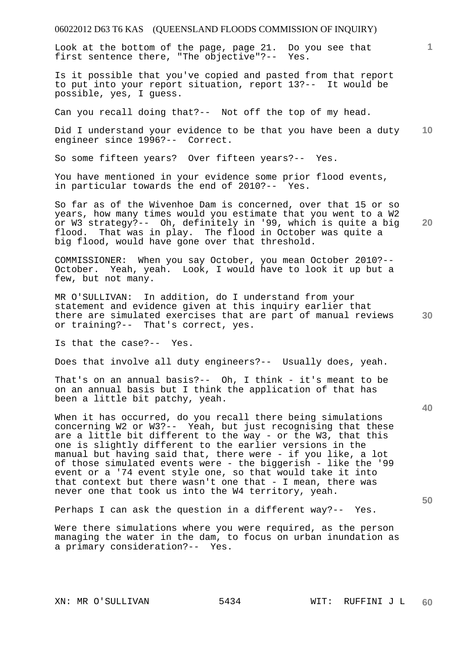Look at the bottom of the page, page 21. Do you see that first sentence there, "The objective"?-- Yes.

Is it possible that you've copied and pasted from that report to put into your report situation, report 13?-- It would be possible, yes, I guess.

Can you recall doing that?-- Not off the top of my head.

**10**  Did I understand your evidence to be that you have been a duty engineer since 1996?-- Correct.

So some fifteen years? Over fifteen years?-- Yes.

You have mentioned in your evidence some prior flood events, in particular towards the end of 2010?-- Yes.

**20**  So far as of the Wivenhoe Dam is concerned, over that 15 or so years, how many times would you estimate that you went to a W2 or W3 strategy?-- Oh, definitely in '99, which is quite a big flood. That was in play. The flood in October was quite a big flood, would have gone over that threshold.

COMMISSIONER: When you say October, you mean October 2010?-- October. Yeah, yeah. Look, I would have to look it up but a few, but not many.

MR O'SULLIVAN: In addition, do I understand from your statement and evidence given at this inquiry earlier that there are simulated exercises that are part of manual reviews or training?-- That's correct, yes.

Is that the case?-- Yes.

Does that involve all duty engineers?-- Usually does, yeah.

That's on an annual basis?-- Oh, I think - it's meant to be on an annual basis but I think the application of that has been a little bit patchy, yeah.

When it has occurred, do you recall there being simulations concerning W2 or W3?-- Yeah, but just recognising that these are a little bit different to the way - or the W3, that this one is slightly different to the earlier versions in the manual but having said that, there were - if you like, a lot of those simulated events were - the biggerish - like the '99 event or a '74 event style one, so that would take it into that context but there wasn't one that - I mean, there was never one that took us into the W4 territory, yeah.

Perhaps I can ask the question in a different way?-- Yes.

Were there simulations where you were required, as the person managing the water in the dam, to focus on urban inundation as a primary consideration?-- Yes.

**1**

**30**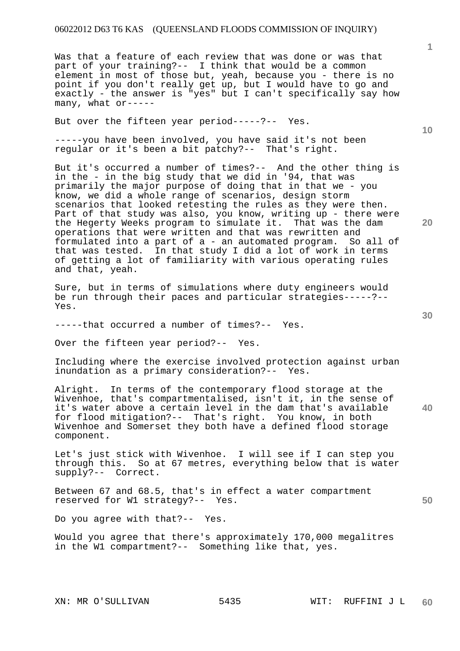Was that a feature of each review that was done or was that part of your training?-- I think that would be a common element in most of those but, yeah, because you - there is no point if you don't really get up, but I would have to go and exactly - the answer is "yes" but I can't specifically say how many, what or-----

But over the fifteen year period-----?-- Yes.

-----you have been involved, you have said it's not been regular or it's been a bit patchy?-- That's right.

But it's occurred a number of times?-- And the other thing is in the - in the big study that we did in '94, that was primarily the major purpose of doing that in that we - you know, we did a whole range of scenarios, design storm scenarios that looked retesting the rules as they were then. Part of that study was also, you know, writing up - there were the Hegerty Weeks program to simulate it. That was the dam operations that were written and that was rewritten and formulated into a part of a - an automated program. So all of that was tested. In that study I did a lot of work in terms of getting a lot of familiarity with various operating rules and that, yeah.

Sure, but in terms of simulations where duty engineers would be run through their paces and particular strategies-----?-- Yes.

-----that occurred a number of times?-- Yes.

Over the fifteen year period?-- Yes.

Including where the exercise involved protection against urban inundation as a primary consideration?-- Yes.

**40**  Alright. In terms of the contemporary flood storage at the Wivenhoe, that's compartmentalised, isn't it, in the sense of it's water above a certain level in the dam that's available for flood mitigation?-- That's right. You know, in both Wivenhoe and Somerset they both have a defined flood storage component.

Let's just stick with Wivenhoe. I will see if I can step you through this. So at 67 metres, everything below that is water supply?-- Correct.

Between 67 and 68.5, that's in effect a water compartment reserved for W1 strategy?-- Yes.

Do you agree with that?-- Yes.

Would you agree that there's approximately 170,000 megalitres in the W1 compartment?-- Something like that, yes.

**1**

**20** 

**10** 

**30**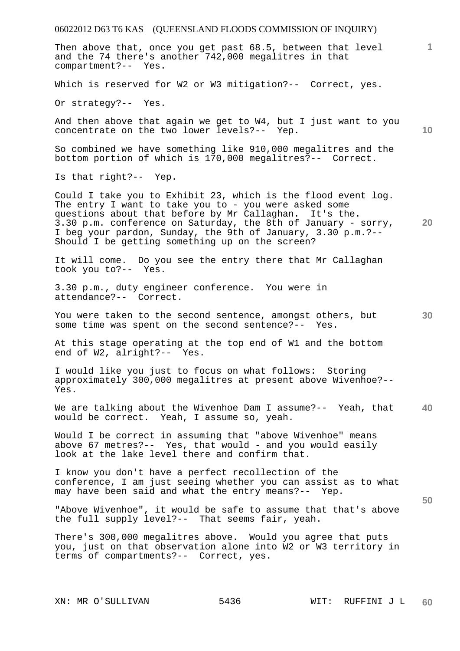06022012 D63 T6 KAS (QUEENSLAND FLOODS COMMISSION OF INQUIRY) XN: MR O'SULLIVAN 5436 WIT: RUFFINI J L **1 10 20 30 40 50 60**  Then above that, once you get past 68.5, between that level and the 74 there's another 742,000 megalitres in that compartment?-- Yes. Which is reserved for W2 or W3 mitigation?-- Correct, yes. Or strategy?-- Yes. And then above that again we get to W4, but I just want to you concentrate on the two lower levels?-- Yep. So combined we have something like 910,000 megalitres and the bottom portion of which is 170,000 megalitres?-- Correct. Is that right?-- Yep. Could I take you to Exhibit 23, which is the flood event log. The entry I want to take you to - you were asked some questions about that before by Mr Callaghan. It's the. 3.30 p.m. conference on Saturday, the 8th of January - sorry, I beg your pardon, Sunday, the 9th of January, 3.30 p.m.?-- Should I be getting something up on the screen? It will come. Do you see the entry there that Mr Callaghan took you to?-- Yes. 3.30 p.m., duty engineer conference. You were in attendance?-- Correct. You were taken to the second sentence, amongst others, but some time was spent on the second sentence?-- Yes. At this stage operating at the top end of W1 and the bottom end of W2, alright?-- Yes. I would like you just to focus on what follows: Storing approximately 300,000 megalitres at present above Wivenhoe?-- Yes. We are talking about the Wivenhoe Dam I assume?-- Yeah, that would be correct. Yeah, I assume so, yeah. Would I be correct in assuming that "above Wivenhoe" means above 67 metres?-- Yes, that would - and you would easily look at the lake level there and confirm that. I know you don't have a perfect recollection of the conference, I am just seeing whether you can assist as to what may have been said and what the entry means?-- Yep. "Above Wivenhoe", it would be safe to assume that that's above the full supply level?-- That seems fair, yeah. There's 300,000 megalitres above. Would you agree that puts you, just on that observation alone into W2 or W3 territory in terms of compartments?-- Correct, yes.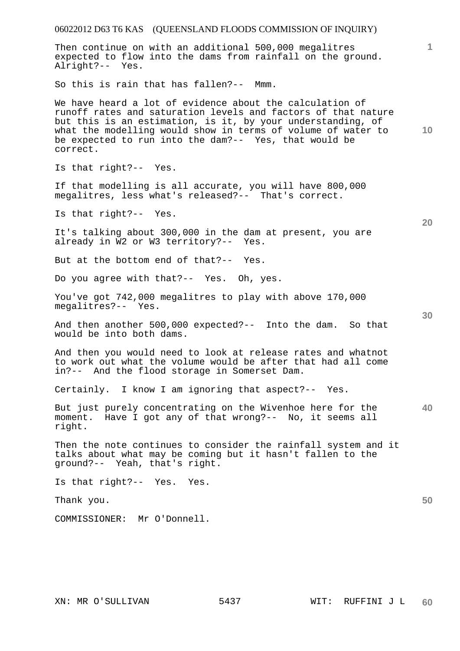| 06022012 D63 T6 KAS (QUEENSLAND FLOODS COMMISSION OF INQUIRY)                                                                                                                                                                                                                                                                 |    |
|-------------------------------------------------------------------------------------------------------------------------------------------------------------------------------------------------------------------------------------------------------------------------------------------------------------------------------|----|
| Then continue on with an additional 500,000 megalitres<br>expected to flow into the dams from rainfall on the ground.<br>Alright?-- Yes.                                                                                                                                                                                      | 1  |
| So this is rain that has fallen?-- Mmm.                                                                                                                                                                                                                                                                                       |    |
| We have heard a lot of evidence about the calculation of<br>runoff rates and saturation levels and factors of that nature<br>but this is an estimation, is it, by your understanding, of<br>what the modelling would show in terms of volume of water to<br>be expected to run into the dam?-- Yes, that would be<br>correct. | 10 |
| Is that right?-- Yes.                                                                                                                                                                                                                                                                                                         |    |
| If that modelling is all accurate, you will have 800,000<br>megalitres, less what's released?-- That's correct.                                                                                                                                                                                                               |    |
| Is that right?-- Yes.                                                                                                                                                                                                                                                                                                         | 20 |
| It's talking about 300,000 in the dam at present, you are<br>already in W2 or W3 territory?-- Yes.                                                                                                                                                                                                                            |    |
| But at the bottom end of that?-- Yes.                                                                                                                                                                                                                                                                                         |    |
| Do you agree with that?-- Yes. Oh, yes.                                                                                                                                                                                                                                                                                       |    |
| You've got 742,000 megalitres to play with above 170,000<br>megalitres?-- Yes.                                                                                                                                                                                                                                                | 30 |
| And then another 500,000 expected?-- Into the dam. So that<br>would be into both dams.                                                                                                                                                                                                                                        |    |
| And then you would need to look at release rates and whatnot<br>to work out what the volume would be after that had all come<br>in?-- And the flood storage in Somerset Dam.                                                                                                                                                  |    |
| Certainly. I know I am ignoring that aspect?-- Yes.                                                                                                                                                                                                                                                                           |    |
| But just purely concentrating on the Wivenhoe here for the<br>moment. Have I got any of that wrong?-- No, it seems all<br>right.                                                                                                                                                                                              | 40 |
| Then the note continues to consider the rainfall system and it<br>talks about what may be coming but it hasn't fallen to the<br>ground?-- Yeah, that's right.                                                                                                                                                                 |    |
| Is that right?-- Yes. Yes.                                                                                                                                                                                                                                                                                                    |    |
| Thank you.                                                                                                                                                                                                                                                                                                                    | 50 |
| COMMISSIONER: Mr O'Donnell.                                                                                                                                                                                                                                                                                                   |    |
|                                                                                                                                                                                                                                                                                                                               |    |
|                                                                                                                                                                                                                                                                                                                               |    |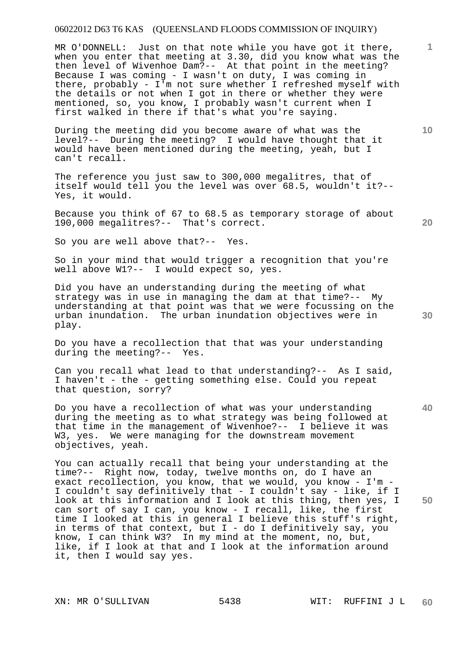MR O'DONNELL: Just on that note while you have got it there, when you enter that meeting at 3.30, did you know what was the then level of Wivenhoe Dam?-- At that point in the meeting? Because I was coming - I wasn't on duty, I was coming in there, probably - I'm not sure whether I refreshed myself with the details or not when I got in there or whether they were mentioned, so, you know, I probably wasn't current when I first walked in there if that's what you're saying.

During the meeting did you become aware of what was the level?-- During the meeting? I would have thought that it would have been mentioned during the meeting, yeah, but I can't recall.

The reference you just saw to 300,000 megalitres, that of itself would tell you the level was over 68.5, wouldn't it?-- Yes, it would.

Because you think of 67 to 68.5 as temporary storage of about 190,000 megalitres?-- That's correct.

So you are well above that?-- Yes.

So in your mind that would trigger a recognition that you're well above W1?-- I would expect so, yes.

Did you have an understanding during the meeting of what strategy was in use in managing the dam at that time?-- My understanding at that point was that we were focussing on the urban inundation. The urban inundation objectives were in play.

Do you have a recollection that that was your understanding during the meeting?-- Yes.

Can you recall what lead to that understanding?-- As I said, I haven't - the - getting something else. Could you repeat that question, sorry?

Do you have a recollection of what was your understanding during the meeting as to what strategy was being followed at that time in the management of Wivenhoe?-- I believe it was W3, yes. We were managing for the downstream movement objectives, yeah.

You can actually recall that being your understanding at the time?-- Right now, today, twelve months on, do I have an exact recollection, you know, that we would, you know - I'm - I couldn't say definitively that - I couldn't say - like, if I look at this information and I look at this thing, then yes, I can sort of say I can, you know - I recall, like, the first time I looked at this in general I believe this stuff's right, in terms of that context, but  $I -$  do I definitively say, you know, I can think W3? In my mind at the moment, no, but, like, if I look at that and I look at the information around it, then I would say yes.

**10** 

**1**

**20** 

**40**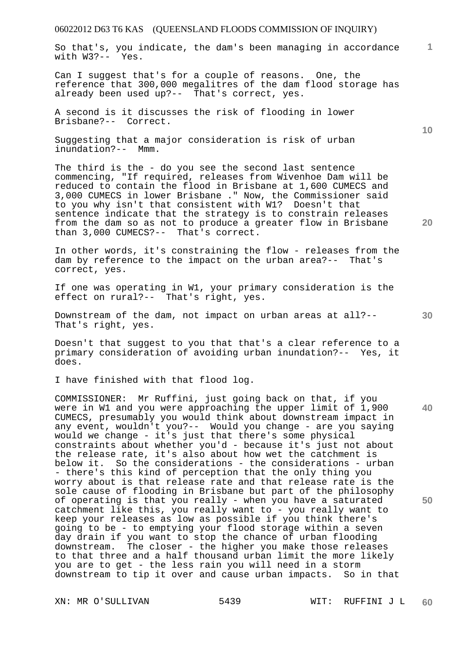So that's, you indicate, the dam's been managing in accordance with W3?-- Yes.

Can I suggest that's for a couple of reasons. One, the reference that 300,000 megalitres of the dam flood storage has already been used up?-- That's correct, yes.

A second is it discusses the risk of flooding in lower Brisbane?-- Correct.

Suggesting that a major consideration is risk of urban inundation?-- Mmm.

The third is the - do you see the second last sentence commencing, "If required, releases from Wivenhoe Dam will be reduced to contain the flood in Brisbane at 1,600 CUMECS and 3,000 CUMECS in lower Brisbane ." Now, the Commissioner said to you why isn't that consistent with W1? Doesn't that sentence indicate that the strategy is to constrain releases from the dam so as not to produce a greater flow in Brisbane than 3,000 CUMECS?-- That's correct.

In other words, it's constraining the flow - releases from the dam by reference to the impact on the urban area?-- That's correct, yes.

If one was operating in W1, your primary consideration is the effect on rural?-- That's right, yes.

Downstream of the dam, not impact on urban areas at all?-- That's right, yes.

Doesn't that suggest to you that that's a clear reference to a primary consideration of avoiding urban inundation?-- Yes, it does.

I have finished with that flood log.

COMMISSIONER: Mr Ruffini, just going back on that, if you were in W1 and you were approaching the upper limit of 1,900 CUMECS, presumably you would think about downstream impact in any event, wouldn't you?-- Would you change - are you saying would we change - it's just that there's some physical constraints about whether you'd - because it's just not about the release rate, it's also about how wet the catchment is below it. So the considerations - the considerations - urban - there's this kind of perception that the only thing you worry about is that release rate and that release rate is the sole cause of flooding in Brisbane but part of the philosophy of operating is that you really - when you have a saturated catchment like this, you really want to - you really want to keep your releases as low as possible if you think there's going to be - to emptying your flood storage within a seven day drain if you want to stop the chance of urban flooding downstream. The closer - the higher you make those releases to that three and a half thousand urban limit the more likely you are to get - the less rain you will need in a storm downstream to tip it over and cause urban impacts. So in that

XN: MR O'SULLIVAN 5439 WIT: RUFFINI J L

**10** 

**1**

**30** 

**20**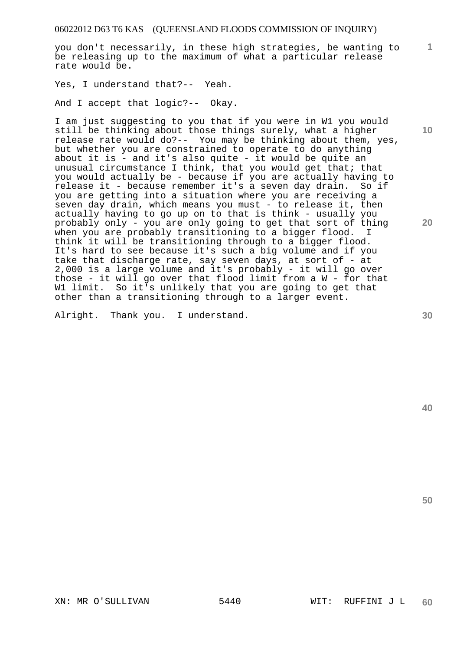you don't necessarily, in these high strategies, be wanting to be releasing up to the maximum of what a particular release rate would be.

Yes, I understand that?-- Yeah.

And I accept that logic?-- Okay.

I am just suggesting to you that if you were in W1 you would still be thinking about those things surely, what a higher release rate would do?-- You may be thinking about them, yes, but whether you are constrained to operate to do anything about it is - and it's also quite - it would be quite an unusual circumstance I think, that you would get that; that you would actually be - because if you are actually having to release it - because remember it's a seven day drain. So if you are getting into a situation where you are receiving a seven day drain, which means you must - to release it, then actually having to go up on to that is think - usually you probably only - you are only going to get that sort of thing when you are probably transitioning to a bigger flood. I think it will be transitioning through to a bigger flood. It's hard to see because it's such a big volume and if you take that discharge rate, say seven days, at sort of - at 2,000 is a large volume and it's probably - it will go over those - it will go over that flood limit from a W - for that W1 limit. So it's unlikely that you are going to get that other than a transitioning through to a larger event.

Alright. Thank you. I understand.

**10** 

**1**

**20** 

**40**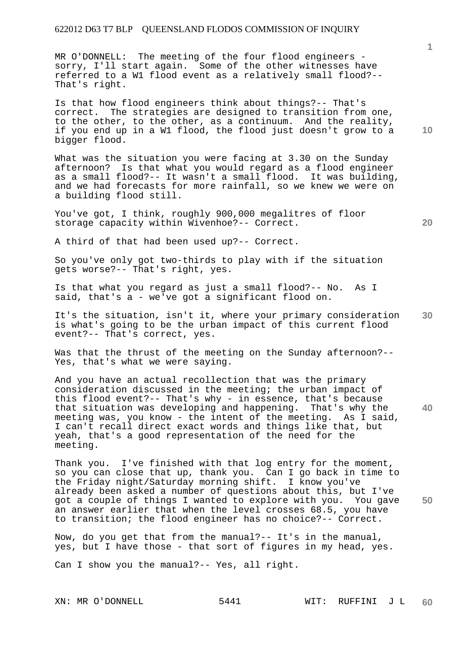MR O'DONNELL: The meeting of the four flood engineers sorry, I'll start again. Some of the other witnesses have referred to a W1 flood event as a relatively small flood?-- That's right.

Is that how flood engineers think about things?-- That's correct. The strategies are designed to transition from one, to the other, to the other, as a continuum. And the reality, if you end up in a W1 flood, the flood just doesn't grow to a bigger flood.

What was the situation you were facing at 3.30 on the Sunday afternoon? Is that what you would regard as a flood engineer as a small flood?-- It wasn't a small flood. It was building, and we had forecasts for more rainfall, so we knew we were on a building flood still.

You've got, I think, roughly 900,000 megalitres of floor storage capacity within Wivenhoe?-- Correct.

A third of that had been used up?-- Correct.

So you've only got two-thirds to play with if the situation gets worse?-- That's right, yes.

Is that what you regard as just a small flood?-- No. As I said, that's a - we've got a significant flood on.

**30**  It's the situation, isn't it, where your primary consideration is what's going to be the urban impact of this current flood event?-- That's correct, yes.

Was that the thrust of the meeting on the Sunday afternoon?-- Yes, that's what we were saying.

And you have an actual recollection that was the primary consideration discussed in the meeting; the urban impact of this flood event?-- That's why - in essence, that's because that situation was developing and happening. That's why the meeting was, you know - the intent of the meeting. As I said, I can't recall direct exact words and things like that, but yeah, that's a good representation of the need for the meeting.

**50**  Thank you. I've finished with that log entry for the moment, so you can close that up, thank you. Can I go back in time to the Friday night/Saturday morning shift. I know you've already been asked a number of questions about this, but I've got a couple of things I wanted to explore with you. You gave an answer earlier that when the level crosses 68.5, you have to transition; the flood engineer has no choice?-- Correct.

Now, do you get that from the manual?-- It's in the manual, yes, but I have those - that sort of figures in my head, yes.

Can I show you the manual?-- Yes, all right.

XN: MR O'DONNELL 5441 WIT: RUFFINI J L **60** 

**10** 

**1**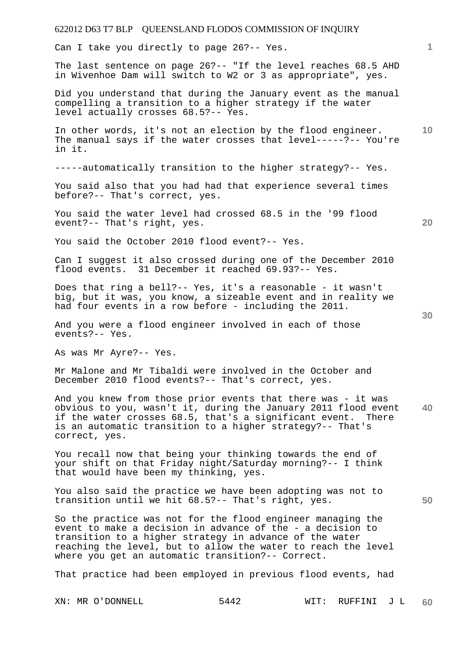Can I take you directly to page 26?-- Yes.

The last sentence on page 26?-- "If the level reaches 68.5 AHD in Wivenhoe Dam will switch to W2 or 3 as appropriate", yes.

Did you understand that during the January event as the manual compelling a transition to a higher strategy if the water level actually crosses 68.5?-- Yes.

In other words, it's not an election by the flood engineer. The manual says if the water crosses that level-----?-- You're in it.

-----automatically transition to the higher strategy?-- Yes.

You said also that you had had that experience several times before?-- That's correct, yes.

You said the water level had crossed 68.5 in the '99 flood event?-- That's right, yes.

You said the October 2010 flood event?-- Yes.

Can I suggest it also crossed during one of the December 2010 flood events. 31 December it reached 69.93?-- Yes.

Does that ring a bell?-- Yes, it's a reasonable - it wasn't big, but it was, you know, a sizeable event and in reality we had four events in a row before - including the 2011.

And you were a flood engineer involved in each of those events?-- Yes.

As was Mr Ayre?-- Yes.

Mr Malone and Mr Tibaldi were involved in the October and December 2010 flood events?-- That's correct, yes.

**40**  And you knew from those prior events that there was - it was obvious to you, wasn't it, during the January 2011 flood event if the water crosses 68.5, that's a significant event. There is an automatic transition to a higher strategy?-- That's correct, yes.

You recall now that being your thinking towards the end of your shift on that Friday night/Saturday morning?-- I think that would have been my thinking, yes.

You also said the practice we have been adopting was not to transition until we hit 68.5?-- That's right, yes.

So the practice was not for the flood engineer managing the event to make a decision in advance of the - a decision to transition to a higher strategy in advance of the water reaching the level, but to allow the water to reach the level where you get an automatic transition?-- Correct.

That practice had been employed in previous flood events, had

**50** 

**20** 

**10**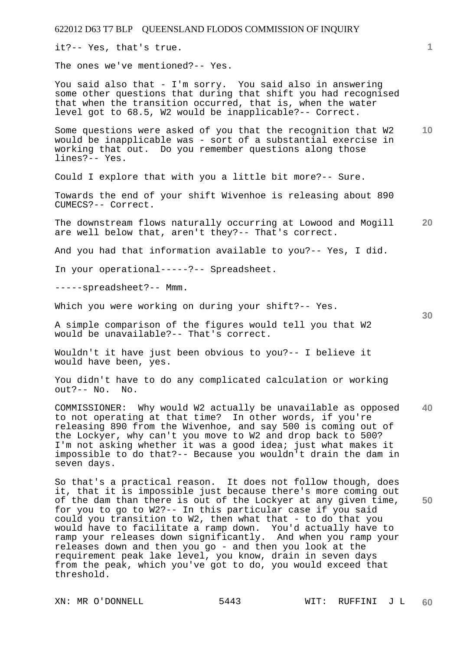it?-- Yes, that's true.

The ones we've mentioned?-- Yes.

You said also that - I'm sorry. You said also in answering some other questions that during that shift you had recognised that when the transition occurred, that is, when the water level got to 68.5, W2 would be inapplicable?-- Correct.

**10**  Some questions were asked of you that the recognition that W2 would be inapplicable was - sort of a substantial exercise in working that out. Do you remember questions along those lines?-- Yes.

Could I explore that with you a little bit more?-- Sure.

Towards the end of your shift Wivenhoe is releasing about 890 CUMECS?-- Correct.

**20**  The downstream flows naturally occurring at Lowood and Mogill are well below that, aren't they?-- That's correct.

And you had that information available to you?-- Yes, I did.

In your operational-----?-- Spreadsheet.

-----spreadsheet?-- Mmm.

Which you were working on during your shift?-- Yes.

A simple comparison of the figures would tell you that W2 would be unavailable?-- That's correct.

Wouldn't it have just been obvious to you?-- I believe it would have been, yes.

You didn't have to do any complicated calculation or working out?-- No. No.

**40**  COMMISSIONER: Why would W2 actually be unavailable as opposed to not operating at that time? In other words, if you're releasing 890 from the Wivenhoe, and say 500 is coming out of the Lockyer, why can't you move to W2 and drop back to 500? I'm not asking whether it was a good idea; just what makes it impossible to do that?-- Because you wouldn't drain the dam in seven days.

**50**  So that's a practical reason. It does not follow though, does it, that it is impossible just because there's more coming out of the dam than there is out of the Lockyer at any given time, for you to go to W2?-- In this particular case if you said could you transition to W2, then what that - to do that you would have to facilitate a ramp down. You'd actually have to ramp your releases down significantly. And when you ramp your releases down and then you go - and then you look at the requirement peak lake level, you know, drain in seven days from the peak, which you've got to do, you would exceed that threshold.

**30**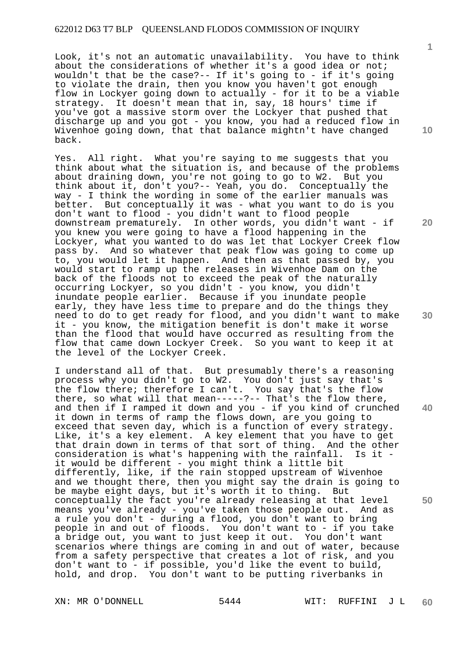Look, it's not an automatic unavailability. You have to think about the considerations of whether it's a good idea or not; wouldn't that be the case?-- If it's going to - if it's going to violate the drain, then you know you haven't got enough flow in Lockyer going down to actually - for it to be a viable strategy. It doesn't mean that in, say, 18 hours' time if you've got a massive storm over the Lockyer that pushed that discharge up and you got - you know, you had a reduced flow in Wivenhoe going down, that that balance mightn't have changed back.

Yes. All right. What you're saying to me suggests that you think about what the situation is, and because of the problems about draining down, you're not going to go to W2. But you think about it, don't you?-- Yeah, you do. Conceptually the way - I think the wording in some of the earlier manuals was better. But conceptually it was - what you want to do is you don't want to flood - you didn't want to flood people downstream prematurely. In other words, you didn't want - if you knew you were going to have a flood happening in the Lockyer, what you wanted to do was let that Lockyer Creek flow pass by. And so whatever that peak flow was going to come up to, you would let it happen. And then as that passed by, you would start to ramp up the releases in Wivenhoe Dam on the back of the floods not to exceed the peak of the naturally occurring Lockyer, so you didn't - you know, you didn't inundate people earlier. Because if you inundate people early, they have less time to prepare and do the things they need to do to get ready for flood, and you didn't want to make it - you know, the mitigation benefit is don't make it worse than the flood that would have occurred as resulting from the flow that came down Lockyer Creek. So you want to keep it at the level of the Lockyer Creek.

I understand all of that. But presumably there's a reasoning process why you didn't go to W2. You don't just say that's the flow there; therefore I can't. You say that's the flow the frow chere, cherefore I can be identically there, and then if I ramped it down and you - if you kind of crunched it down in terms of ramp the flows down, are you going to exceed that seven day, which is a function of every strategy. Like, it's a key element. A key element that you have to get that drain down in terms of that sort of thing. And the other consideration is what's happening with the rainfall. Is it it would be different - you might think a little bit differently, like, if the rain stopped upstream of Wivenhoe and we thought there, then you might say the drain is going to be maybe eight days, but it's worth it to thing. But conceptually the fact you're already releasing at that level means you've already - you've taken those people out. And as a rule you don't - during a flood, you don't want to bring people in and out of floods. You don't want to - if you take a bridge out, you want to just keep it out. You don't want scenarios where things are coming in and out of water, because from a safety perspective that creates a lot of risk, and you don't want to - if possible, you'd like the event to build, hold, and drop. You don't want to be putting riverbanks in

**1**

**10** 

**20** 

**30** 

**40**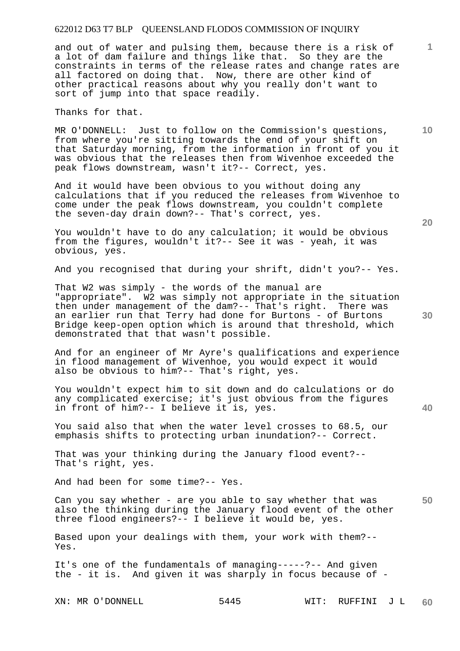and out of water and pulsing them, because there is a risk of a lot of dam failure and things like that. So they are the constraints in terms of the release rates and change rates are all factored on doing that. Now, there are other kind of other practical reasons about why you really don't want to sort of jump into that space readily.

Thanks for that.

MR O'DONNELL: Just to follow on the Commission's questions, from where you're sitting towards the end of your shift on that Saturday morning, from the information in front of you it was obvious that the releases then from Wivenhoe exceeded the peak flows downstream, wasn't it?-- Correct, yes.

And it would have been obvious to you without doing any calculations that if you reduced the releases from Wivenhoe to come under the peak flows downstream, you couldn't complete the seven-day drain down?-- That's correct, yes.

You wouldn't have to do any calculation; it would be obvious from the figures, wouldn't it?-- See it was - yeah, it was obvious, yes.

And you recognised that during your shrift, didn't you?-- Yes.

That W2 was simply - the words of the manual are "appropriate". W2 was simply not appropriate in the situation then under management of the dam?-- That's right. There was an earlier run that Terry had done for Burtons - of Burtons Bridge keep-open option which is around that threshold, which demonstrated that that wasn't possible.

And for an engineer of Mr Ayre's qualifications and experience in flood management of Wivenhoe, you would expect it would also be obvious to him?-- That's right, yes.

You wouldn't expect him to sit down and do calculations or do any complicated exercise; it's just obvious from the figures in front of him?-- I believe it is, yes.

You said also that when the water level crosses to 68.5, our emphasis shifts to protecting urban inundation?-- Correct.

That was your thinking during the January flood event?-- That's right, yes.

And had been for some time?-- Yes.

**50**  Can you say whether - are you able to say whether that was also the thinking during the January flood event of the other three flood engineers?-- I believe it would be, yes.

Based upon your dealings with them, your work with them?-- Yes.

It's one of the fundamentals of managing-----?-- And given the - it is. And given it was sharply in focus because of -

XN: MR O'DONNELL 5445 WIT: RUFFINI J L **60** 

**40** 

**20** 

**10**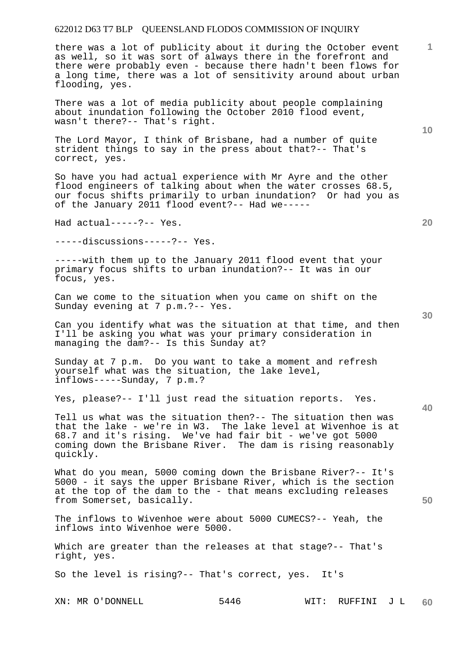there was a lot of publicity about it during the October event as well, so it was sort of always there in the forefront and there were probably even - because there hadn't been flows for a long time, there was a lot of sensitivity around about urban flooding, yes.

There was a lot of media publicity about people complaining about inundation following the October 2010 flood event, wasn't there?-- That's right.

The Lord Mayor, I think of Brisbane, had a number of quite strident things to say in the press about that?-- That's correct, yes.

So have you had actual experience with Mr Ayre and the other flood engineers of talking about when the water crosses 68.5, our focus shifts primarily to urban inundation? Or had you as of the January 2011 flood event?-- Had we-----

Had actual-----?-- Yes.

-----discussions-----?-- Yes.

-----with them up to the January 2011 flood event that your primary focus shifts to urban inundation?-- It was in our focus, yes.

Can we come to the situation when you came on shift on the Sunday evening at 7 p.m.?-- Yes.

Can you identify what was the situation at that time, and then I'll be asking you what was your primary consideration in managing the dam?-- Is this Sunday at?

Sunday at 7 p.m. Do you want to take a moment and refresh yourself what was the situation, the lake level, inflows-----Sunday, 7 p.m.?

Yes, please?-- I'll just read the situation reports. Yes.

Tell us what was the situation then?-- The situation then was that the lake - we're in W3. The lake level at Wivenhoe is at 68.7 and it's rising. We've had fair bit - we've got 5000 coming down the Brisbane River. The dam is rising reasonably quickly.

What do you mean, 5000 coming down the Brisbane River?-- It's 5000 - it says the upper Brisbane River, which is the section at the top of the dam to the - that means excluding releases from Somerset, basically.

The inflows to Wivenhoe were about 5000 CUMECS?-- Yeah, the inflows into Wivenhoe were 5000.

Which are greater than the releases at that stage?-- That's right, yes.

So the level is rising?-- That's correct, yes. It's

**30** 

**40** 

**50** 

**20** 

**10**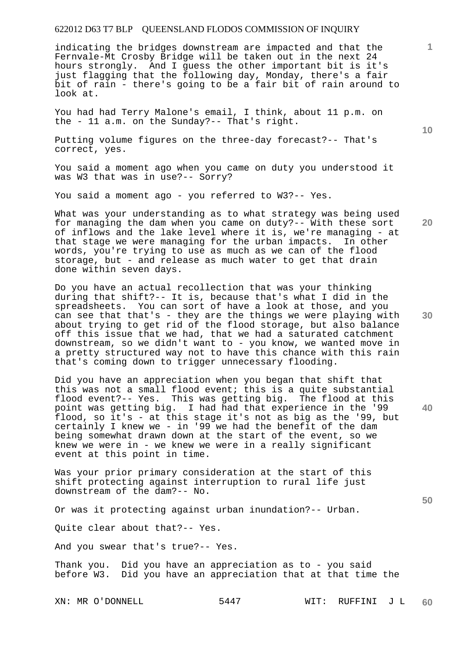indicating the bridges downstream are impacted and that the Fernvale-Mt Crosby Bridge will be taken out in the next 24 hours strongly. And I guess the other important bit is it's just flagging that the following day, Monday, there's a fair bit of rain - there's going to be a fair bit of rain around to look at.

You had had Terry Malone's email, I think, about 11 p.m. on the - 11 a.m. on the Sunday?-- That's right.

Putting volume figures on the three-day forecast?-- That's correct, yes.

You said a moment ago when you came on duty you understood it was W3 that was in use?-- Sorry?

You said a moment ago - you referred to W3?-- Yes.

What was your understanding as to what strategy was being used for managing the dam when you came on duty?-- With these sort of inflows and the lake level where it is, we're managing - at that stage we were managing for the urban impacts. In other words, you're trying to use as much as we can of the flood storage, but - and release as much water to get that drain done within seven days.

Do you have an actual recollection that was your thinking during that shift?-- It is, because that's what I did in the spreadsheets. You can sort of have a look at those, and you can see that that's - they are the things we were playing with about trying to get rid of the flood storage, but also balance off this issue that we had, that we had a saturated catchment downstream, so we didn't want to - you know, we wanted move in a pretty structured way not to have this chance with this rain that's coming down to trigger unnecessary flooding.

Did you have an appreciation when you began that shift that this was not a small flood event; this is a quite substantial flood event?-- Yes. This was getting big. The flood at this point was getting big. I had had that experience in the '99 flood, so it's - at this stage it's not as big as the '99, but certainly I knew we - in '99 we had the benefit of the dam being somewhat drawn down at the start of the event, so we knew we were in - we knew we were in a really significant event at this point in time.

Was your prior primary consideration at the start of this shift protecting against interruption to rural life just downstream of the dam?-- No.

Or was it protecting against urban inundation?-- Urban.

Quite clear about that?-- Yes.

And you swear that's true?-- Yes.

Thank you. Did you have an appreciation as to - you said before W3. Did you have an appreciation that at that time the

XN: MR O'DONNELL 5447 WIT: RUFFINI J L **60** 

**30** 

**20** 

**40** 

**50** 

**10**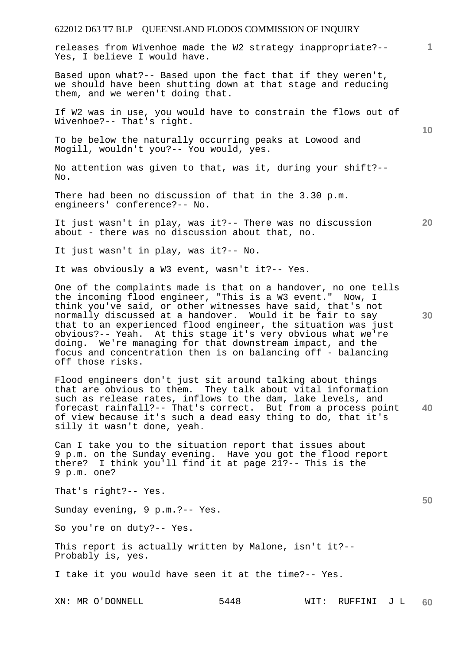releases from Wivenhoe made the W2 strategy inappropriate?-- Yes, I believe I would have.

Based upon what?-- Based upon the fact that if they weren't, we should have been shutting down at that stage and reducing them, and we weren't doing that.

If W2 was in use, you would have to constrain the flows out of Wivenhoe?-- That's right.

To be below the naturally occurring peaks at Lowood and Mogill, wouldn't you?-- You would, yes.

No attention was given to that, was it, during your shift?-- No.

There had been no discussion of that in the 3.30 p.m. engineers' conference?-- No.

It just wasn't in play, was it?-- There was no discussion about - there was no discussion about that, no.

It just wasn't in play, was it?-- No.

It was obviously a W3 event, wasn't it?-- Yes.

One of the complaints made is that on a handover, no one tells the incoming flood engineer, "This is a W3 event." Now, I think you've said, or other witnesses have said, that's not normally discussed at a handover. Would it be fair to say that to an experienced flood engineer, the situation was just obvious?-- Yeah. At this stage it's very obvious what we're doing. We're managing for that downstream impact, and the focus and concentration then is on balancing off - balancing off those risks.

**40**  Flood engineers don't just sit around talking about things that are obvious to them. They talk about vital information such as release rates, inflows to the dam, lake levels, and forecast rainfall?-- That's correct. But from a process point of view because it's such a dead easy thing to do, that it's silly it wasn't done, yeah.

Can I take you to the situation report that issues about 9 p.m. on the Sunday evening. Have you got the flood report there? I think you'll find it at page 21?-- This is the 9 p.m. one?

That's right?-- Yes.

Sunday evening, 9 p.m.?-- Yes.

So you're on duty?-- Yes.

This report is actually written by Malone, isn't it?-- Probably is, yes.

I take it you would have seen it at the time?-- Yes.

**1**

**10** 

**30** 

**20**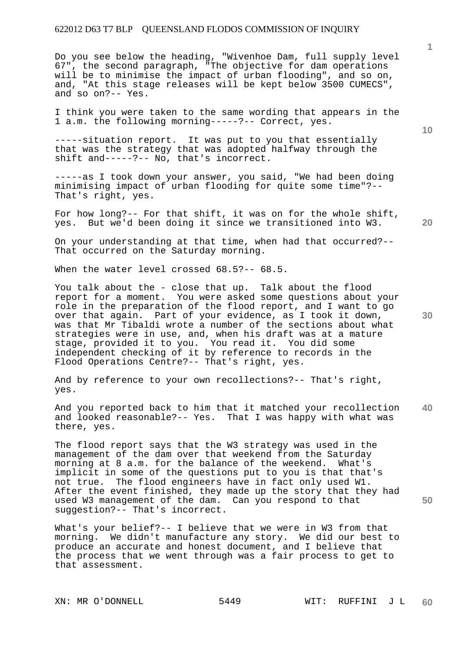Do you see below the heading, "Wivenhoe Dam, full supply level 67", the second paragraph, "The objective for dam operations will be to minimise the impact of urban flooding", and so on, and, "At this stage releases will be kept below 3500 CUMECS", and so on?-- Yes.

I think you were taken to the same wording that appears in the 1 a.m. the following morning-----?-- Correct, yes.

-----situation report. It was put to you that essentially that was the strategy that was adopted halfway through the shift and-----?-- No, that's incorrect.

-----as I took down your answer, you said, "We had been doing minimising impact of urban flooding for quite some time"?-- That's right, yes.

For how long?-- For that shift, it was on for the whole shift, yes. But we'd been doing it since we transitioned into W3.

On your understanding at that time, when had that occurred?-- That occurred on the Saturday morning.

When the water level crossed 68.5?-- 68.5.

You talk about the - close that up. Talk about the flood report for a moment. You were asked some questions about your role in the preparation of the flood report, and I want to go over that again. Part of your evidence, as I took it down, was that Mr Tibaldi wrote a number of the sections about what strategies were in use, and, when his draft was at a mature stage, provided it to you. You read it. You did some independent checking of it by reference to records in the Flood Operations Centre?-- That's right, yes.

And by reference to your own recollections?-- That's right, yes.

**40**  And you reported back to him that it matched your recollection and looked reasonable?-- Yes. That I was happy with what was there, yes.

The flood report says that the W3 strategy was used in the management of the dam over that weekend from the Saturday morning at 8 a.m. for the balance of the weekend. What's implicit in some of the questions put to you is that that's not true. The flood engineers have in fact only used W1. After the event finished, they made up the story that they had used W3 management of the dam. Can you respond to that suggestion?-- That's incorrect.

What's your belief?-- I believe that we were in W3 from that morning. We didn't manufacture any story. We did our best to produce an accurate and honest document, and I believe that the process that we went through was a fair process to get to that assessment.

**20** 

**30** 

**50**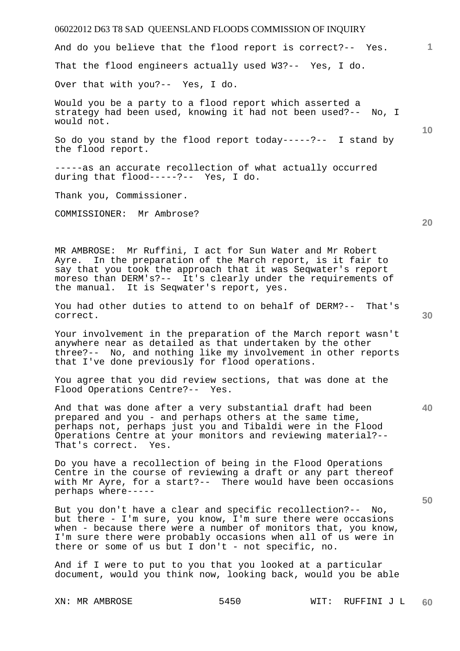# 06022012 D63 T8 SAD QUEENSLAND FLOODS COMMISSION OF INQUIRY XN: MR AMBROSE 5450 WIT: RUFFINI J L **1 10 20 30 40 50 60**  And do you believe that the flood report is correct?-- Yes. That the flood engineers actually used W3?-- Yes, I do. Over that with you?-- Yes, I do. Would you be a party to a flood report which asserted a strategy had been used, knowing it had not been used?-- No, I would not. So do you stand by the flood report today-----?-- I stand by the flood report. -----as an accurate recollection of what actually occurred during that flood-----?-- Yes, I do. Thank you, Commissioner. COMMISSIONER: Mr Ambrose? MR AMBROSE: Mr Ruffini, I act for Sun Water and Mr Robert Ayre. In the preparation of the March report, is it fair to say that you took the approach that it was Seqwater's report moreso than DERM's?-- It's clearly under the requirements of the manual. It is Seqwater's report, yes. You had other duties to attend to on behalf of DERM?-- That's correct. Your involvement in the preparation of the March report wasn't anywhere near as detailed as that undertaken by the other three?-- No, and nothing like my involvement in other reports that I've done previously for flood operations. You agree that you did review sections, that was done at the Flood Operations Centre?-- Yes. And that was done after a very substantial draft had been prepared and you - and perhaps others at the same time, perhaps not, perhaps just you and Tibaldi were in the Flood Operations Centre at your monitors and reviewing material?-- That's correct. Yes. Do you have a recollection of being in the Flood Operations Centre in the course of reviewing a draft or any part thereof with Mr Ayre, for a start?-- There would have been occasions perhaps where----- But you don't have a clear and specific recollection?-- No, but there - I'm sure, you know, I'm sure there were occasions when - because there were a number of monitors that, you know, I'm sure there were probably occasions when all of us were in there or some of us but I don't - not specific, no. And if I were to put to you that you looked at a particular document, would you think now, looking back, would you be able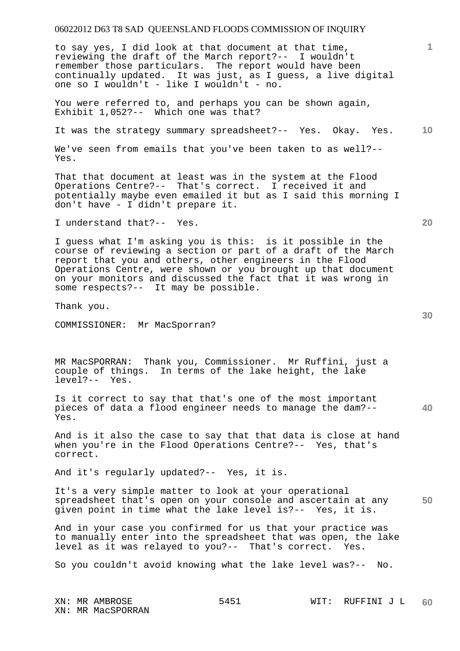to say yes, I did look at that document at that time, reviewing the draft of the March report?-- I wouldn't remember those particulars. The report would have been continually updated. It was just, as I guess, a live digital one so I wouldn't - like I wouldn't - no.

You were referred to, and perhaps you can be shown again, Exhibit 1,052?-- Which one was that?

It was the strategy summary spreadsheet?-- Yes. Okay. Yes.

We've seen from emails that you've been taken to as well?-- Yes.

That that document at least was in the system at the Flood Operations Centre?-- That's correct. I received it and potentially maybe even emailed it but as I said this morning I don't have - I didn't prepare it.

I understand that?-- Yes.

I guess what I'm asking you is this: is it possible in the course of reviewing a section or part of a draft of the March report that you and others, other engineers in the Flood Operations Centre, were shown or you brought up that document on your monitors and discussed the fact that it was wrong in some respects?-- It may be possible.

Thank you.

COMMISSIONER: Mr MacSporran?

MR MacSPORRAN: Thank you, Commissioner. Mr Ruffini, just a couple of things. In terms of the lake height, the lake level?-- Yes. level?--

Is it correct to say that that's one of the most important pieces of data a flood engineer needs to manage the dam?-- Yes.

And is it also the case to say that that data is close at hand when you're in the Flood Operations Centre?-- Yes, that's correct.

And it's regularly updated?-- Yes, it is.

**50**  It's a very simple matter to look at your operational spreadsheet that's open on your console and ascertain at any given point in time what the lake level is?-- Yes, it is.

And in your case you confirmed for us that your practice was to manually enter into the spreadsheet that was open, the lake level as it was relayed to you?-- That's correct. Yes.

So you couldn't avoid knowing what the lake level was?-- No.

**40** 

**10**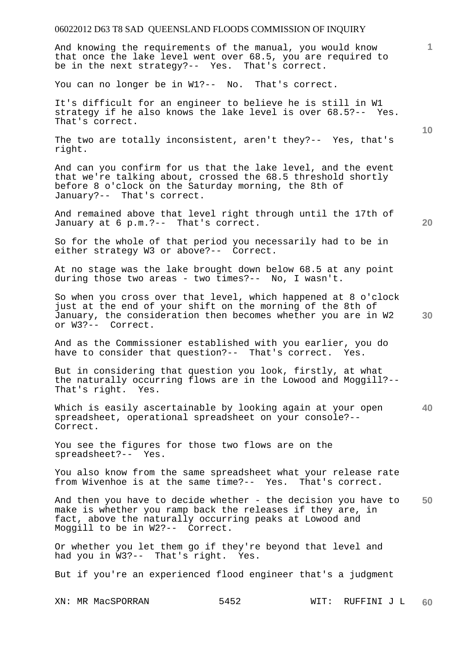And knowing the requirements of the manual, you would know that once the lake level went over 68.5, you are required to be in the next strategy?-- Yes. That's correct.

You can no longer be in W1?-- No. That's correct.

It's difficult for an engineer to believe he is still in W1 strategy if he also knows the lake level is over 68.5?-- Yes. That's correct.

The two are totally inconsistent, aren't they?-- Yes, that's right.

And can you confirm for us that the lake level, and the event that we're talking about, crossed the 68.5 threshold shortly before 8 o'clock on the Saturday morning, the 8th of January?-- That's correct.

And remained above that level right through until the 17th of January at 6 p.m.?-- That's correct.

So for the whole of that period you necessarily had to be in either strategy W3 or above?-- Correct.

At no stage was the lake brought down below 68.5 at any point during those two areas - two times?-- No, I wasn't.

So when you cross over that level, which happened at 8 o'clock just at the end of your shift on the morning of the 8th of January, the consideration then becomes whether you are in W2 or W3?-- Correct.

And as the Commissioner established with you earlier, you do have to consider that question?-- That's correct. Yes.

But in considering that question you look, firstly, at what the naturally occurring flows are in the Lowood and Moggill?--<br>That's right. Yes. That's right.

**40**  Which is easily ascertainable by looking again at your open spreadsheet, operational spreadsheet on your console?-- Correct.

You see the figures for those two flows are on the spreadsheet?-- Yes.

You also know from the same spreadsheet what your release rate from Wivenhoe is at the same time?-- Yes. That's correct.

**50**  And then you have to decide whether - the decision you have to make is whether you ramp back the releases if they are, in fact, above the naturally occurring peaks at Lowood and Moggill to be in W2?-- Correct.

Or whether you let them go if they're beyond that level and had you in W3?-- That's right. Yes. had you in  $W3? --$  That's right.

But if you're an experienced flood engineer that's a judgment

**10** 

**1**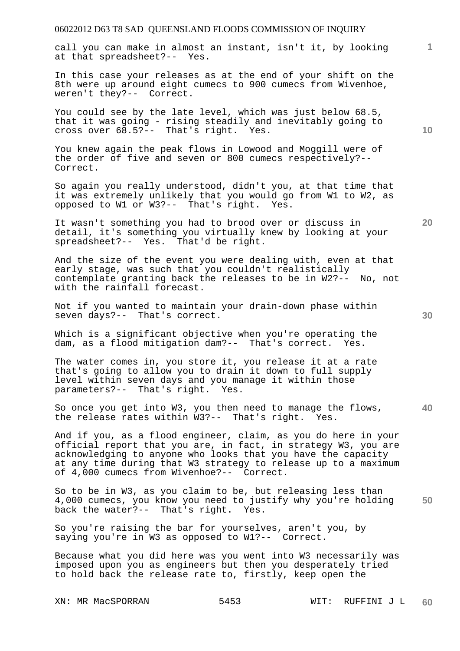call you can make in almost an instant, isn't it, by looking at that spreadsheet?-- Yes.

In this case your releases as at the end of your shift on the 8th were up around eight cumecs to 900 cumecs from Wivenhoe, weren't they?-- Correct.

You could see by the late level, which was just below 68.5, that it was going - rising steadily and inevitably going to cross over  $68.5$ ?-- That's right. Yes.

You knew again the peak flows in Lowood and Moggill were of the order of five and seven or 800 cumecs respectively?-- Correct.

So again you really understood, didn't you, at that time that it was extremely unlikely that you would go from W1 to W2, as opposed to W1 or W3?-- That's right. Yes.

It wasn't something you had to brood over or discuss in detail, it's something you virtually knew by looking at your spreadsheet?-- Yes. That'd be right.

And the size of the event you were dealing with, even at that early stage, was such that you couldn't realistically contemplate granting back the releases to be in W2?-- No, not with the rainfall forecast.

Not if you wanted to maintain your drain-down phase within seven days?-- That's correct.

Which is a significant objective when you're operating the dam, as a flood mitigation dam?-- That's correct. Yes.

The water comes in, you store it, you release it at a rate that's going to allow you to drain it down to full supply level within seven days and you manage it within those parameters?-- That's right. Yes.

**40**  So once you get into W3, you then need to manage the flows, the release rates within W3?-- That's right. Yes.

And if you, as a flood engineer, claim, as you do here in your official report that you are, in fact, in strategy W3, you are acknowledging to anyone who looks that you have the capacity at any time during that W3 strategy to release up to a maximum of 4,000 cumecs from Wivenhoe?-- Correct.

**50**  So to be in W3, as you claim to be, but releasing less than 4,000 cumecs, you know you need to justify why you're holding back the water?-- That's right. Yes.

So you're raising the bar for yourselves, aren't you, by saying you're in W3 as opposed to W1?-- Correct.

Because what you did here was you went into W3 necessarily was imposed upon you as engineers but then you desperately tried to hold back the release rate to, firstly, keep open the

**10** 

**20**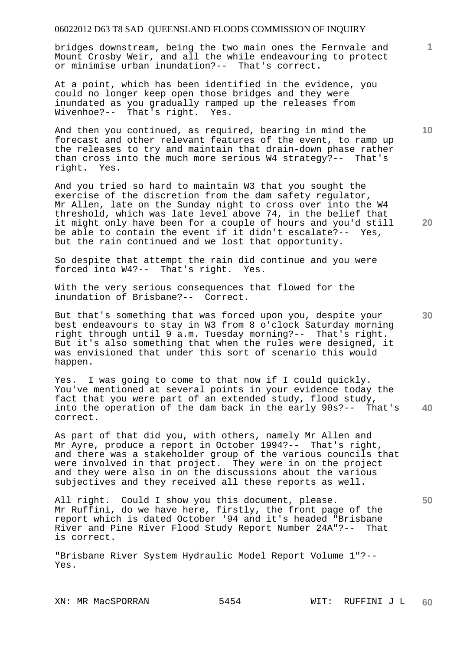bridges downstream, being the two main ones the Fernvale and Mount Crosby Weir, and all the while endeavouring to protect or minimise urban inundation?-- That's correct.

At a point, which has been identified in the evidence, you could no longer keep open those bridges and they were inundated as you gradually ramped up the releases from Wivenhoe?-- That's right. Yes.

And then you continued, as required, bearing in mind the forecast and other relevant features of the event, to ramp up the releases to try and maintain that drain-down phase rather than cross into the much more serious W4 strategy?-- That's right. Yes.

And you tried so hard to maintain W3 that you sought the exercise of the discretion from the dam safety regulator, Mr Allen, late on the Sunday night to cross over into the W4 threshold, which was late level above 74, in the belief that it might only have been for a couple of hours and you'd still be able to contain the event if it didn't escalate?-- Yes, but the rain continued and we lost that opportunity.

So despite that attempt the rain did continue and you were forced into W4?-- That's right. Yes. forced into  $W4?--$  That's right.

With the very serious consequences that flowed for the inundation of Brisbane?-- Correct.

But that's something that was forced upon you, despite your best endeavours to stay in W3 from 8 o'clock Saturday morning right through until 9 a.m. Tuesday morning?-- That's right. But it's also something that when the rules were designed, it was envisioned that under this sort of scenario this would happen.

**40**  Yes. I was going to come to that now if I could quickly. You've mentioned at several points in your evidence today the fact that you were part of an extended study, flood study, into the operation of the dam back in the early 90s?-- That's correct.

As part of that did you, with others, namely Mr Allen and Mr Ayre, produce a report in October 1994?-- That's right, and there was a stakeholder group of the various councils that were involved in that project. They were in on the project and they were also in on the discussions about the various subjectives and they received all these reports as well.

All right. Could I show you this document, please. Mr Ruffini, do we have here, firstly, the front page of the report which is dated October '94 and it's headed "Brisbane River and Pine River Flood Study Report Number 24A"?-- That is correct.

"Brisbane River System Hydraulic Model Report Volume 1"?-- Yes.

**1**

**10** 

**20**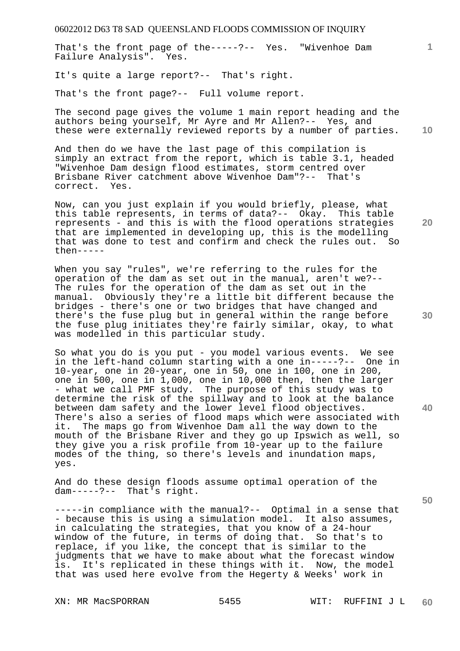That's the front page of the-----?-- Yes. "Wivenhoe Dam Failure Analysis". Yes.

It's quite a large report?-- That's right.

That's the front page?-- Full volume report.

**10**  The second page gives the volume 1 main report heading and the authors being yourself, Mr Ayre and Mr Allen?-- Yes, and these were externally reviewed reports by a number of parties.

And then do we have the last page of this compilation is simply an extract from the report, which is table 3.1, headed "Wivenhoe Dam design flood estimates, storm centred over Brisbane River catchment above Wivenhoe Dam"?-- That's correct. Yes.

Now, can you just explain if you would briefly, please, what this table represents, in terms of data?-- Okay. This table represents - and this is with the flood operations strategies that are implemented in developing up, this is the modelling that was done to test and confirm and check the rules out. So then-----

When you say "rules", we're referring to the rules for the operation of the dam as set out in the manual, aren't we?-- The rules for the operation of the dam as set out in the manual. Obviously they're a little bit different because the bridges - there's one or two bridges that have changed and there's the fuse plug but in general within the range before the fuse plug initiates they're fairly similar, okay, to what was modelled in this particular study.

So what you do is you put - you model various events. We see in the left-hand column starting with a one in-----?-- One in 10-year, one in 20-year, one in 50, one in 100, one in 200, one in 500, one in 1,000, one in 10,000 then, then the larger - what we call PMF study. The purpose of this study was to determine the risk of the spillway and to look at the balance between dam safety and the lower level flood objectives. There's also a series of flood maps which were associated with it. The maps go from Wivenhoe Dam all the way down to the mouth of the Brisbane River and they go up Ipswich as well, so they give you a risk profile from 10-year up to the failure modes of the thing, so there's levels and inundation maps, yes.

And do these design floods assume optimal operation of the dam-----?-- That's right.

-----in compliance with the manual?-- Optimal in a sense that - because this is using a simulation model. It also assumes, in calculating the strategies, that you know of a 24-hour window of the future, in terms of doing that. So that's to replace, if you like, the concept that is similar to the judgments that we have to make about what the forecast window is. It's replicated in these things with it. Now, the model that was used here evolve from the Hegerty & Weeks' work in

**50** 

**20** 

**40**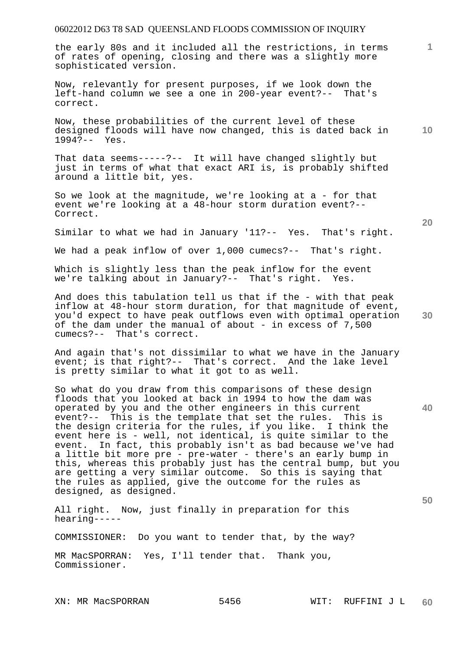the early 80s and it included all the restrictions, in terms of rates of opening, closing and there was a slightly more sophisticated version.

Now, relevantly for present purposes, if we look down the left-hand column we see a one in 200-year event?-- That's correct.

**10**  Now, these probabilities of the current level of these designed floods will have now changed, this is dated back in 1994?-- Yes.

That data seems-----?-- It will have changed slightly but just in terms of what that exact ARI is, is probably shifted around a little bit, yes.

So we look at the magnitude, we're looking at a - for that event we're looking at a 48-hour storm duration event?-- Correct.

Similar to what we had in January '11?-- Yes. That's right.

We had a peak inflow of over 1,000 cumecs?-- That's right.

Which is slightly less than the peak inflow for the event we're talking about in January?-- That's right. Yes.

And does this tabulation tell us that if the - with that peak inflow at 48-hour storm duration, for that magnitude of event, you'd expect to have peak outflows even with optimal operation of the dam under the manual of about - in excess of 7,500 cumecs?-- That's correct.

And again that's not dissimilar to what we have in the January event; is that right?-- That's correct. And the lake level is pretty similar to what it got to as well.

So what do you draw from this comparisons of these design floods that you looked at back in 1994 to how the dam was operated by you and the other engineers in this current event?-- This is the template that set the rules. This is the design criteria for the rules, if you like. I think the event here is - well, not identical, is quite similar to the event. In fact, this probably isn't as bad because we've had a little bit more pre - pre-water - there's an early bump in this, whereas this probably just has the central bump, but you are getting a very similar outcome. So this is saying that the rules as applied, give the outcome for the rules as designed, as designed.

All right. Now, just finally in preparation for this hearing-----

COMMISSIONER: Do you want to tender that, by the way?

MR MacSPORRAN: Yes, I'll tender that. Thank you, Commissioner.

**20** 

**30** 

**40** 

**50**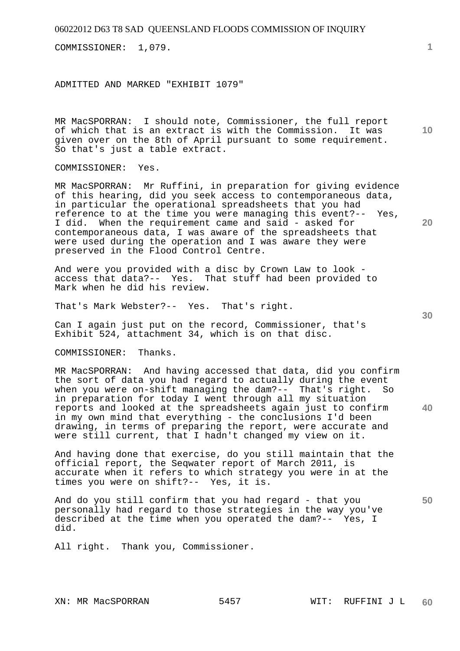COMMISSIONER: 1,079.

ADMITTED AND MARKED "EXHIBIT 1079"

MR MacSPORRAN: I should note, Commissioner, the full report of which that is an extract is with the Commission. It was given over on the 8th of April pursuant to some requirement. So that's just a table extract.

COMMISSIONER: Yes.

MR MacSPORRAN: Mr Ruffini, in preparation for giving evidence of this hearing, did you seek access to contemporaneous data, in particular the operational spreadsheets that you had reference to at the time you were managing this event?-- Yes, I did. When the requirement came and said - asked for contemporaneous data, I was aware of the spreadsheets that were used during the operation and I was aware they were preserved in the Flood Control Centre.

And were you provided with a disc by Crown Law to look access that data?-- Yes. That stuff had been provided to Mark when he did his review.

That's Mark Webster?-- Yes. That's right.

Can I again just put on the record, Commissioner, that's Exhibit 524, attachment 34, which is on that disc.

COMMISSIONER: Thanks.

MR MacSPORRAN: And having accessed that data, did you confirm the sort of data you had regard to actually during the event when you were on-shift managing the dam?-- That's right. So in preparation for today I went through all my situation reports and looked at the spreadsheets again just to confirm in my own mind that everything - the conclusions I'd been drawing, in terms of preparing the report, were accurate and were still current, that I hadn't changed my view on it.

And having done that exercise, do you still maintain that the official report, the Seqwater report of March 2011, is accurate when it refers to which strategy you were in at the times you were on shift?-- Yes, it is.

And do you still confirm that you had regard - that you personally had regard to those strategies in the way you've described at the time when you operated the dam?-- Yes, I did.

All right. Thank you, Commissioner.

**1**

**10** 

**30** 

**40** 

**50**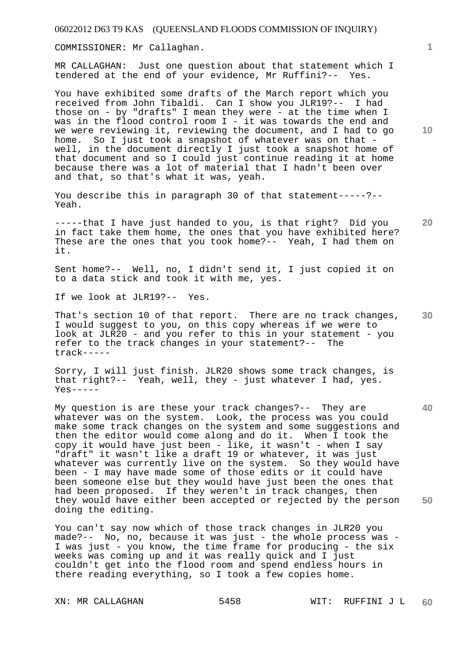COMMISSIONER: Mr Callaghan.

MR CALLAGHAN: Just one question about that statement which I tendered at the end of your evidence, Mr Ruffini?-- Yes.

You have exhibited some drafts of the March report which you received from John Tibaldi. Can I show you JLR19?-- I had those on - by "drafts" I mean they were - at the time when I was in the flood control room I - it was towards the end and we were reviewing it, reviewing the document, and I had to go home. So I just took a snapshot of whatever was on that well, in the document directly I just took a snapshot home of that document and so I could just continue reading it at home because there was a lot of material that I hadn't been over and that, so that's what it was, yeah.

You describe this in paragraph 30 of that statement-----?-- Yeah.

**20**  -----that I have just handed to you, is that right? Did you in fact take them home, the ones that you have exhibited here? These are the ones that you took home?-- Yeah, I had them on it.

Sent home?-- Well, no, I didn't send it, I just copied it on to a data stick and took it with me, yes.

If we look at JLR19?-- Yes.

**30**  That's section 10 of that report. There are no track changes, I would suggest to you, on this copy whereas if we were to look at JLR20 - and you refer to this in your statement - you refer to the track changes in your statement?-- The track-----

Sorry, I will just finish. JLR20 shows some track changes, is that right?-- Yeah, well, they - just whatever I had, yes.  $Yes---$ 

**40 50**  My question is are these your track changes?-- They are whatever was on the system. Look, the process was you could make some track changes on the system and some suggestions and then the editor would come along and do it. When I took the copy it would have just been - like, it wasn't - when I say "draft" it wasn't like a draft 19 or whatever, it was just whatever was currently live on the system. So they would have been - I may have made some of those edits or it could have been someone else but they would have just been the ones that had been proposed. If they weren't in track changes, then they would have either been accepted or rejected by the person doing the editing.

You can't say now which of those track changes in JLR20 you made?-- No, no, because it was just - the whole process was - I was just - you know, the time frame for producing - the six weeks was coming up and it was really quick and I just couldn't get into the flood room and spend endless hours in there reading everything, so I took a few copies home.

**1**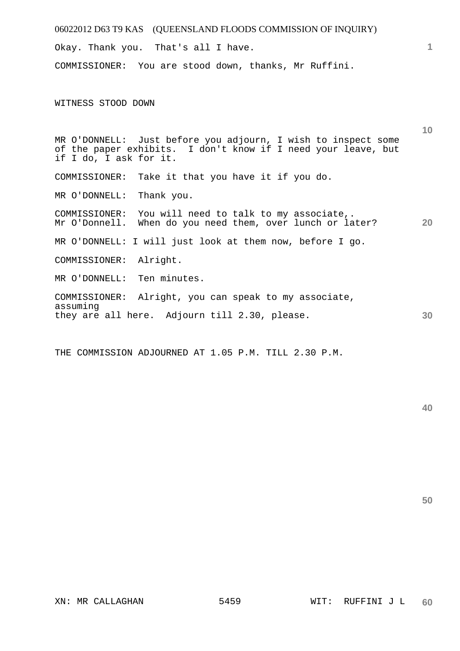| 06022012 D63 T9 KAS (QUEENSLAND FLOODS COMMISSION OF INQUIRY)                                                                                            |                 |
|----------------------------------------------------------------------------------------------------------------------------------------------------------|-----------------|
| Okay. Thank you. That's all I have.                                                                                                                      | 1               |
| COMMISSIONER: You are stood down, thanks, Mr Ruffini.                                                                                                    |                 |
| WITNESS STOOD DOWN                                                                                                                                       |                 |
| MR O'DONNELL: Just before you adjourn, I wish to inspect some<br>of the paper exhibits. I don't know if I need your leave, but<br>if I do, I ask for it. | 10 <sup>°</sup> |
| Take it that you have it if you do.<br>COMMISSIONER:                                                                                                     |                 |
| Thank you.<br>MR O'DONNELL:                                                                                                                              |                 |
| COMMISSIONER: You will need to talk to my associate,.<br>Mr O'Donnell. When do you need them, over lunch or later?                                       | 20              |
| MR O'DONNELL: I will just look at them now, before I go.                                                                                                 |                 |
| Alright.<br>COMMISSIONER:                                                                                                                                |                 |
| MR O'DONNELL: Ten minutes.                                                                                                                               |                 |
| COMMISSIONER: Alright, you can speak to my associate,<br>assuming                                                                                        |                 |
| they are all here. Adjourn till 2.30, please.                                                                                                            | 30              |

THE COMMISSION ADJOURNED AT 1.05 P.M. TILL 2.30 P.M.

**40**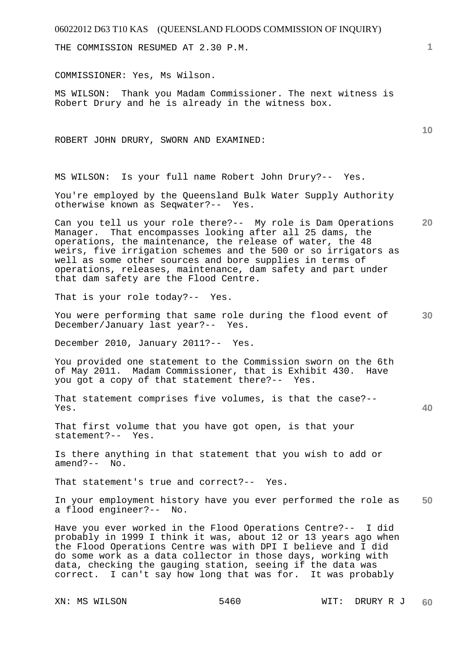THE COMMISSION RESUMED AT 2.30 P.M.

COMMISSIONER: Yes, Ms Wilson.

MS WILSON: Thank you Madam Commissioner. The next witness is Robert Drury and he is already in the witness box.

ROBERT JOHN DRURY, SWORN AND EXAMINED:

MS WILSON: Is your full name Robert John Drury?-- Yes.

You're employed by the Queensland Bulk Water Supply Authority otherwise known as Seqwater?-- Yes.

**20**  Can you tell us your role there?-- My role is Dam Operations Manager. That encompasses looking after all 25 dams, the operations, the maintenance, the release of water, the 48 weirs, five irrigation schemes and the 500 or so irrigators as well as some other sources and bore supplies in terms of operations, releases, maintenance, dam safety and part under that dam safety are the Flood Centre.

That is your role today?-- Yes.

**30**  You were performing that same role during the flood event of December/January last year?-- Yes.

December 2010, January 2011?-- Yes.

You provided one statement to the Commission sworn on the 6th of May 2011. Madam Commissioner, that is Exhibit 430. Have you got a copy of that statement there?-- Yes.

That statement comprises five volumes, is that the case?-- Yes.

That first volume that you have got open, is that your statement?-- Yes.

Is there anything in that statement that you wish to add or amend?-- No.

That statement's true and correct?-- Yes.

**50**  In your employment history have you ever performed the role as a flood engineer?-- No.

Have you ever worked in the Flood Operations Centre?-- I did probably in 1999 I think it was, about 12 or 13 years ago when the Flood Operations Centre was with DPI I believe and I did do some work as a data collector in those days, working with data, checking the gauging station, seeing if the data was correct. I can't say how long that was for. It was probably

**1**

**10**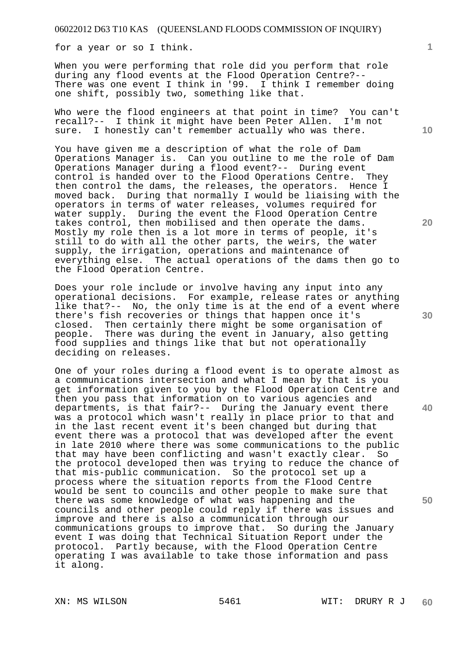for a year or so I think.

When you were performing that role did you perform that role during any flood events at the Flood Operation Centre?-- There was one event I think in '99. I think I remember doing one shift, possibly two, something like that.

Who were the flood engineers at that point in time? You can't recall?-- I think it might have been Peter Allen. I'm not sure. I honestly can't remember actually who was there.

You have given me a description of what the role of Dam Operations Manager is. Can you outline to me the role of Dam Operations Manager during a flood event?-- During event control is handed over to the Flood Operations Centre. They then control the dams, the releases, the operators. Hence I moved back. During that normally I would be liaising with the operators in terms of water releases, volumes required for water supply. During the event the Flood Operation Centre takes control, then mobilised and then operate the dams. Mostly my role then is a lot more in terms of people, it's still to do with all the other parts, the weirs, the water supply, the irrigation, operations and maintenance of everything else. The actual operations of the dams then go to the Flood Operation Centre.

Does your role include or involve having any input into any operational decisions. For example, release rates or anything like that?-- No, the only time is at the end of a event where there's fish recoveries or things that happen once it's closed. Then certainly there might be some organisation of people. There was during the event in January, also getting food supplies and things like that but not operationally deciding on releases.

One of your roles during a flood event is to operate almost as a communications intersection and what I mean by that is you get information given to you by the Flood Operation Centre and then you pass that information on to various agencies and departments, is that fair?-- During the January event there was a protocol which wasn't really in place prior to that and in the last recent event it's been changed but during that event there was a protocol that was developed after the event in late 2010 where there was some communications to the public that may have been conflicting and wasn't exactly clear. So the protocol developed then was trying to reduce the chance of that mis-public communication. So the protocol set up a process where the situation reports from the Flood Centre would be sent to councils and other people to make sure that there was some knowledge of what was happening and the councils and other people could reply if there was issues and improve and there is also a communication through our communications groups to improve that. So during the January event I was doing that Technical Situation Report under the protocol. Partly because, with the Flood Operation Centre operating I was available to take those information and pass it along.

**20** 

**30** 

**40** 

**50**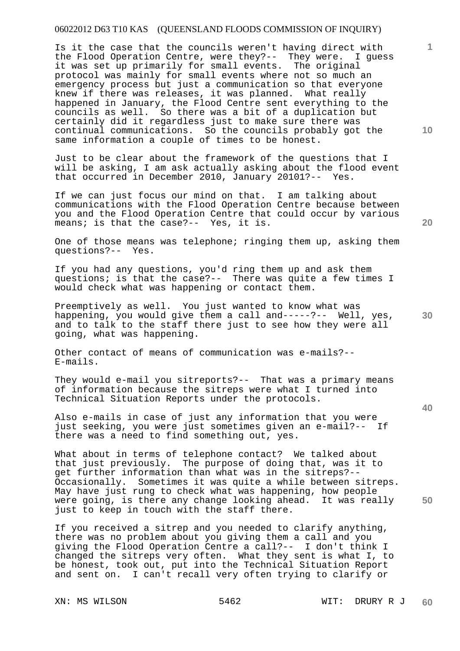Is it the case that the councils weren't having direct with the Flood Operation Centre, were they?-- They were. I guess it was set up primarily for small events. The original protocol was mainly for small events where not so much an emergency process but just a communication so that everyone knew if there was releases, it was planned. What really happened in January, the Flood Centre sent everything to the councils as well. So there was a bit of a duplication but certainly did it regardless just to make sure there was continual communications. So the councils probably got the same information a couple of times to be honest.

Just to be clear about the framework of the questions that I will be asking, I am ask actually asking about the flood event that occurred in December 2010, January 20101?-- Yes.

If we can just focus our mind on that. I am talking about communications with the Flood Operation Centre because between you and the Flood Operation Centre that could occur by various means; is that the case?-- Yes, it is.

One of those means was telephone; ringing them up, asking them questions?-- Yes.

If you had any questions, you'd ring them up and ask them questions; is that the case?-- There was quite a few times I would check what was happening or contact them.

**30**  Preemptively as well. You just wanted to know what was happening, you would give them a call and-----?-- Well, yes, and to talk to the staff there just to see how they were all going, what was happening.

Other contact of means of communication was e-mails?-- E-mails.

They would e-mail you sitreports?-- That was a primary means of information because the sitreps were what I turned into Technical Situation Reports under the protocols.

Also e-mails in case of just any information that you were just seeking, you were just sometimes given an e-mail?-- If there was a need to find something out, yes.

What about in terms of telephone contact? We talked about that just previously. The purpose of doing that, was it to get further information than what was in the sitreps?-- Occasionally. Sometimes it was quite a while between sitreps. May have just rung to check what was happening, how people were going, is there any change looking ahead. It was really just to keep in touch with the staff there.

If you received a sitrep and you needed to clarify anything, there was no problem about you giving them a call and you giving the Flood Operation Centre a call?-- I don't think I changed the sitreps very often. What they sent is what I, to be honest, took out, put into the Technical Situation Report and sent on. I can't recall very often trying to clarify or

**10** 

**1**

**20** 

**40**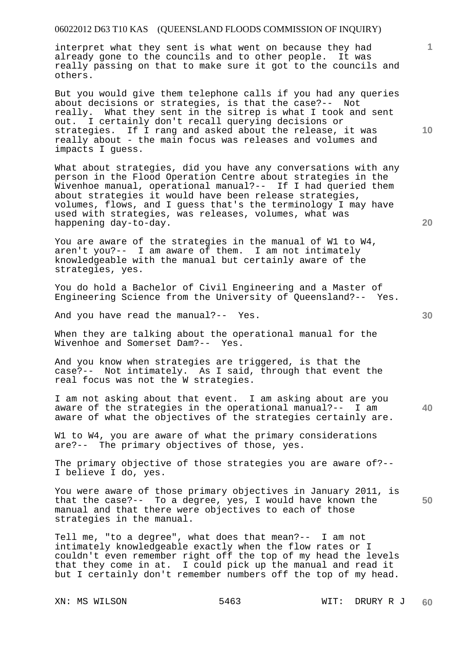interpret what they sent is what went on because they had already gone to the councils and to other people. It was really passing on that to make sure it got to the councils and others.

But you would give them telephone calls if you had any queries about decisions or strategies, is that the case?-- Not really. What they sent in the sitrep is what I took and sent out. I certainly don't recall querying decisions or strategies. If I rang and asked about the release, it was really about - the main focus was releases and volumes and impacts I guess.

What about strategies, did you have any conversations with any person in the Flood Operation Centre about strategies in the Wivenhoe manual, operational manual?-- If I had queried them about strategies it would have been release strategies, volumes, flows, and I guess that's the terminology I may have used with strategies, was releases, volumes, what was happening day-to-day.

You are aware of the strategies in the manual of W1 to W4, aren't you?-- I am aware of them. I am not intimately knowledgeable with the manual but certainly aware of the strategies, yes.

You do hold a Bachelor of Civil Engineering and a Master of Engineering Science from the University of Queensland?-- Yes.

And you have read the manual?-- Yes.

When they are talking about the operational manual for the Wivenhoe and Somerset Dam?-- Yes.

And you know when strategies are triggered, is that the case?-- Not intimately. As I said, through that event the real focus was not the W strategies.

**40**  I am not asking about that event. I am asking about are you<br>aware of the strategies in the operational manual?-- I am aware of the strategies in the operational manual?-aware of what the objectives of the strategies certainly are.

W1 to W4, you are aware of what the primary considerations are?-- The primary objectives of those, yes.

The primary objective of those strategies you are aware of?-- I believe I do, yes.

**50**  You were aware of those primary objectives in January 2011, is that the case?-- To a degree, yes, I would have known the manual and that there were objectives to each of those strategies in the manual.

Tell me, "to a degree", what does that mean?-- I am not intimately knowledgeable exactly when the flow rates or I couldn't even remember right off the top of my head the levels that they come in at. I could pick up the manual and read it but I certainly don't remember numbers off the top of my head.

**10**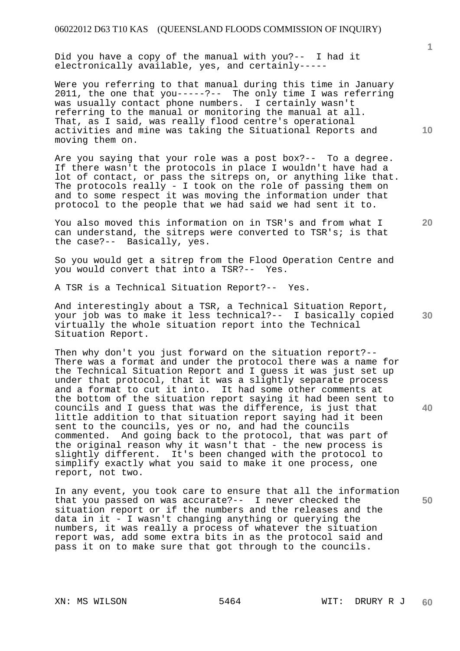Did you have a copy of the manual with you?-- I had it electronically available, yes, and certainly-----

Were you referring to that manual during this time in January 2011, the one that you-----?-- The only time I was referring was usually contact phone numbers. I certainly wasn't referring to the manual or monitoring the manual at all. That, as I said, was really flood centre's operational activities and mine was taking the Situational Reports and moving them on.

Are you saying that your role was a post box?-- To a degree. If there wasn't the protocols in place I wouldn't have had a lot of contact, or pass the sitreps on, or anything like that. The protocols really - I took on the role of passing them on and to some respect it was moving the information under that protocol to the people that we had said we had sent it to.

You also moved this information on in TSR's and from what I can understand, the sitreps were converted to TSR's; is that the case?-- Basically, yes.

So you would get a sitrep from the Flood Operation Centre and you would convert that into a TSR?-- Yes.

A TSR is a Technical Situation Report?-- Yes.

And interestingly about a TSR, a Technical Situation Report, your job was to make it less technical?-- I basically copied virtually the whole situation report into the Technical Situation Report.

Then why don't you just forward on the situation report?-- There was a format and under the protocol there was a name for the Technical Situation Report and I guess it was just set up under that protocol, that it was a slightly separate process and a format to cut it into. It had some other comments at the bottom of the situation report saying it had been sent to councils and I guess that was the difference, is just that little addition to that situation report saying had it been sent to the councils, yes or no, and had the councils commented. And going back to the protocol, that was part of the original reason why it wasn't that - the new process is slightly different. It's been changed with the protocol to simplify exactly what you said to make it one process, one report, not two.

In any event, you took care to ensure that all the information that you passed on was accurate?-- I never checked the situation report or if the numbers and the releases and the data in it - I wasn't changing anything or querying the numbers, it was really a process of whatever the situation report was, add some extra bits in as the protocol said and pass it on to make sure that got through to the councils.

**1**

**10** 

**20** 

**30** 

**40**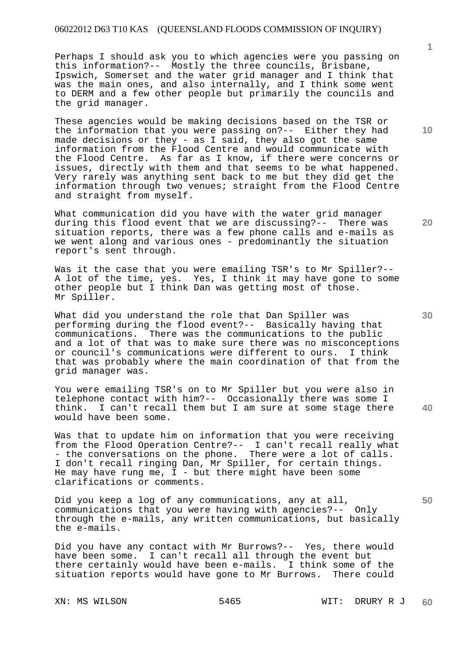Perhaps I should ask you to which agencies were you passing on this information?-- Mostly the three councils, Brisbane, Ipswich, Somerset and the water grid manager and I think that was the main ones, and also internally, and I think some went to DERM and a few other people but primarily the councils and the grid manager.

These agencies would be making decisions based on the TSR or the information that you were passing on?-- Either they had made decisions or they - as I said, they also got the same information from the Flood Centre and would communicate with the Flood Centre. As far as I know, if there were concerns or issues, directly with them and that seems to be what happened. Very rarely was anything sent back to me but they did get the information through two venues; straight from the Flood Centre and straight from myself.

What communication did you have with the water grid manager during this flood event that we are discussing?-- There was situation reports, there was a few phone calls and e-mails as we went along and various ones - predominantly the situation report's sent through.

Was it the case that you were emailing TSR's to Mr Spiller?--A lot of the time, yes. Yes, I think it may have gone to some other people but I think Dan was getting most of those. Mr Spiller.

What did you understand the role that Dan Spiller was performing during the flood event?-- Basically having that communications. There was the communications to the public and a lot of that was to make sure there was no misconceptions or council's communications were different to ours. I think that was probably where the main coordination of that from the grid manager was.

**40**  You were emailing TSR's on to Mr Spiller but you were also in telephone contact with him?-- Occasionally there was some I think. I can't recall them but I am sure at some stage there would have been some.

Was that to update him on information that you were receiving from the Flood Operation Centre?-- I can't recall really what - the conversations on the phone. There were a lot of calls. I don't recall ringing Dan, Mr Spiller, for certain things. He may have rung me,  $I -$  but there might have been some clarifications or comments.

Did you keep a log of any communications, any at all, communications that you were having with agencies?-- Only through the e-mails, any written communications, but basically the e-mails.

Did you have any contact with Mr Burrows?-- Yes, there would have been some. I can't recall all through the event but there certainly would have been e-mails. I think some of the situation reports would have gone to Mr Burrows. There could

**1**

**20** 

**10**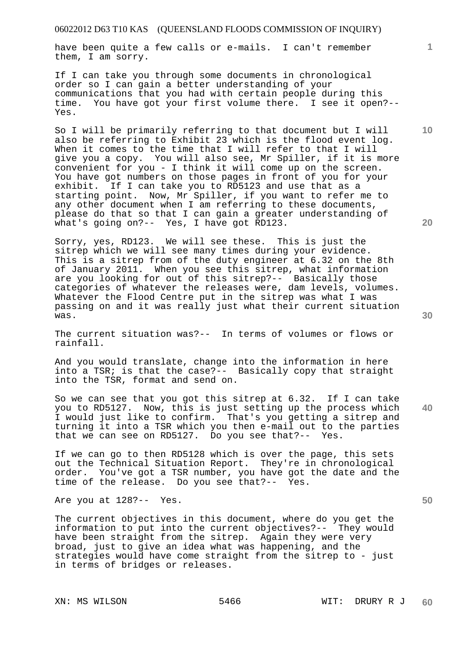have been quite a few calls or e-mails. I can't remember them, I am sorry.

If I can take you through some documents in chronological order so I can gain a better understanding of your communications that you had with certain people during this time. You have got your first volume there. I see it open?-- Yes.

So I will be primarily referring to that document but I will also be referring to Exhibit 23 which is the flood event log. When it comes to the time that I will refer to that I will give you a copy. You will also see, Mr Spiller, if it is more convenient for you - I think it will come up on the screen. You have got numbers on those pages in front of you for your exhibit. If I can take you to RD5123 and use that as a starting point. Now, Mr Spiller, if you want to refer me to any other document when I am referring to these documents, please do that so that I can gain a greater understanding of what's going on?-- Yes, I have got RD123.

Sorry, yes, RD123. We will see these. This is just the sitrep which we will see many times during your evidence. This is a sitrep from of the duty engineer at 6.32 on the 8th of January 2011. When you see this sitrep, what information are you looking for out of this sitrep?-- Basically those categories of whatever the releases were, dam levels, volumes. Whatever the Flood Centre put in the sitrep was what I was passing on and it was really just what their current situation was.

The current situation was?-- In terms of volumes or flows or rainfall.

And you would translate, change into the information in here into a TSR; is that the case?-- Basically copy that straight into the TSR, format and send on.

**40**  So we can see that you got this sitrep at 6.32. If I can take you to RD5127. Now, this is just setting up the process which I would just like to confirm. That's you getting a sitrep and turning it into a TSR which you then e-mail out to the parties that we can see on RD5127. Do you see that?-- Yes.

If we can go to then RD5128 which is over the page, this sets out the Technical Situation Report. They're in chronological order. You've got a TSR number, you have got the date and the time of the release. Do you see that?-- Yes.

Are you at 128?-- Yes.

The current objectives in this document, where do you get the information to put into the current objectives?-- They would have been straight from the sitrep. Again they were very broad, just to give an idea what was happening, and the strategies would have come straight from the sitrep to - just in terms of bridges or releases.

**50** 

**20** 

**10**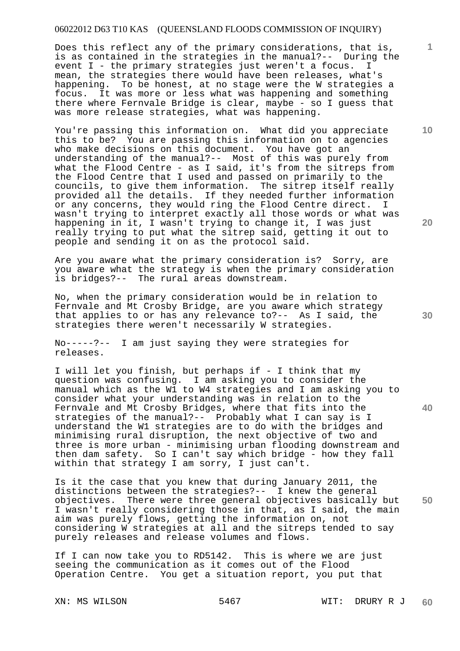Does this reflect any of the primary considerations, that is, is as contained in the strategies in the manual?-- During the event I - the primary strategies just weren't a focus. I event  $I$  - the primary strategies just weren't a focus. mean, the strategies there would have been releases, what's happening. To be honest, at no stage were the W strategies a focus. It was more or less what was happening and something there where Fernvale Bridge is clear, maybe - so I guess that was more release strategies, what was happening.

You're passing this information on. What did you appreciate this to be? You are passing this information on to agencies who make decisions on this document. You have got an understanding of the manual?-- Most of this was purely from what the Flood Centre - as I said, it's from the sitreps from the Flood Centre that I used and passed on primarily to the councils, to give them information. The sitrep itself really provided all the details. If they needed further information or any concerns, they would ring the Flood Centre direct. I wasn't trying to interpret exactly all those words or what was happening in it, I wasn't trying to change it, I was just really trying to put what the sitrep said, getting it out to people and sending it on as the protocol said.

Are you aware what the primary consideration is? Sorry, are you aware what the strategy is when the primary consideration is bridges?-- The rural areas downstream.

No, when the primary consideration would be in relation to Fernvale and Mt Crosby Bridge, are you aware which strategy that applies to or has any relevance to?-- As I said, the strategies there weren't necessarily W strategies.

No-----?-- I am just saying they were strategies for releases.

I will let you finish, but perhaps if - I think that my question was confusing. I am asking you to consider the manual which as the W1 to W4 strategies and I am asking you to consider what your understanding was in relation to the Fernvale and Mt Crosby Bridges, where that fits into the strategies of the manual?-- Probably what I can say is I understand the W1 strategies are to do with the bridges and minimising rural disruption, the next objective of two and three is more urban - minimising urban flooding downstream and then dam safety. So I can't say which bridge - how they fall within that strategy I am sorry, I just can't.

**50**  Is it the case that you knew that during January 2011, the distinctions between the strategies?-- I knew the general objectives. There were three general objectives basically but I wasn't really considering those in that, as I said, the main aim was purely flows, getting the information on, not considering W strategies at all and the sitreps tended to say purely releases and release volumes and flows.

If I can now take you to RD5142. This is where we are just seeing the communication as it comes out of the Flood Operation Centre. You get a situation report, you put that

**20** 

**10** 

**1**

**30**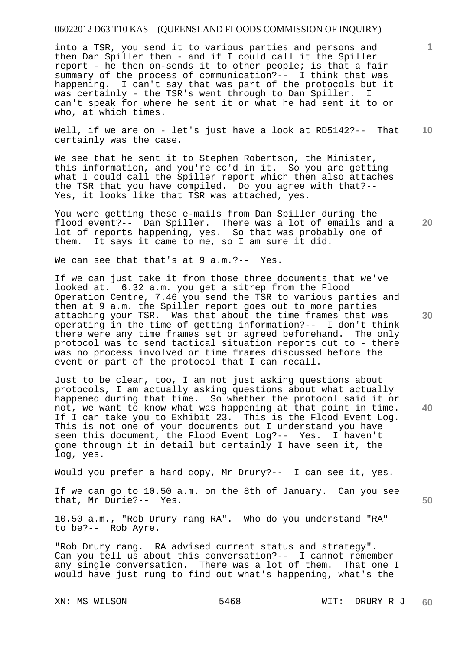into a TSR, you send it to various parties and persons and then Dan Spiller then - and if I could call it the Spiller report - he then on-sends it to other people; is that a fair summary of the process of communication?-- I think that was happening. I can't say that was part of the protocols but it was certainly - the TSR's went through to Dan Spiller. I can't speak for where he sent it or what he had sent it to or who, at which times.

Well, if we are on - let's just have a look at RD5142?-- That certainly was the case.

We see that he sent it to Stephen Robertson, the Minister, this information, and you're cc'd in it. So you are getting what I could call the Spiller report which then also attaches the TSR that you have compiled. Do you agree with that?-- Yes, it looks like that TSR was attached, yes.

You were getting these e-mails from Dan Spiller during the flood event?-- Dan Spiller. There was a lot of emails and a lot of reports happening, yes. So that was probably one of them. It says it came to me, so I am sure it did.

We can see that that's at 9 a.m.?-- Yes.

If we can just take it from those three documents that we've looked at. 6.32 a.m. you get a sitrep from the Flood Operation Centre, 7.46 you send the TSR to various parties and then at 9 a.m. the Spiller report goes out to more parties attaching your TSR. Was that about the time frames that was operating in the time of getting information?-- I don't think there were any time frames set or agreed beforehand. The only protocol was to send tactical situation reports out to - there was no process involved or time frames discussed before the event or part of the protocol that I can recall.

Just to be clear, too, I am not just asking questions about protocols, I am actually asking questions about what actually happened during that time. So whether the protocol said it or not, we want to know what was happening at that point in time. If I can take you to Exhibit 23. This is the Flood Event Log. This is not one of your documents but I understand you have seen this document, the Flood Event Log?-- Yes. I haven't gone through it in detail but certainly I have seen it, the log, yes.

Would you prefer a hard copy, Mr Drury?-- I can see it, yes.

If we can go to 10.50 a.m. on the 8th of January. Can you see that, Mr Durie?-- Yes.

10.50 a.m., "Rob Drury rang RA". Who do you understand "RA" to be?-- Rob Ayre.

"Rob Drury rang. RA advised current status and strategy". Can you tell us about this conversation?-- I cannot remember any single conversation. There was a lot of them. That one I would have just rung to find out what's happening, what's the

**30** 

**20** 

**40** 

**50** 

**10**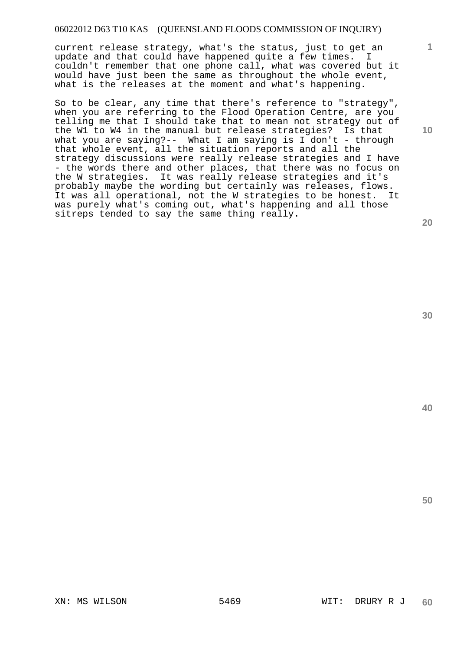current release strategy, what's the status, just to get an update and that could have happened quite a few times. I couldn't remember that one phone call, what was covered but it would have just been the same as throughout the whole event, what is the releases at the moment and what's happening.

So to be clear, any time that there's reference to "strategy", when you are referring to the Flood Operation Centre, are you telling me that I should take that to mean not strategy out of the W1 to W4 in the manual but release strategies? Is that what you are saying?-- What I am saying is I don't - through that whole event, all the situation reports and all the strategy discussions were really release strategies and I have - the words there and other places, that there was no focus on the W strategies. It was really release strategies and it's probably maybe the wording but certainly was releases, flows. It was all operational, not the W strategies to be honest. It was purely what's coming out, what's happening and all those sitreps tended to say the same thing really.

**30** 

**50** 

**1**

**10**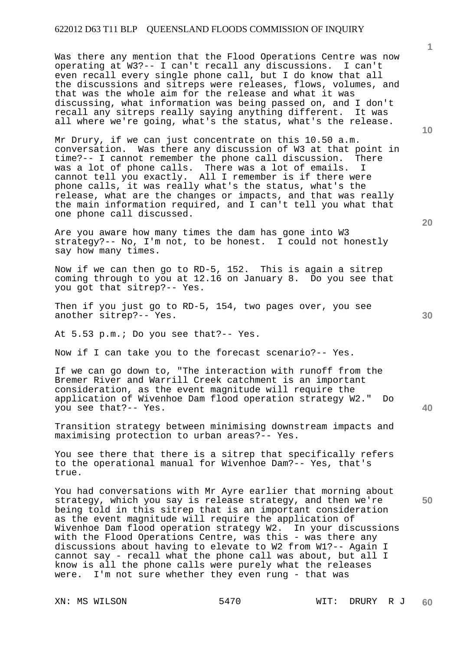Was there any mention that the Flood Operations Centre was now operating at W3?-- I can't recall any discussions. I can't even recall every single phone call, but I do know that all the discussions and sitreps were releases, flows, volumes, and that was the whole aim for the release and what it was discussing, what information was being passed on, and I don't recall any sitreps really saying anything different. It was all where we're going, what's the status, what's the release.

Mr Drury, if we can just concentrate on this 10.50 a.m. conversation. Was there any discussion of W3 at that point in time?-- I cannot remember the phone call discussion. There was a lot of phone calls. There was a lot of emails. I cannot tell you exactly. All I remember is if there were phone calls, it was really what's the status, what's the release, what are the changes or impacts, and that was really the main information required, and I can't tell you what that one phone call discussed.

Are you aware how many times the dam has gone into W3 strategy?-- No, I'm not, to be honest. I could not honestly say how many times.

Now if we can then go to RD-5, 152. This is again a sitrep coming through to you at 12.16 on January 8. Do you see that you got that sitrep?-- Yes.

Then if you just go to RD-5, 154, two pages over, you see another sitrep?-- Yes.

At 5.53 p.m.; Do you see that?-- Yes.

Now if I can take you to the forecast scenario?-- Yes.

If we can go down to, "The interaction with runoff from the Bremer River and Warrill Creek catchment is an important consideration, as the event magnitude will require the application of Wivenhoe Dam flood operation strategy W2." Do you see that?-- Yes.

Transition strategy between minimising downstream impacts and maximising protection to urban areas?-- Yes.

You see there that there is a sitrep that specifically refers to the operational manual for Wivenhoe Dam?-- Yes, that's true.

You had conversations with Mr Ayre earlier that morning about strategy, which you say is release strategy, and then we're being told in this sitrep that is an important consideration as the event magnitude will require the application of Wivenhoe Dam flood operation strategy W2. In your discussions with the Flood Operations Centre, was this - was there any discussions about having to elevate to W2 from W1?-- Again I cannot say - recall what the phone call was about, but all I know is all the phone calls were purely what the releases were. I'm not sure whether they even rung - that was

**1**

**40**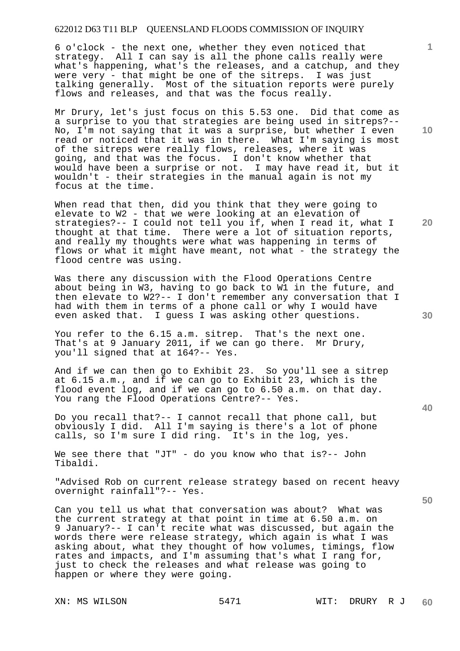6 o'clock - the next one, whether they even noticed that strategy. All I can say is all the phone calls really were what's happening, what's the releases, and a catchup, and they were very - that might be one of the sitreps. I was just talking generally. Most of the situation reports were purely flows and releases, and that was the focus really.

Mr Drury, let's just focus on this 5.53 one. Did that come as a surprise to you that strategies are being used in sitreps?-- No, I'm not saying that it was a surprise, but whether I even read or noticed that it was in there. What I'm saying is most of the sitreps were really flows, releases, where it was going, and that was the focus. I don't know whether that would have been a surprise or not. I may have read it, but it wouldn't - their strategies in the manual again is not my focus at the time.

When read that then, did you think that they were going to elevate to W2 - that we were looking at an elevation of strategies?-- I could not tell you if, when I read it, what I thought at that time. There were a lot of situation reports, and really my thoughts were what was happening in terms of flows or what it might have meant, not what - the strategy the flood centre was using.

Was there any discussion with the Flood Operations Centre about being in W3, having to go back to W1 in the future, and then elevate to W2?-- I don't remember any conversation that I had with them in terms of a phone call or why I would have even asked that. I guess I was asking other questions.

You refer to the 6.15 a.m. sitrep. That's the next one. That's at 9 January 2011, if we can go there. Mr Drury, you'll signed that at 164?-- Yes.

And if we can then go to Exhibit 23. So you'll see a sitrep at 6.15 a.m., and if we can go to Exhibit 23, which is the flood event log, and if we can go to 6.50 a.m. on that day. You rang the Flood Operations Centre?-- Yes.

Do you recall that?-- I cannot recall that phone call, but obviously I did. All I'm saying is there's a lot of phone calls, so I'm sure I did ring. It's in the log, yes.

We see there that "JT" - do you know who that is?-- John Tibaldi.

"Advised Rob on current release strategy based on recent heavy overnight rainfall"?-- Yes.

Can you tell us what that conversation was about? What was the current strategy at that point in time at 6.50 a.m. on 9 January?-- I can't recite what was discussed, but again the words there were release strategy, which again is what I was asking about, what they thought of how volumes, timings, flow rates and impacts, and I'm assuming that's what I rang for, just to check the releases and what release was going to happen or where they were going.

**10** 

**1**

**20** 

**30**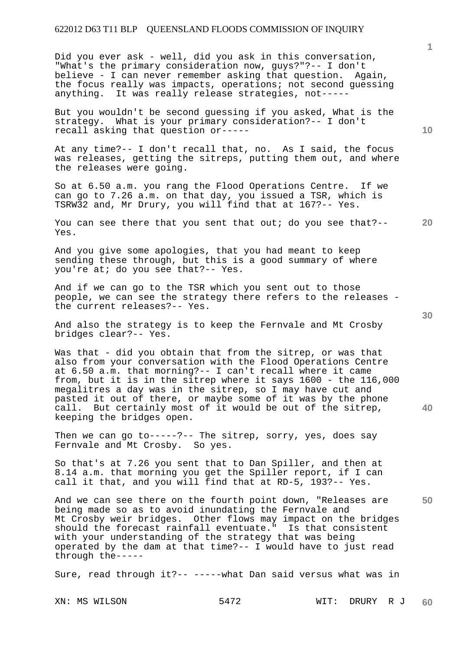Did you ever ask - well, did you ask in this conversation, "What's the primary consideration now, guys?"?-- I don't believe - I can never remember asking that question. Again, the focus really was impacts, operations; not second guessing anything. It was really release strategies, not-----

But you wouldn't be second guessing if you asked, What is the strategy. What is your primary consideration?-- I don't recall asking that question or-----

At any time?-- I don't recall that, no. As I said, the focus was releases, getting the sitreps, putting them out, and where the releases were going.

So at 6.50 a.m. you rang the Flood Operations Centre. If we can go to 7.26 a.m. on that day, you issued a TSR, which is TSRW32 and, Mr Drury, you will find that at 167?-- Yes.

**20**  You can see there that you sent that out; do you see that?-- Yes.

And you give some apologies, that you had meant to keep sending these through, but this is a good summary of where you're at; do you see that?-- Yes.

And if we can go to the TSR which you sent out to those people, we can see the strategy there refers to the releases the current releases?-- Yes.

And also the strategy is to keep the Fernvale and Mt Crosby bridges clear?-- Yes.

Was that - did you obtain that from the sitrep, or was that also from your conversation with the Flood Operations Centre at 6.50 a.m. that morning?-- I can't recall where it came from, but it is in the sitrep where it says 1600 - the 116,000 megalitres a day was in the sitrep, so I may have cut and pasted it out of there, or maybe some of it was by the phone call. But certainly most of it would be out of the sitrep, keeping the bridges open.

Then we can go to-----?-- The sitrep, sorry, yes, does say Fernvale and Mt Crosby. So yes.

So that's at 7.26 you sent that to Dan Spiller, and then at 8.14 a.m. that morning you get the Spiller report, if I can call it that, and you will find that at RD-5, 193?-- Yes.

And we can see there on the fourth point down, "Releases are being made so as to avoid inundating the Fernvale and Mt Crosby weir bridges. Other flows may impact on the bridges should the forecast rainfall eventuate." Is that consistent with your understanding of the strategy that was being operated by the dam at that time?-- I would have to just read through the-----

Sure, read through it?-- -----what Dan said versus what was in

**10** 

**40**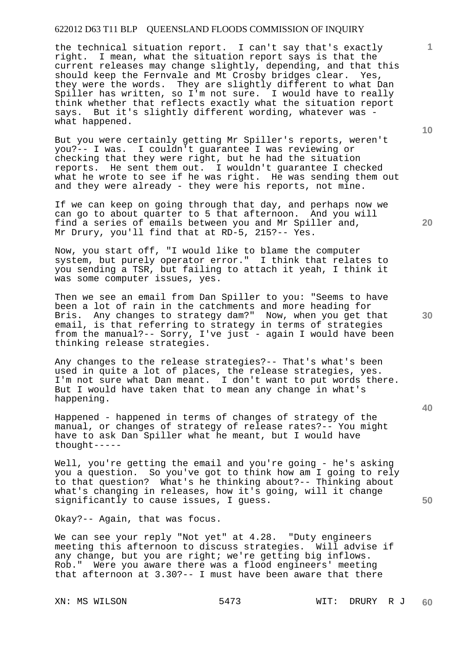the technical situation report. I can't say that's exactly right. I mean, what the situation report says is that the current releases may change slightly, depending, and that this should keep the Fernvale and Mt Crosby bridges clear. Yes, they were the words. They are slightly different to what Dan Spiller has written, so I'm not sure. I would have to really think whether that reflects exactly what the situation report says. But it's slightly different wording, whatever was what happened.

But you were certainly getting Mr Spiller's reports, weren't you?-- I was. I couldn't guarantee I was reviewing or checking that they were right, but he had the situation reports. He sent them out. I wouldn't guarantee I checked what he wrote to see if he was right. He was sending them out and they were already - they were his reports, not mine.

If we can keep on going through that day, and perhaps now we can go to about quarter to 5 that afternoon. And you will find a series of emails between you and Mr Spiller and, Mr Drury, you'll find that at RD-5, 215?-- Yes.

Now, you start off, "I would like to blame the computer system, but purely operator error." I think that relates to you sending a TSR, but failing to attach it yeah, I think it was some computer issues, yes.

Then we see an email from Dan Spiller to you: "Seems to have been a lot of rain in the catchments and more heading for Bris. Any changes to strategy dam?" Now, when you get that email, is that referring to strategy in terms of strategies from the manual?-- Sorry, I've just - again I would have been thinking release strategies.

Any changes to the release strategies?-- That's what's been used in quite a lot of places, the release strategies, yes. I'm not sure what Dan meant. I don't want to put words there. But I would have taken that to mean any change in what's happening.

Happened - happened in terms of changes of strategy of the manual, or changes of strategy of release rates?-- You might have to ask Dan Spiller what he meant, but I would have thought-----

Well, you're getting the email and you're going - he's asking you a question. So you've got to think how am I going to rely to that question? What's he thinking about?-- Thinking about what's changing in releases, how it's going, will it change significantly to cause issues, I guess.

Okay?-- Again, that was focus.

We can see your reply "Not yet" at 4.28. "Duty engineers meeting this afternoon to discuss strategies. Will advise if any change, but you are right; we're getting big inflows. Rob." Were you aware there was a flood engineers' meeting that afternoon at 3.30?-- I must have been aware that there

**10** 

**1**

**20** 

**30**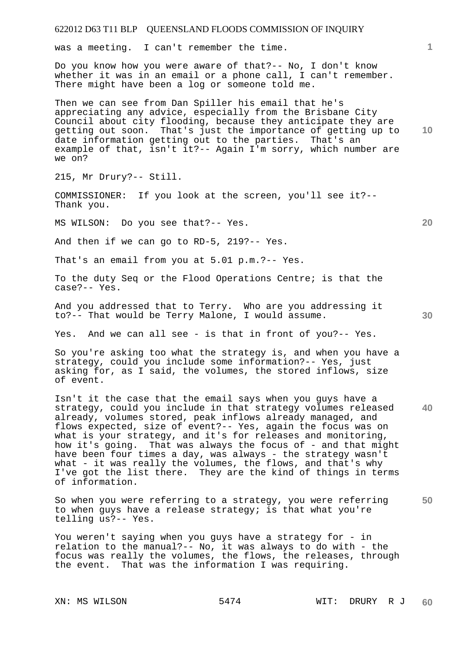was a meeting. I can't remember the time.

Do you know how you were aware of that?-- No, I don't know whether it was in an email or a phone call, I can't remember. There might have been a log or someone told me.

**10**  Then we can see from Dan Spiller his email that he's appreciating any advice, especially from the Brisbane City Council about city flooding, because they anticipate they are getting out soon. That's just the importance of getting up to date information getting out to the parties. That's an example of that, isn't it?-- Again I'm sorry, which number are we on?

215, Mr Drury?-- Still.

COMMISSIONER: If you look at the screen, you'll see it?-- Thank you.

MS WILSON: Do you see that?-- Yes.

And then if we can go to RD-5, 219?-- Yes.

That's an email from you at 5.01 p.m.?-- Yes.

To the duty Seq or the Flood Operations Centre; is that the case?-- Yes.

And you addressed that to Terry. Who are you addressing it to?-- That would be Terry Malone, I would assume.

Yes. And we can all see - is that in front of you?-- Yes.

So you're asking too what the strategy is, and when you have a strategy, could you include some information?-- Yes, just asking for, as I said, the volumes, the stored inflows, size of event.

**40**  Isn't it the case that the email says when you guys have a strategy, could you include in that strategy volumes released already, volumes stored, peak inflows already managed, and flows expected, size of event?-- Yes, again the focus was on what is your strategy, and it's for releases and monitoring, how it's going. That was always the focus of - and that might have been four times a day, was always - the strategy wasn't what - it was really the volumes, the flows, and that's why I've got the list there. They are the kind of things in terms of information.

**50**  So when you were referring to a strategy, you were referring to when guys have a release strategy; is that what you're telling us?-- Yes.

You weren't saying when you guys have a strategy for - in relation to the manual?-- No, it was always to do with - the focus was really the volumes, the flows, the releases, through the event. That was the information I was requiring.

**1**

**20**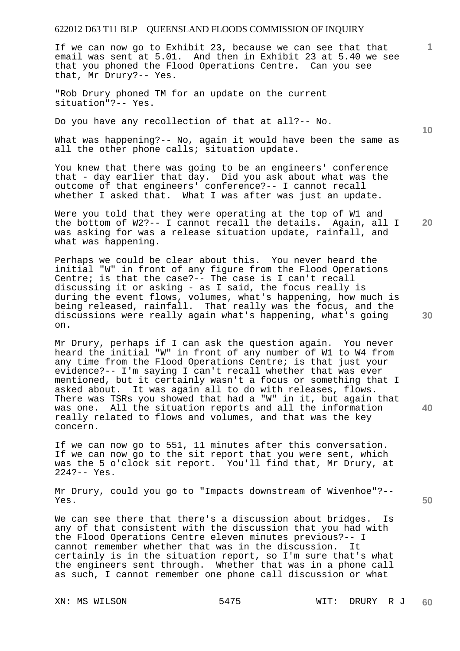If we can now go to Exhibit 23, because we can see that that email was sent at 5.01. And then in Exhibit 23 at 5.40 we see that you phoned the Flood Operations Centre. Can you see that, Mr Drury?-- Yes.

"Rob Drury phoned TM for an update on the current situation"?-- Yes.

Do you have any recollection of that at all?-- No.

What was happening?-- No, again it would have been the same as all the other phone calls; situation update.

You knew that there was going to be an engineers' conference that - day earlier that day. Did you ask about what was the outcome of that engineers' conference?-- I cannot recall whether I asked that. What I was after was just an update.

Were you told that they were operating at the top of W1 and the bottom of W2?-- I cannot recall the details. Again, all I was asking for was a release situation update, rainfall, and what was happening.

Perhaps we could be clear about this. You never heard the initial "W" in front of any figure from the Flood Operations Centre; is that the case?-- The case is I can't recall discussing it or asking - as I said, the focus really is during the event flows, volumes, what's happening, how much is being released, rainfall. That really was the focus, and the discussions were really again what's happening, what's going on.

Mr Drury, perhaps if I can ask the question again. You never heard the initial "W" in front of any number of W1 to W4 from any time from the Flood Operations Centre; is that just your evidence?-- I'm saying I can't recall whether that was ever mentioned, but it certainly wasn't a focus or something that I asked about. It was again all to do with releases, flows. There was TSRs you showed that had a "W" in it, but again that was one. All the situation reports and all the information really related to flows and volumes, and that was the key concern.

If we can now go to 551, 11 minutes after this conversation. If we can now go to the sit report that you were sent, which was the 5 o'clock sit report. You'll find that, Mr Drury, at 224?-- Yes.

Mr Drury, could you go to "Impacts downstream of Wivenhoe"?-- Yes.

We can see there that there's a discussion about bridges. Is any of that consistent with the discussion that you had with the Flood Operations Centre eleven minutes previous?-- I cannot remember whether that was in the discussion. It certainly is in the situation report, so I'm sure that's what the engineers sent through. Whether that was in a phone call as such, I cannot remember one phone call discussion or what

**10** 

**1**

**30** 

**20** 

**40**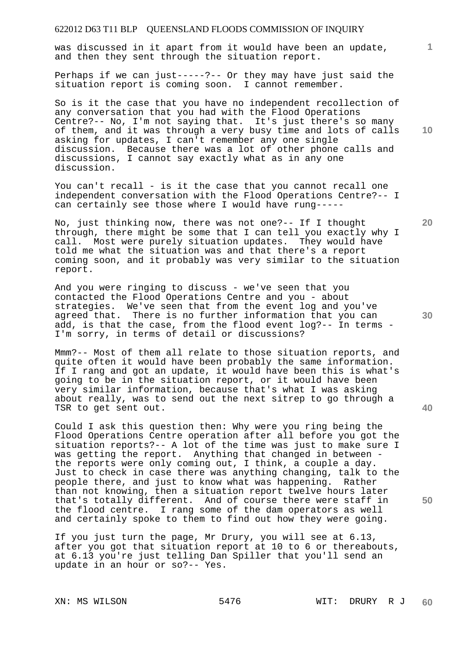was discussed in it apart from it would have been an update, and then they sent through the situation report.

Perhaps if we can just-----?-- Or they may have just said the situation report is coming soon. I cannot remember.

So is it the case that you have no independent recollection of any conversation that you had with the Flood Operations Centre?-- No, I'm not saying that. It's just there's so many of them, and it was through a very busy time and lots of calls asking for updates, I can't remember any one single discussion. Because there was a lot of other phone calls and discussions, I cannot say exactly what as in any one discussion.

You can't recall - is it the case that you cannot recall one independent conversation with the Flood Operations Centre?-- I can certainly see those where I would have rung-----

No, just thinking now, there was not one?-- If I thought through, there might be some that I can tell you exactly why I call. Most were purely situation updates. They would have told me what the situation was and that there's a report coming soon, and it probably was very similar to the situation report.

And you were ringing to discuss - we've seen that you contacted the Flood Operations Centre and you - about strategies. We've seen that from the event log and you've agreed that. There is no further information that you can add, is that the case, from the flood event log?-- In terms - I'm sorry, in terms of detail or discussions?

Mmm?-- Most of them all relate to those situation reports, and quite often it would have been probably the same information. If I rang and got an update, it would have been this is what's going to be in the situation report, or it would have been very similar information, because that's what I was asking about really, was to send out the next sitrep to go through a TSR to get sent out.

Could I ask this question then: Why were you ring being the Flood Operations Centre operation after all before you got the situation reports?-- A lot of the time was just to make sure I was getting the report. Anything that changed in between the reports were only coming out, I think, a couple a day. Just to check in case there was anything changing, talk to the people there, and just to know what was happening. Rather than not knowing, then a situation report twelve hours later that's totally different. And of course there were staff in the flood centre. I rang some of the dam operators as well and certainly spoke to them to find out how they were going.

If you just turn the page, Mr Drury, you will see at 6.13, after you got that situation report at 10 to 6 or thereabouts, at 6.13 you're just telling Dan Spiller that you'll send an update in an hour or so?-- Yes.

**10** 

**1**

**20** 

**30**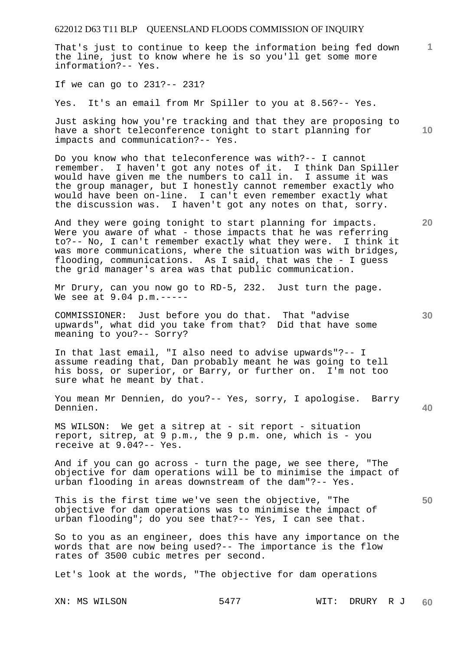That's just to continue to keep the information being fed down the line, just to know where he is so you'll get some more information?-- Yes.

If we can go to 231?-- 231?

Yes. It's an email from Mr Spiller to you at 8.56?-- Yes.

Just asking how you're tracking and that they are proposing to have a short teleconference tonight to start planning for impacts and communication?-- Yes.

Do you know who that teleconference was with?-- I cannot remember. I haven't got any notes of it. I think Dan Spiller would have given me the numbers to call in. I assume it was the group manager, but I honestly cannot remember exactly who would have been on-line. I can't even remember exactly what the discussion was. I haven't got any notes on that, sorry.

And they were going tonight to start planning for impacts. Were you aware of what - those impacts that he was referring to?-- No, I can't remember exactly what they were. I think it was more communications, where the situation was with bridges, flooding, communications. As I said, that was the - I guess the grid manager's area was that public communication.

Mr Drury, can you now go to RD-5, 232. Just turn the page. We see at 9.04 p.m.-----

COMMISSIONER: Just before you do that. That "advise upwards", what did you take from that? Did that have some meaning to you?-- Sorry?

In that last email, "I also need to advise upwards"?-- I assume reading that, Dan probably meant he was going to tell his boss, or superior, or Barry, or further on. I'm not too sure what he meant by that.

**40**  You mean Mr Dennien, do you?-- Yes, sorry, I apologise. Barry Dennien.

MS WILSON: We get a sitrep at - sit report - situation report, sitrep, at 9 p.m., the 9 p.m. one, which is - you receive at 9.04?-- Yes.

And if you can go across - turn the page, we see there, "The objective for dam operations will be to minimise the impact of urban flooding in areas downstream of the dam"?-- Yes.

This is the first time we've seen the objective, "The objective for dam operations was to minimise the impact of urban flooding"; do you see that?-- Yes, I can see that.

So to you as an engineer, does this have any importance on the words that are now being used?-- The importance is the flow rates of 3500 cubic metres per second.

Let's look at the words, "The objective for dam operations

**1**

**10** 

**20** 

**30**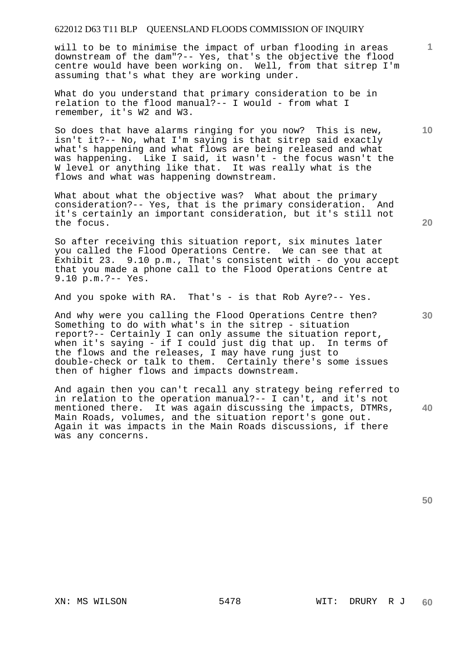will to be to minimise the impact of urban flooding in areas downstream of the dam"?-- Yes, that's the objective the flood centre would have been working on. Well, from that sitrep I'm assuming that's what they are working under.

What do you understand that primary consideration to be in relation to the flood manual?-- I would - from what I remember, it's W2 and W3.

So does that have alarms ringing for you now? This is new, isn't it?-- No, what I'm saying is that sitrep said exactly what's happening and what flows are being released and what was happening. Like I said, it wasn't - the focus wasn't the W level or anything like that. It was really what is the flows and what was happening downstream.

What about what the objective was? What about the primary consideration?-- Yes, that is the primary consideration. And it's certainly an important consideration, but it's still not the focus.

So after receiving this situation report, six minutes later you called the Flood Operations Centre. We can see that at Exhibit 23. 9.10 p.m., That's consistent with - do you accept that you made a phone call to the Flood Operations Centre at 9.10 p.m.?-- Yes.

And you spoke with RA. That's - is that Rob Ayre?-- Yes.

And why were you calling the Flood Operations Centre then? Something to do with what's in the sitrep - situation report?-- Certainly I can only assume the situation report, when it's saying - if I could just dig that up. In terms of the flows and the releases, I may have rung just to double-check or talk to them. Certainly there's some issues then of higher flows and impacts downstream.

**40**  And again then you can't recall any strategy being referred to in relation to the operation manual?-- I can't, and it's not mentioned there. It was again discussing the impacts, DTMRs, Main Roads, volumes, and the situation report's gone out. Again it was impacts in the Main Roads discussions, if there was any concerns.

**30** 

**20** 

**1**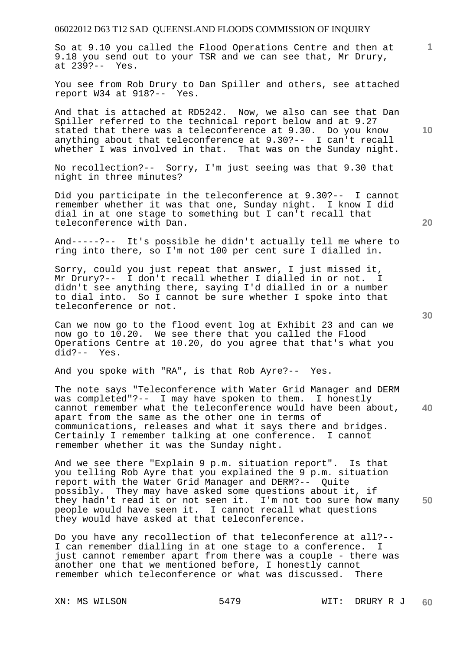So at 9.10 you called the Flood Operations Centre and then at 9.18 you send out to your TSR and we can see that, Mr Drury, at 239?-- Yes.

You see from Rob Drury to Dan Spiller and others, see attached report W34 at 918?-- Yes.

And that is attached at RD5242. Now, we also can see that Dan Spiller referred to the technical report below and at 9.27 stated that there was a teleconference at 9.30. Do you know anything about that teleconference at 9.30?-- I can't recall whether I was involved in that. That was on the Sunday night.

No recollection?-- Sorry, I'm just seeing was that 9.30 that night in three minutes?

Did you participate in the teleconference at 9.30?-- I cannot remember whether it was that one, Sunday night. I know I did dial in at one stage to something but I can't recall that teleconference with Dan.

And-----?-- It's possible he didn't actually tell me where to ring into there, so I'm not 100 per cent sure I dialled in.

Sorry, could you just repeat that answer, I just missed it, Mr Drury?-- I don't recall whether I dialled in or not. I didn't see anything there, saying I'd dialled in or a number to dial into. So I cannot be sure whether I spoke into that teleconference or not.

Can we now go to the flood event log at Exhibit 23 and can we now go to 10.20. We see there that you called the Flood Operations Centre at 10.20, do you agree that that's what you did?-- Yes.

And you spoke with "RA", is that Rob Ayre?-- Yes.

The note says "Teleconference with Water Grid Manager and DERM was completed"?-- I may have spoken to them. I honestly cannot remember what the teleconference would have been about, apart from the same as the other one in terms of communications, releases and what it says there and bridges. Certainly I remember talking at one conference. I cannot remember whether it was the Sunday night.

**50**  And we see there "Explain 9 p.m. situation report". Is that you telling Rob Ayre that you explained the 9 p.m. situation report with the Water Grid Manager and DERM?-- Quite possibly. They may have asked some questions about it, if they hadn't read it or not seen it. I'm not too sure how many people would have seen it. I cannot recall what questions they would have asked at that teleconference.

Do you have any recollection of that teleconference at all?-- I can remember dialling in at one stage to a conference. I just cannot remember apart from there was a couple - there was another one that we mentioned before, I honestly cannot remember which teleconference or what was discussed. There

**10** 

**1**

**30**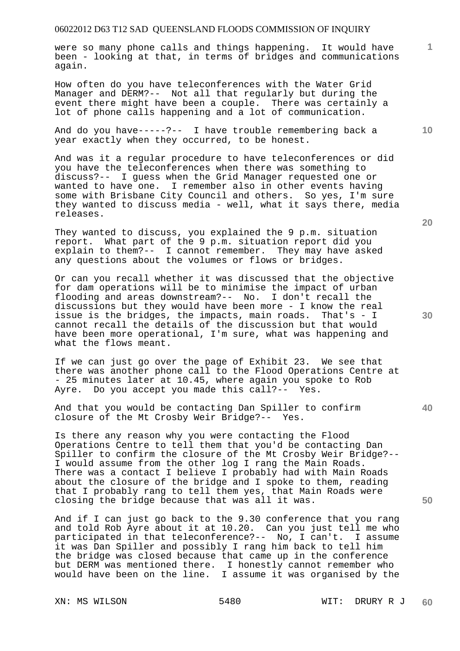were so many phone calls and things happening. It would have been - looking at that, in terms of bridges and communications again.

How often do you have teleconferences with the Water Grid Manager and DERM?-- Not all that regularly but during the event there might have been a couple. There was certainly a lot of phone calls happening and a lot of communication.

And do you have-----?-- I have trouble remembering back a year exactly when they occurred, to be honest.

And was it a regular procedure to have teleconferences or did you have the teleconferences when there was something to discuss?-- I guess when the Grid Manager requested one or wanted to have one. I remember also in other events having some with Brisbane City Council and others. So yes, I'm sure they wanted to discuss media - well, what it says there, media releases.

They wanted to discuss, you explained the 9 p.m. situation report. What part of the 9 p.m. situation report did you explain to them?-- I cannot remember. They may have asked any questions about the volumes or flows or bridges.

Or can you recall whether it was discussed that the objective for dam operations will be to minimise the impact of urban flooding and areas downstream?-- No. I don't recall the discussions but they would have been more - I know the real issue is the bridges, the impacts, main roads. That's - I cannot recall the details of the discussion but that would have been more operational, I'm sure, what was happening and what the flows meant.

If we can just go over the page of Exhibit 23. We see that there was another phone call to the Flood Operations Centre at - 25 minutes later at 10.45, where again you spoke to Rob Ayre. Do you accept you made this call?-- Yes.

And that you would be contacting Dan Spiller to confirm closure of the Mt Crosby Weir Bridge?-- Yes.

Is there any reason why you were contacting the Flood Operations Centre to tell them that you'd be contacting Dan Spiller to confirm the closure of the Mt Crosby Weir Bridge?-- I would assume from the other log I rang the Main Roads. There was a contact I believe I probably had with Main Roads about the closure of the bridge and I spoke to them, reading that I probably rang to tell them yes, that Main Roads were closing the bridge because that was all it was.

And if I can just go back to the 9.30 conference that you rang and told Rob Ayre about it at 10.20. Can you just tell me who participated in that teleconference?-- No, I can't. I assume it was Dan Spiller and possibly I rang him back to tell him the bridge was closed because that came up in the conference but DERM was mentioned there. I honestly cannot remember who would have been on the line. I assume it was organised by the

**20** 

**10** 

**40** 

**50**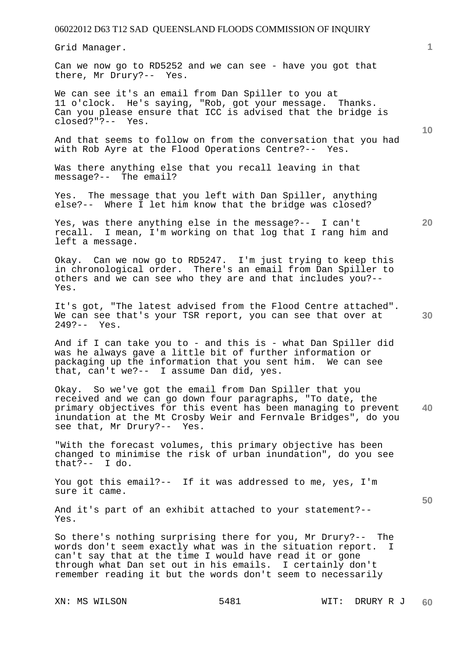Grid Manager.

Can we now go to RD5252 and we can see - have you got that there, Mr Drury?-- Yes.

We can see it's an email from Dan Spiller to you at 11 o'clock. He's saying, "Rob, got your message. Thanks. Can you please ensure that ICC is advised that the bridge is closed?"?-- Yes.

And that seems to follow on from the conversation that you had with Rob Ayre at the Flood Operations Centre?-- Yes.

Was there anything else that you recall leaving in that message?-- The email?

Yes. The message that you left with Dan Spiller, anything else?-- Where I let him know that the bridge was closed?

Yes, was there anything else in the message?-- I can't recall. I mean, I'm working on that log that I rang him and left a message.

Okay. Can we now go to RD5247. I'm just trying to keep this in chronological order. There's an email from Dan Spiller to others and we can see who they are and that includes you?-- Yes.

It's got, "The latest advised from the Flood Centre attached". We can see that's your TSR report, you can see that over at 249?-- Yes.

And if I can take you to - and this is - what Dan Spiller did was he always gave a little bit of further information or packaging up the information that you sent him. We can see that, can't we?-- I assume Dan did, yes.

**40**  Okay. So we've got the email from Dan Spiller that you received and we can go down four paragraphs, "To date, the primary objectives for this event has been managing to prevent inundation at the Mt Crosby Weir and Fernvale Bridges", do you see that, Mr Drury?-- Yes.

"With the forecast volumes, this primary objective has been changed to minimise the risk of urban inundation", do you see that?-- I do.

You got this email?-- If it was addressed to me, yes, I'm sure it came.

And it's part of an exhibit attached to your statement?-- Yes.

So there's nothing surprising there for you, Mr Drury?-- The words don't seem exactly what was in the situation report. I can't say that at the time I would have read it or gone through what Dan set out in his emails. I certainly don't remember reading it but the words don't seem to necessarily

**10** 

**20**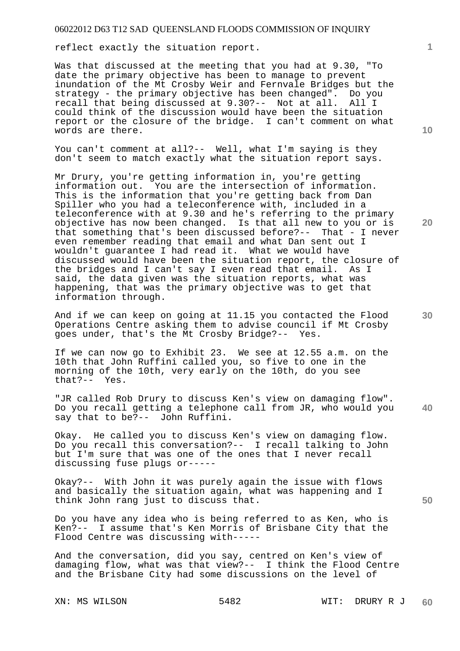reflect exactly the situation report.

Was that discussed at the meeting that you had at 9.30, "To date the primary objective has been to manage to prevent inundation of the Mt Crosby Weir and Fernvale Bridges but the strategy - the primary objective has been changed". Do you recall that being discussed at 9.30?-- Not at all. could think of the discussion would have been the situation report or the closure of the bridge. I can't comment on what words are there.

You can't comment at all?-- Well, what I'm saying is they don't seem to match exactly what the situation report says.

Mr Drury, you're getting information in, you're getting information out. You are the intersection of information. This is the information that you're getting back from Dan Spiller who you had a teleconference with, included in a teleconference with at 9.30 and he's referring to the primary objective has now been changed. Is that all new to you or is that something that's been discussed before?-- That - I never even remember reading that email and what Dan sent out I wouldn't guarantee I had read it. What we would have discussed would have been the situation report, the closure of the bridges and I can't say I even read that email. As I said, the data given was the situation reports, what was happening, that was the primary objective was to get that information through.

And if we can keep on going at 11.15 you contacted the Flood Operations Centre asking them to advise council if Mt Crosby goes under, that's the Mt Crosby Bridge?-- Yes.

If we can now go to Exhibit 23. We see at 12.55 a.m. on the 10th that John Ruffini called you, so five to one in the morning of the 10th, very early on the 10th, do you see that?-- Yes.  $that? --$ 

**40**  "JR called Rob Drury to discuss Ken's view on damaging flow". Do you recall getting a telephone call from JR, who would you say that to be?-- John Ruffini.

Okay. He called you to discuss Ken's view on damaging flow. Do you recall this conversation?-- I recall talking to John but I'm sure that was one of the ones that I never recall discussing fuse plugs or-----

Okay?-- With John it was purely again the issue with flows and basically the situation again, what was happening and I think John rang just to discuss that.

Do you have any idea who is being referred to as Ken, who is Ken?-- I assume that's Ken Morris of Brisbane City that the Flood Centre was discussing with-----

And the conversation, did you say, centred on Ken's view of damaging flow, what was that view?-- I think the Flood Centre and the Brisbane City had some discussions on the level of

**10** 

**1**

**20**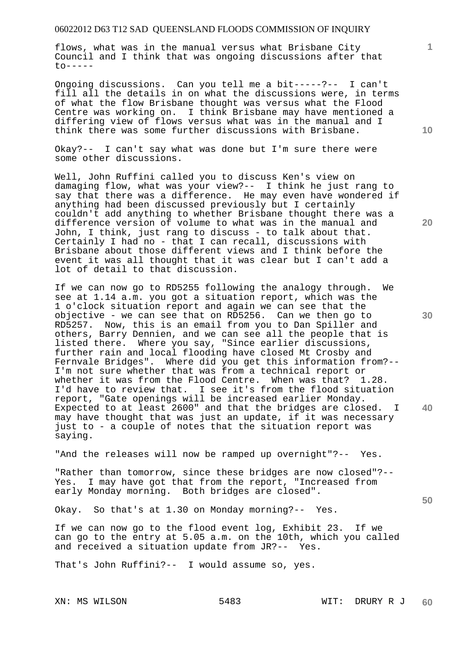flows, what was in the manual versus what Brisbane City Council and I think that was ongoing discussions after that  $to-----$ 

Ongoing discussions. Can you tell me a bit-----?-- I can't fill all the details in on what the discussions were, in terms of what the flow Brisbane thought was versus what the Flood Centre was working on. I think Brisbane may have mentioned a differing view of flows versus what was in the manual and I think there was some further discussions with Brisbane.

Okay?-- I can't say what was done but I'm sure there were some other discussions.

Well, John Ruffini called you to discuss Ken's view on damaging flow, what was your view?-- I think he just rang to say that there was a difference. He may even have wondered if anything had been discussed previously but I certainly couldn't add anything to whether Brisbane thought there was a difference version of volume to what was in the manual and John, I think, just rang to discuss - to talk about that. Certainly I had no - that I can recall, discussions with Brisbane about those different views and I think before the event it was all thought that it was clear but I can't add a lot of detail to that discussion.

If we can now go to RD5255 following the analogy through. We see at 1.14 a.m. you got a situation report, which was the 1 o'clock situation report and again we can see that the objective - we can see that on RD5256. Can we then go to RD5257. Now, this is an email from you to Dan Spiller and others, Barry Dennien, and we can see all the people that is listed there. Where you say, "Since earlier discussions, further rain and local flooding have closed Mt Crosby and Fernvale Bridges". Where did you get this information from?-- I'm not sure whether that was from a technical report or whether it was from the Flood Centre. When was that? 1.28. I'd have to review that. I see it's from the flood situation report, "Gate openings will be increased earlier Monday. Expected to at least 2600" and that the bridges are closed. I may have thought that was just an update, if it was necessary just to - a couple of notes that the situation report was saying.

"And the releases will now be ramped up overnight"?-- Yes.

"Rather than tomorrow, since these bridges are now closed"?-- Yes. I may have got that from the report, "Increased from early Monday morning. Both bridges are closed".

Okay. So that's at 1.30 on Monday morning?-- Yes.

If we can now go to the flood event log, Exhibit 23. If we can go to the entry at 5.05 a.m. on the 10th, which you called and received a situation update from JR?-- Yes.

That's John Ruffini?-- I would assume so, yes.

**20** 

**10** 

**40** 

**30** 

**50**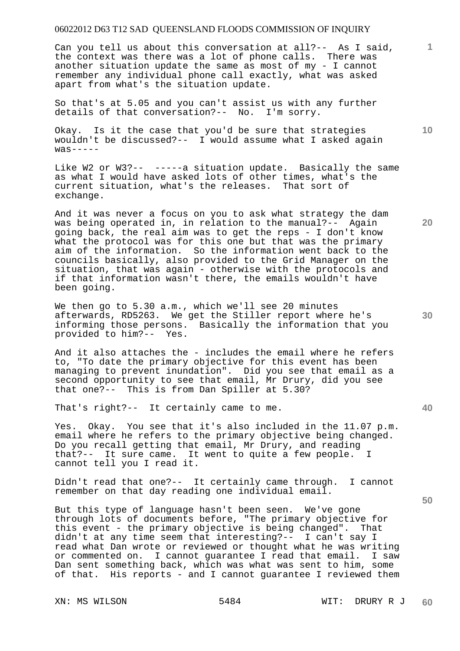Can you tell us about this conversation at all?-- As I said, the context was there was a lot of phone calls. There was another situation update the same as most of my - I cannot remember any individual phone call exactly, what was asked apart from what's the situation update.

So that's at 5.05 and you can't assist us with any further details of that conversation?-- No. I'm sorry.

Okay. Is it the case that you'd be sure that strategies wouldn't be discussed?-- I would assume what I asked again  $was---$ 

Like W2 or W3?-- -----a situation update. Basically the same as what I would have asked lots of other times, what's the current situation, what's the releases. That sort of exchange.

And it was never a focus on you to ask what strategy the dam was being operated in, in relation to the manual?-- Again going back, the real aim was to get the reps - I don't know what the protocol was for this one but that was the primary aim of the information. So the information went back to the councils basically, also provided to the Grid Manager on the situation, that was again - otherwise with the protocols and if that information wasn't there, the emails wouldn't have been going.

We then go to 5.30 a.m., which we'll see 20 minutes afterwards, RD5263. We get the Stiller report where he's informing those persons. Basically the information that you provided to him?-- Yes.

And it also attaches the - includes the email where he refers to, "To date the primary objective for this event has been managing to prevent inundation". Did you see that email as a second opportunity to see that email, Mr Drury, did you see that one?-- This is from Dan Spiller at 5.30?

That's right?-- It certainly came to me.

Yes. Okay. You see that it's also included in the 11.07 p.m. email where he refers to the primary objective being changed. Do you recall getting that email, Mr Drury, and reading that?-- It sure came. It went to quite a few people. I cannot tell you I read it.

Didn't read that one?-- It certainly came through. I cannot remember on that day reading one individual email.

But this type of language hasn't been seen. We've gone through lots of documents before, "The primary objective for this event - the primary objective is being changed". That didn't at any time seem that interesting?-- I can't say I read what Dan wrote or reviewed or thought what he was writing or commented on. I cannot guarantee I read that email. I saw Dan sent something back, which was what was sent to him, some of that. His reports - and I cannot guarantee I reviewed them

**10** 

**20** 

**1**

**30**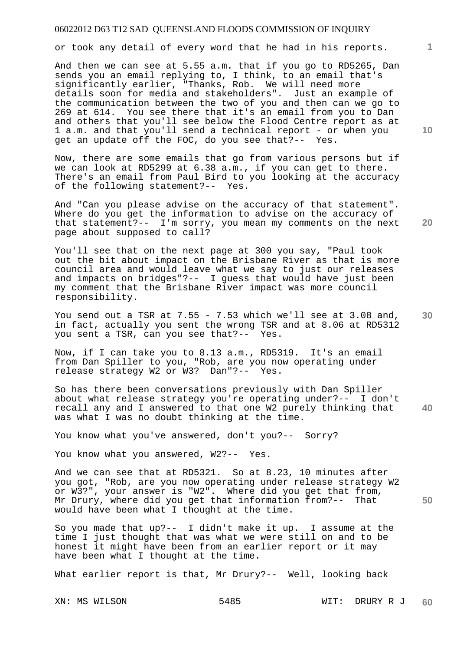or took any detail of every word that he had in his reports.

And then we can see at 5.55 a.m. that if you go to RD5265, Dan sends you an email replying to, I think, to an email that's significantly earlier, "Thanks, Rob. We will need more details soon for media and stakeholders". Just an example of the communication between the two of you and then can we go to 269 at 614. You see there that it's an email from you to Dan and others that you'll see below the Flood Centre report as at 1 a.m. and that you'll send a technical report - or when you get an update off the FOC, do you see that?-- Yes.

Now, there are some emails that go from various persons but if we can look at RD5299 at 6.38 a.m., if you can get to there. There's an email from Paul Bird to you looking at the accuracy of the following statement?-- Yes.

And "Can you please advise on the accuracy of that statement". Where do you get the information to advise on the accuracy of that statement?-- I'm sorry, you mean my comments on the next page about supposed to call?

You'll see that on the next page at 300 you say, "Paul took out the bit about impact on the Brisbane River as that is more council area and would leave what we say to just our releases and impacts on bridges"?-- I guess that would have just been my comment that the Brisbane River impact was more council responsibility.

**30**  You send out a TSR at  $7.55 - 7.53$  which we'll see at  $3.08$  and, in fact, actually you sent the wrong TSR and at 8.06 at RD5312 you sent a TSR, can you see that?-- Yes.

Now, if I can take you to 8.13 a.m., RD5319. It's an email from Dan Spiller to you, "Rob, are you now operating under release strategy W2 or W3? Dan"?-- Yes.

So has there been conversations previously with Dan Spiller about what release strategy you're operating under?-- I don't recall any and I answered to that one W2 purely thinking that was what I was no doubt thinking at the time.

You know what you've answered, don't you?-- Sorry?

You know what you answered, W2?-- Yes.

And we can see that at RD5321. So at 8.23, 10 minutes after you got, "Rob, are you now operating under release strategy W2 or W3?", your answer is "W2". Where did you get that from, Mr Drury, where did you get that information from?-- That would have been what I thought at the time.

So you made that up?-- I didn't make it up. I assume at the time I just thought that was what we were still on and to be honest it might have been from an earlier report or it may have been what I thought at the time.

What earlier report is that, Mr Drury?-- Well, looking back

**10** 

**1**

**20** 

**40**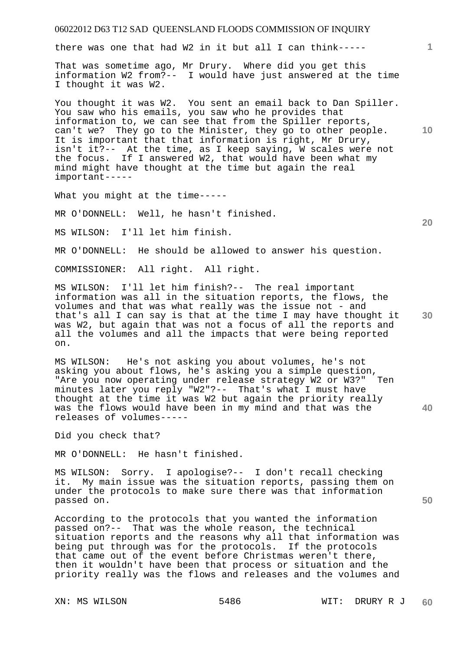there was one that had W2 in it but all I can think-----

That was sometime ago, Mr Drury. Where did you get this information W2 from?-- I would have just answered at the time I thought it was W2.

You thought it was W2. You sent an email back to Dan Spiller. You saw who his emails, you saw who he provides that information to, we can see that from the Spiller reports, can't we? They go to the Minister, they go to other people. It is important that that information is right, Mr Drury, isn't it?-- At the time, as I keep saying, W scales were not the focus. If I answered W2, that would have been what my mind might have thought at the time but again the real important-----

What you might at the time-----

MR O'DONNELL: Well, he hasn't finished.

MS WILSON: I'll let him finish.

MR O'DONNELL: He should be allowed to answer his question.

COMMISSIONER: All right. All right.

MS WILSON: I'll let him finish?-- The real important information was all in the situation reports, the flows, the volumes and that was what really was the issue not - and that's all I can say is that at the time I may have thought it was W2, but again that was not a focus of all the reports and all the volumes and all the impacts that were being reported on.

MS WILSON: He's not asking you about volumes, he's not asking you about flows, he's asking you a simple question, "Are you now operating under release strategy W2 or W3?" Ten minutes later you reply "W2"?-- That's what I must have thought at the time it was W2 but again the priority really was the flows would have been in my mind and that was the releases of volumes-----

Did you check that?

MR O'DONNELL: He hasn't finished.

MS WILSON: Sorry. I apologise?-- I don't recall checking it. My main issue was the situation reports, passing them on under the protocols to make sure there was that information passed on.

According to the protocols that you wanted the information passed on?-- That was the whole reason, the technical situation reports and the reasons why all that information was being put through was for the protocols. If the protocols that came out of the event before Christmas weren't there, then it wouldn't have been that process or situation and the priority really was the flows and releases and the volumes and

**20** 

**1**

**10** 

**30** 

**50**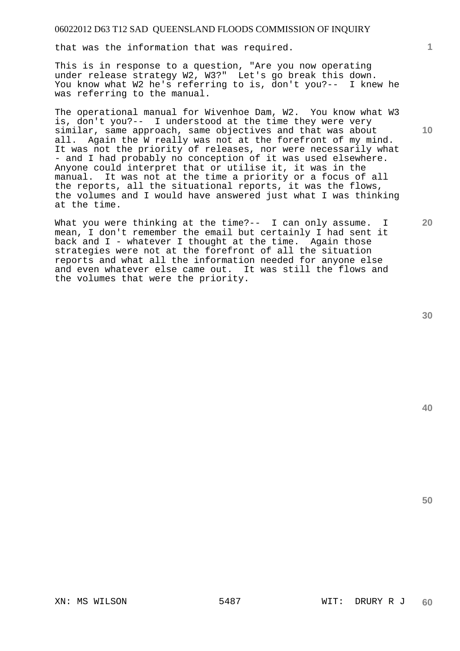that was the information that was required.

This is in response to a question, "Are you now operating under release strategy W2, W3?" Let's go break this down. You know what W2 he's referring to is, don't you?-- I knew he was referring to the manual.

The operational manual for Wivenhoe Dam, W2. You know what W3 is, don't you?-- I understood at the time they were very similar, same approach, same objectives and that was about all. Again the W really was not at the forefront of my mind. It was not the priority of releases, nor were necessarily what - and I had probably no conception of it was used elsewhere. Anyone could interpret that or utilise it, it was in the manual. It was not at the time a priority or a focus of all the reports, all the situational reports, it was the flows, the volumes and I would have answered just what I was thinking at the time.

What you were thinking at the time?-- I can only assume. I mean, I don't remember the email but certainly I had sent it back and I - whatever I thought at the time. Again those strategies were not at the forefront of all the situation reports and what all the information needed for anyone else and even whatever else came out. It was still the flows and the volumes that were the priority.

**40** 

**50** 

**1**

**10**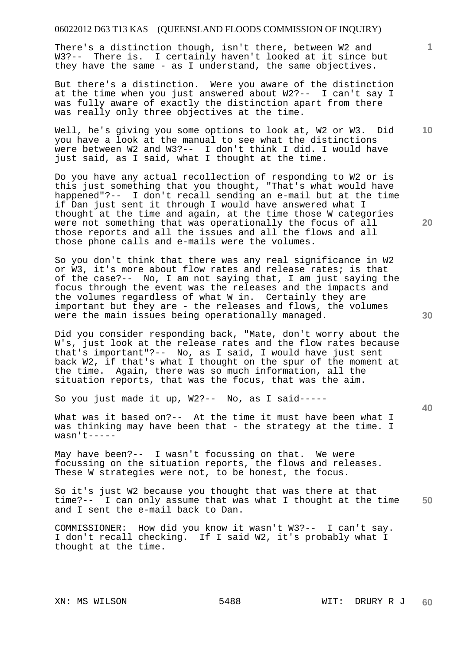There's a distinction though, isn't there, between W2 and W3?-- There is. I certainly haven't looked at it since but they have the same - as I understand, the same objectives.

But there's a distinction. Were you aware of the distinction at the time when you just answered about W2?-- I can't say I was fully aware of exactly the distinction apart from there was really only three objectives at the time.

Well, he's giving you some options to look at, W2 or W3. Did you have a look at the manual to see what the distinctions were between W2 and W3?-- I don't think I did. I would have just said, as I said, what I thought at the time.

Do you have any actual recollection of responding to W2 or is this just something that you thought, "That's what would have happened"?-- I don't recall sending an e-mail but at the time if Dan just sent it through I would have answered what I thought at the time and again, at the time those W categories were not something that was operationally the focus of all those reports and all the issues and all the flows and all those phone calls and e-mails were the volumes.

So you don't think that there was any real significance in W2 or W3, it's more about flow rates and release rates; is that of the case?-- No, I am not saying that, I am just saying the focus through the event was the releases and the impacts and the volumes regardless of what W in. Certainly they are important but they are - the releases and flows, the volumes were the main issues being operationally managed.

Did you consider responding back, "Mate, don't worry about the W's, just look at the release rates and the flow rates because that's important"?-- No, as I said, I would have just sent back W2, if that's what I thought on the spur of the moment at the time. Again, there was so much information, all the situation reports, that was the focus, that was the aim.

So you just made it up, W2?-- No, as I said-----

What was it based on?-- At the time it must have been what I was thinking may have been that - the strategy at the time. I wasn't-----

May have been?-- I wasn't focussing on that. We were focussing on the situation reports, the flows and releases. These W strategies were not, to be honest, the focus.

**50**  So it's just W2 because you thought that was there at that time?-- I can only assume that was what I thought at the time and I sent the e-mail back to Dan.

COMMISSIONER: How did you know it wasn't W3?-- I can't say. I don't recall checking. If I said W2, it's probably what I thought at the time.

**20** 

**30** 

**10**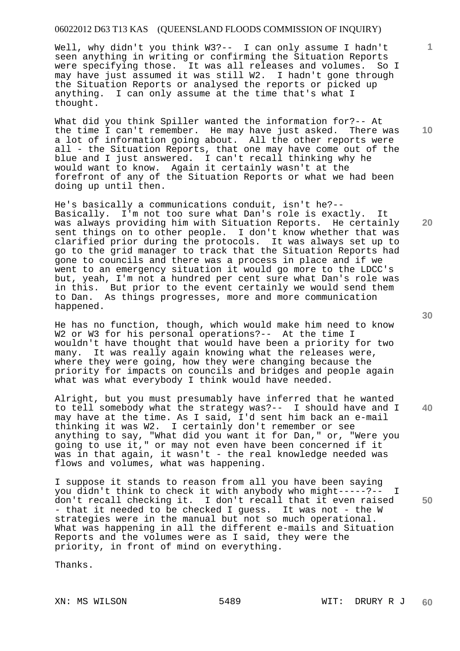Well, why didn't you think W3?-- I can only assume I hadn't seen anything in writing or confirming the Situation Reports were specifying those. It was all releases and volumes. So I may have just assumed it was still W2. I hadn't gone through the Situation Reports or analysed the reports or picked up anything. I can only assume at the time that's what I thought.

What did you think Spiller wanted the information for?-- At the time I can't remember. He may have just asked. There was a lot of information going about. All the other reports were all - the Situation Reports, that one may have come out of the blue and I just answered. I can't recall thinking why he would want to know. Again it certainly wasn't at the forefront of any of the Situation Reports or what we had been doing up until then.

He's basically a communications conduit, isn't he?-- Basically. I'm not too sure what Dan's role is exactly. It was always providing him with Situation Reports. He certainly sent things on to other people. I don't know whether that was clarified prior during the protocols. It was always set up to go to the grid manager to track that the Situation Reports had gone to councils and there was a process in place and if we went to an emergency situation it would go more to the LDCC's but, yeah, I'm not a hundred per cent sure what Dan's role was in this. But prior to the event certainly we would send them to Dan. As things progresses, more and more communication happened.

He has no function, though, which would make him need to know W2 or W3 for his personal operations?-- At the time I wouldn't have thought that would have been a priority for two many. It was really again knowing what the releases were, where they were going, how they were changing because the priority for impacts on councils and bridges and people again what was what everybody I think would have needed.

Alright, but you must presumably have inferred that he wanted to tell somebody what the strategy was?-- I should have and I may have at the time. As I said, I'd sent him back an e-mail thinking it was W2. I certainly don't remember or see anything to say, "What did you want it for Dan," or, "Were you going to use it," or may not even have been concerned if it was in that again, it wasn't - the real knowledge needed was flows and volumes, what was happening.

I suppose it stands to reason from all you have been saying you didn't think to check it with anybody who might-----?-- I don't recall checking it. I don't recall that it even raised - that it needed to be checked I guess. It was not - the W strategies were in the manual but not so much operational. What was happening in all the different e-mails and Situation Reports and the volumes were as I said, they were the priority, in front of mind on everything.

Thanks.

**10** 

**1**

**20** 

**30** 

**40**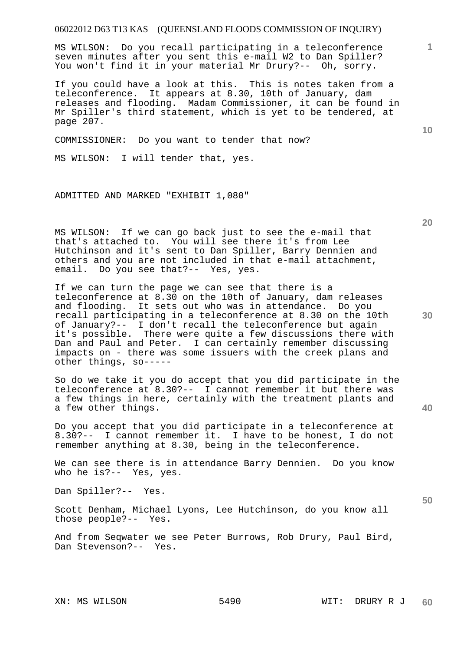MS WILSON: Do you recall participating in a teleconference seven minutes after you sent this e-mail W2 to Dan Spiller? You won't find it in your material Mr Drury?-- Oh, sorry.

If you could have a look at this. This is notes taken from a teleconference. It appears at 8.30, 10th of January, dam releases and flooding. Madam Commissioner, it can be found in Mr Spiller's third statement, which is yet to be tendered, at page 207.

COMMISSIONER: Do you want to tender that now?

MS WILSON: I will tender that, yes.

ADMITTED AND MARKED "EXHIBIT 1,080"

MS WILSON: If we can go back just to see the e-mail that that's attached to. You will see there it's from Lee Hutchinson and it's sent to Dan Spiller, Barry Dennien and others and you are not included in that e-mail attachment, email. Do you see that?-- Yes, yes.

If we can turn the page we can see that there is a teleconference at 8.30 on the 10th of January, dam releases and flooding. It sets out who was in attendance. Do you recall participating in a teleconference at 8.30 on the 10th of January?-- I don't recall the teleconference but again it's possible. There were quite a few discussions there with Dan and Paul and Peter. I can certainly remember discussing impacts on - there was some issuers with the creek plans and other things, so-----

So do we take it you do accept that you did participate in the teleconference at 8.30?-- I cannot remember it but there was a few things in here, certainly with the treatment plants and a few other things.

Do you accept that you did participate in a teleconference at 8.30?-- I cannot remember it. I have to be honest, I do not remember anything at 8.30, being in the teleconference.

We can see there is in attendance Barry Dennien. Do you know who he is?-- Yes, yes.

Dan Spiller?-- Yes.

Scott Denham, Michael Lyons, Lee Hutchinson, do you know all those people?-- Yes.

And from Seqwater we see Peter Burrows, Rob Drury, Paul Bird, Dan Stevenson?-- Yes.

**40** 

**10** 

**1**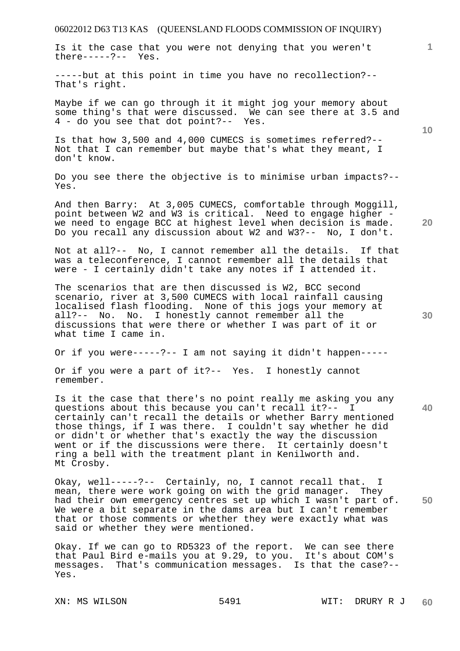Is it the case that you were not denying that you weren't there-----?-- Yes.

-----but at this point in time you have no recollection?-- That's right.

Maybe if we can go through it it might jog your memory about some thing's that were discussed. We can see there at 3.5 and 4 - do you see that dot point?-- Yes.

Is that how 3,500 and 4,000 CUMECS is sometimes referred?-- Not that I can remember but maybe that's what they meant, I don't know.

Do you see there the objective is to minimise urban impacts?-- Yes.

And then Barry: At 3,005 CUMECS, comfortable through Moggill, point between W2 and W3 is critical. Need to engage higher we need to engage BCC at highest level when decision is made. Do you recall any discussion about W2 and W3?-- No, I don't.

Not at all?-- No, I cannot remember all the details. If that was a teleconference, I cannot remember all the details that were - I certainly didn't take any notes if I attended it.

The scenarios that are then discussed is W2, BCC second scenario, river at 3,500 CUMECS with local rainfall causing localised flash flooding. None of this jogs your memory at all?-- No. No. I honestly cannot remember all the discussions that were there or whether I was part of it or what time I came in.

Or if you were-----?-- I am not saying it didn't happen-----

Or if you were a part of it?-- Yes. I honestly cannot remember.

Is it the case that there's no point really me asking you any questions about this because you can't recall it?-- I certainly can't recall the details or whether Barry mentioned those things, if I was there. I couldn't say whether he did or didn't or whether that's exactly the way the discussion went or if the discussions were there. It certainly doesn't ring a bell with the treatment plant in Kenilworth and. Mt Crosby.

Okay, well-----?-- Certainly, no, I cannot recall that. I mean, there were work going on with the grid manager. They had their own emergency centres set up which I wasn't part of. We were a bit separate in the dams area but I can't remember that or those comments or whether they were exactly what was said or whether they were mentioned.

Okay. If we can go to RD5323 of the report. We can see there that Paul Bird e-mails you at 9.29, to you. It's about COM's messages. That's communication messages. Is that the case?-- Yes.

**10** 

**1**

**30** 

**40** 

**50**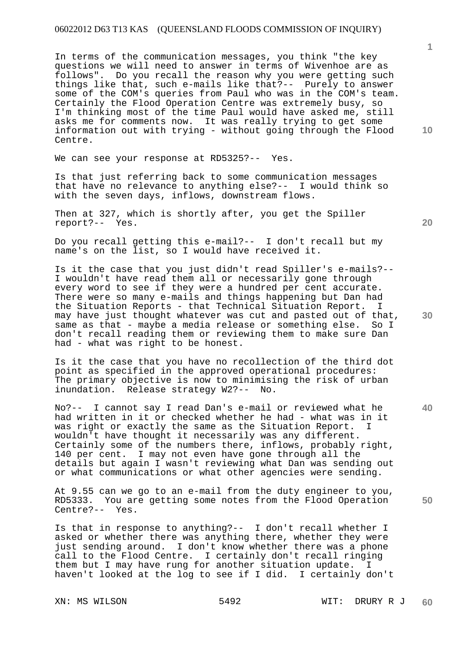In terms of the communication messages, you think "the key questions we will need to answer in terms of Wivenhoe are as follows". Do you recall the reason why you were getting such things like that, such e-mails like that?-- Purely to answer some of the COM's queries from Paul who was in the COM's team. Certainly the Flood Operation Centre was extremely busy, so I'm thinking most of the time Paul would have asked me, still asks me for comments now. It was really trying to get some information out with trying - without going through the Flood Centre.

We can see your response at RD5325?-- Yes.

Is that just referring back to some communication messages that have no relevance to anything else?-- I would think so with the seven days, inflows, downstream flows.

Then at 327, which is shortly after, you get the Spiller report?-- Yes.

Do you recall getting this e-mail?-- I don't recall but my name's on the list, so I would have received it.

Is it the case that you just didn't read Spiller's e-mails?-- I wouldn't have read them all or necessarily gone through every word to see if they were a hundred per cent accurate. There were so many e-mails and things happening but Dan had the Situation Reports - that Technical Situation Report. I may have just thought whatever was cut and pasted out of that, same as that - maybe a media release or something else. So I don't recall reading them or reviewing them to make sure Dan had - what was right to be honest.

Is it the case that you have no recollection of the third dot point as specified in the approved operational procedures: The primary objective is now to minimising the risk of urban inundation. Release strategy W2?-- No.

No?-- I cannot say I read Dan's e-mail or reviewed what he had written in it or checked whether he had - what was in it was right or exactly the same as the Situation Report. wouldn't have thought it necessarily was any different. Certainly some of the numbers there, inflows, probably right, 140 per cent. I may not even have gone through all the details but again I wasn't reviewing what Dan was sending out or what communications or what other agencies were sending.

At 9.55 can we go to an e-mail from the duty engineer to you, RD5333. You are getting some notes from the Flood Operation Centre?-- Yes.

Is that in response to anything?-- I don't recall whether I asked or whether there was anything there, whether they were just sending around. I don't know whether there was a phone call to the Flood Centre. I certainly don't recall ringing them but I may have rung for another situation update. haven't looked at the log to see if I did. I certainly don't

**10** 

**1**

**20** 

**30** 

**50**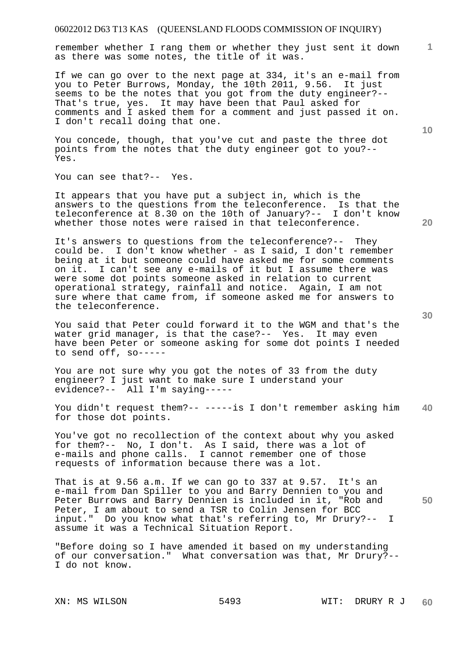remember whether I rang them or whether they just sent it down as there was some notes, the title of it was.

If we can go over to the next page at 334, it's an e-mail from you to Peter Burrows, Monday, the 10th 2011, 9.56. It just seems to be the notes that you got from the duty engineer?-- That's true, yes. It may have been that Paul asked for comments and I asked them for a comment and just passed it on. I don't recall doing that one.

You concede, though, that you've cut and paste the three dot points from the notes that the duty engineer got to you?-- Yes.

You can see that?-- Yes.

It appears that you have put a subject in, which is the answers to the questions from the teleconference. Is that the teleconference at 8.30 on the 10th of January?-- I don't know whether those notes were raised in that teleconference.

It's answers to questions from the teleconference?-- They could be. I don't know whether - as I said, I don't remember being at it but someone could have asked me for some comments on it. I can't see any e-mails of it but I assume there was were some dot points someone asked in relation to current operational strategy, rainfall and notice. Again, I am not sure where that came from, if someone asked me for answers to the teleconference.

You said that Peter could forward it to the WGM and that's the water grid manager, is that the case?-- Yes. It may even have been Peter or someone asking for some dot points I needed to send off, so-----

You are not sure why you got the notes of 33 from the duty engineer? I just want to make sure I understand your evidence?-- All I'm saying-----

**40**  You didn't request them?-- -----is I don't remember asking him for those dot points.

You've got no recollection of the context about why you asked for them?-- No, I don't. As I said, there was a lot of e-mails and phone calls. I cannot remember one of those requests of information because there was a lot.

That is at 9.56 a.m. If we can go to 337 at 9.57. It's an e-mail from Dan Spiller to you and Barry Dennien to you and Peter Burrows and Barry Dennien is included in it, "Rob and Peter, I am about to send a TSR to Colin Jensen for BCC input." Do you know what that's referring to, Mr Drury?-- I assume it was a Technical Situation Report.

"Before doing so I have amended it based on my understanding of our conversation." What conversation was that, Mr Drury?-- I do not know.

**30** 

**20** 

**10** 

**1**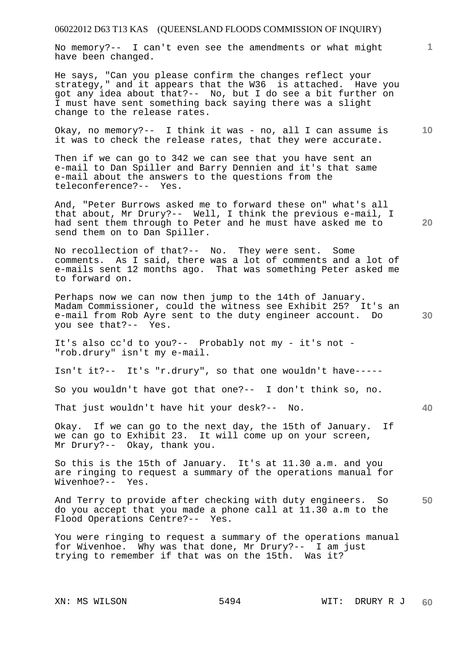No memory?-- I can't even see the amendments or what might have been changed.

He says, "Can you please confirm the changes reflect your strategy," and it appears that the W36 is attached. Have you got any idea about that?-- No, but I do see a bit further on I must have sent something back saying there was a slight change to the release rates.

**10**  Okay, no memory?-- I think it was - no, all I can assume is it was to check the release rates, that they were accurate.

Then if we can go to 342 we can see that you have sent an e-mail to Dan Spiller and Barry Dennien and it's that same e-mail about the answers to the questions from the teleconference?-- Yes.

And, "Peter Burrows asked me to forward these on" what's all that about, Mr Drury?-- Well, I think the previous e-mail, I had sent them through to Peter and he must have asked me to send them on to Dan Spiller.

No recollection of that?-- No. They were sent. Some comments. As I said, there was a lot of comments and a lot of e-mails sent 12 months ago. That was something Peter asked me to forward on.

Perhaps now we can now then jump to the 14th of January. Madam Commissioner, could the witness see Exhibit 25? It's an e-mail from Rob Ayre sent to the duty engineer account. Do you see that?-- Yes.

It's also cc'd to you?-- Probably not my - it's not - "rob.drury" isn't my e-mail.

Isn't it?-- It's "r.drury", so that one wouldn't have-----

So you wouldn't have got that one?-- I don't think so, no.

That just wouldn't have hit your desk?-- No.

Okay. If we can go to the next day, the 15th of January. If we can go to Exhibit 23. It will come up on your screen, Mr Drury?-- Okay, thank you.

So this is the 15th of January. It's at 11.30 a.m. and you are ringing to request a summary of the operations manual for Wivenhoe?-- Yes.

**50**  And Terry to provide after checking with duty engineers. So do you accept that you made a phone call at 11.30 a.m to the Flood Operations Centre?-- Yes.

You were ringing to request a summary of the operations manual for Wivenhoe. Why was that done, Mr Drury?-- I am just trying to remember if that was on the 15th. Was it?

**20** 

**40**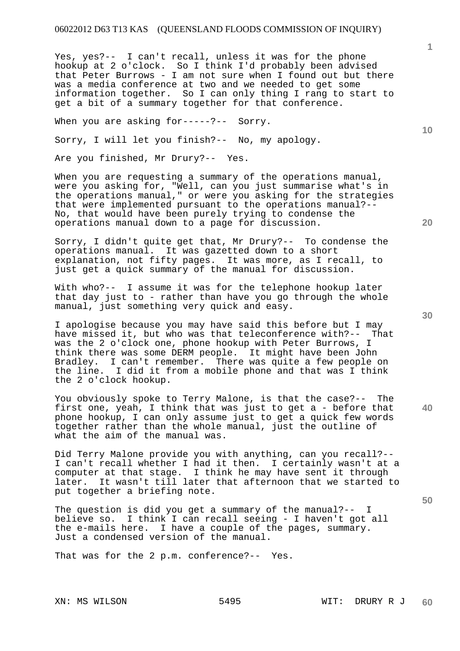Yes, yes?-- I can't recall, unless it was for the phone hookup at 2 o'clock. So I think I'd probably been advised that Peter Burrows - I am not sure when I found out but there was a media conference at two and we needed to get some information together. So I can only thing I rang to start to get a bit of a summary together for that conference.

When you are asking for-----?-- Sorry.

Sorry, I will let you finish?-- No, my apology.

Are you finished, Mr Drury?-- Yes.

When you are requesting a summary of the operations manual, were you asking for, "Well, can you just summarise what's in the operations manual," or were you asking for the strategies that were implemented pursuant to the operations manual?-- No, that would have been purely trying to condense the operations manual down to a page for discussion.

Sorry, I didn't quite get that, Mr Drury?-- To condense the operations manual. It was gazetted down to a short explanation, not fifty pages. It was more, as I recall, to just get a quick summary of the manual for discussion.

With who?-- I assume it was for the telephone hookup later that day just to - rather than have you go through the whole manual, just something very quick and easy.

I apologise because you may have said this before but I may have missed it, but who was that teleconference with?-- That was the 2 o'clock one, phone hookup with Peter Burrows, I think there was some DERM people. It might have been John Bradley. I can't remember. There was quite a few people on the line. I did it from a mobile phone and that was I think the 2 o'clock hookup.

You obviously spoke to Terry Malone, is that the case?-- The first one, yeah, I think that was just to get a - before that phone hookup, I can only assume just to get a quick few words together rather than the whole manual, just the outline of what the aim of the manual was.

Did Terry Malone provide you with anything, can you recall?-- I can't recall whether I had it then. I certainly wasn't at a computer at that stage. I think he may have sent it through later. It wasn't till later that afternoon that we started to put together a briefing note.

The question is did you get a summary of the manual?-- I believe so. I think I can recall seeing - I haven't got all the e-mails here. I have a couple of the pages, summary. Just a condensed version of the manual.

That was for the 2 p.m. conference?-- Yes.

**20** 

**10** 

**1**

**30** 

**40**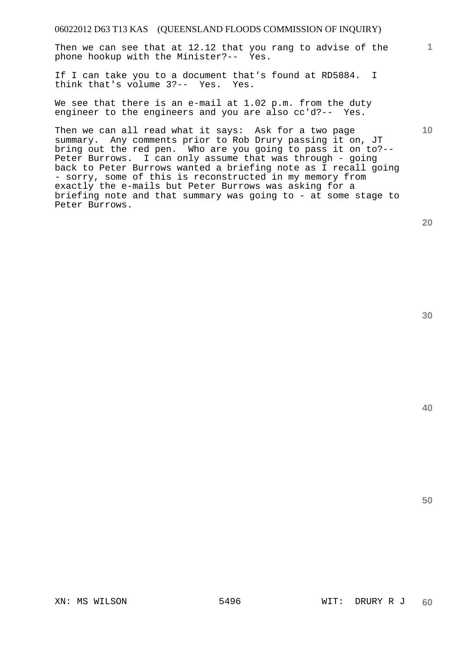Then we can see that at 12.12 that you rang to advise of the phone hookup with the Minister?-- Yes.

If I can take you to a document that's found at RD5884. I think that's volume 3?-- Yes. Yes.

We see that there is an e-mail at 1.02 p.m. from the duty engineer to the engineers and you are also cc'd?-- Yes.

Then we can all read what it says: Ask for a two page summary. Any comments prior to Rob Drury passing it on, JT bring out the red pen. Who are you going to pass it on to?-- Peter Burrows. I can only assume that was through - going back to Peter Burrows wanted a briefing note as I recall going - sorry, some of this is reconstructed in my memory from exactly the e-mails but Peter Burrows was asking for a briefing note and that summary was going to - at some stage to Peter Burrows.

**20** 

**1**

**10** 

**40**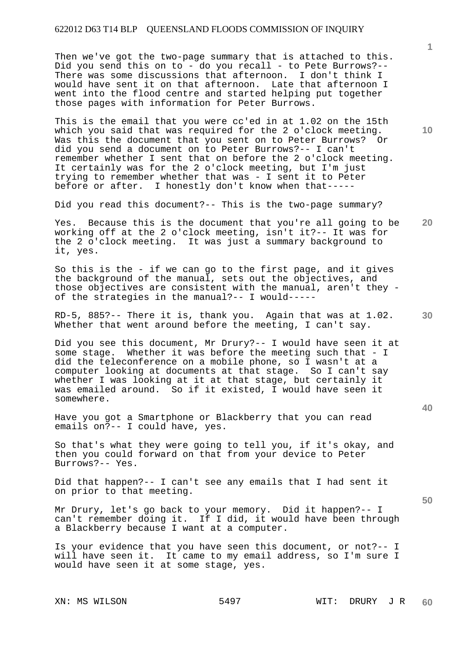Then we've got the two-page summary that is attached to this. Did you send this on to - do you recall - to Pete Burrows?-- There was some discussions that afternoon. I don't think I would have sent it on that afternoon. Late that afternoon I went into the flood centre and started helping put together those pages with information for Peter Burrows.

This is the email that you were cc'ed in at 1.02 on the 15th which you said that was required for the 2 o'clock meeting. Was this the document that you sent on to Peter Burrows? Or did you send a document on to Peter Burrows?-- I can't remember whether I sent that on before the 2 o'clock meeting. It certainly was for the 2 o'clock meeting, but I'm just trying to remember whether that was - I sent it to Peter before or after. I honestly don't know when that-----

Did you read this document?-- This is the two-page summary?

**20**  Yes. Because this is the document that you're all going to be working off at the 2 o'clock meeting, isn't it?-- It was for the 2 o'clock meeting. It was just a summary background to it, yes.

So this is the - if we can go to the first page, and it gives the background of the manual, sets out the objectives, and those objectives are consistent with the manual, aren't they of the strategies in the manual?-- I would-----

RD-5, 885?-- There it is, thank you. Again that was at 1.02. Whether that went around before the meeting, I can't say.

Did you see this document, Mr Drury?-- I would have seen it at some stage. Whether it was before the meeting such that - I did the teleconference on a mobile phone, so I wasn't at a computer looking at documents at that stage. So I can't say whether I was looking at it at that stage, but certainly it was emailed around. So if it existed, I would have seen it somewhere.

Have you got a Smartphone or Blackberry that you can read emails on?-- I could have, yes.

So that's what they were going to tell you, if it's okay, and then you could forward on that from your device to Peter Burrows?-- Yes.

Did that happen?-- I can't see any emails that I had sent it on prior to that meeting.

Mr Drury, let's go back to your memory. Did it happen?-- I can't remember doing it. If I did, it would have been through a Blackberry because I want at a computer.

Is your evidence that you have seen this document, or not?-- I will have seen it. It came to my email address, so I'm sure I would have seen it at some stage, yes.

**10** 

**1**

**40** 

**50**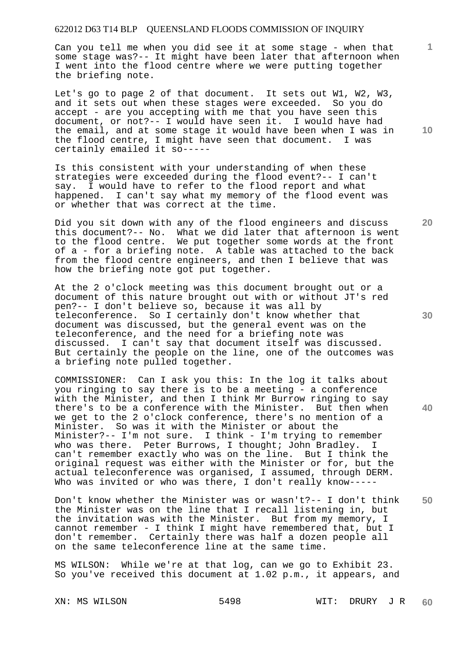Can you tell me when you did see it at some stage - when that some stage was?-- It might have been later that afternoon when I went into the flood centre where we were putting together the briefing note.

Let's go to page 2 of that document. It sets out W1, W2, W3, and it sets out when these stages were exceeded. So you do accept - are you accepting with me that you have seen this document, or not?-- I would have seen it. I would have had the email, and at some stage it would have been when I was in the flood centre, I might have seen that document. I was certainly emailed it so-----

Is this consistent with your understanding of when these strategies were exceeded during the flood event?-- I can't say. I would have to refer to the flood report and what happened. I can't say what my memory of the flood event was or whether that was correct at the time.

Did you sit down with any of the flood engineers and discuss this document?-- No. What we did later that afternoon is went to the flood centre. We put together some words at the front of a - for a briefing note. A table was attached to the back from the flood centre engineers, and then I believe that was how the briefing note got put together.

At the 2 o'clock meeting was this document brought out or a document of this nature brought out with or without JT's red pen?-- I don't believe so, because it was all by teleconference. So I certainly don't know whether that document was discussed, but the general event was on the teleconference, and the need for a briefing note was discussed. I can't say that document itself was discussed. But certainly the people on the line, one of the outcomes was a briefing note pulled together.

COMMISSIONER: Can I ask you this: In the log it talks about you ringing to say there is to be a meeting - a conference with the Minister, and then I think Mr Burrow ringing to say there's to be a conference with the Minister. But then when we get to the 2 o'clock conference, there's no mention of a Minister. So was it with the Minister or about the Minister?-- I'm not sure. I think - I'm trying to remember who was there. Peter Burrows, I thought; John Bradley. I can't remember exactly who was on the line. But I think the original request was either with the Minister or for, but the actual teleconference was organised, I assumed, through DERM. Who was invited or who was there, I don't really know-----

**50**  Don't know whether the Minister was or wasn't?-- I don't think the Minister was on the line that I recall listening in, but the invitation was with the Minister. But from my memory, I cannot remember - I think I might have remembered that, but I don't remember. Certainly there was half a dozen people all on the same teleconference line at the same time.

MS WILSON: While we're at that log, can we go to Exhibit 23. So you've received this document at 1.02 p.m., it appears, and

**10** 

**1**

**30** 

**20**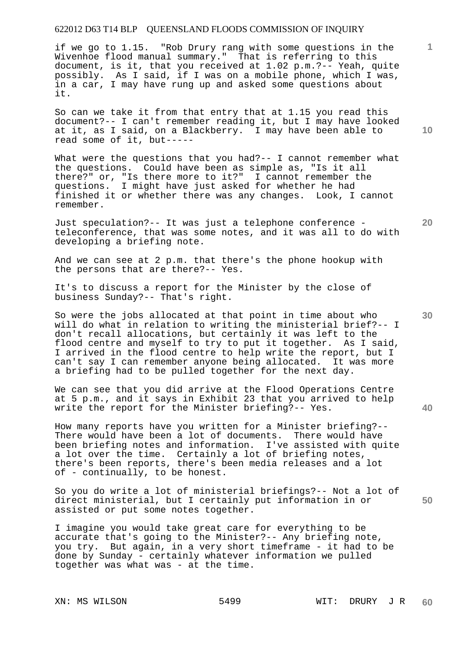if we go to 1.15. "Rob Drury rang with some questions in the Wivenhoe flood manual summary." That is referring to this document, is it, that you received at 1.02 p.m.?-- Yeah, quite possibly. As I said, if I was on a mobile phone, which I was, in a car, I may have rung up and asked some questions about it.

So can we take it from that entry that at 1.15 you read this document?-- I can't remember reading it, but I may have looked at it, as I said, on a Blackberry. I may have been able to read some of it, but-----

What were the questions that you had? -- I cannot remember what the questions. Could have been as simple as, "Is it all there?" or, "Is there more to it?" I cannot remember the questions. I might have just asked for whether he had finished it or whether there was any changes. Look, I cannot remember.

Just speculation?-- It was just a telephone conference teleconference, that was some notes, and it was all to do with developing a briefing note.

And we can see at 2 p.m. that there's the phone hookup with the persons that are there?-- Yes.

It's to discuss a report for the Minister by the close of business Sunday?-- That's right.

So were the jobs allocated at that point in time about who will do what in relation to writing the ministerial brief?-- I don't recall allocations, but certainly it was left to the flood centre and myself to try to put it together. As I said, I arrived in the flood centre to help write the report, but I can't say I can remember anyone being allocated. It was more a briefing had to be pulled together for the next day.

We can see that you did arrive at the Flood Operations Centre at 5 p.m., and it says in Exhibit 23 that you arrived to help write the report for the Minister briefing?-- Yes.

How many reports have you written for a Minister briefing?-- There would have been a lot of documents. There would have been briefing notes and information. I've assisted with quite a lot over the time. Certainly a lot of briefing notes, there's been reports, there's been media releases and a lot of - continually, to be honest.

So you do write a lot of ministerial briefings?-- Not a lot of direct ministerial, but I certainly put information in or assisted or put some notes together.

I imagine you would take great care for everything to be accurate that's going to the Minister?-- Any briefing note, you try. But again, in a very short timeframe - it had to be done by Sunday - certainly whatever information we pulled together was what was - at the time.

**10** 

**1**

**30** 

**20** 

**40**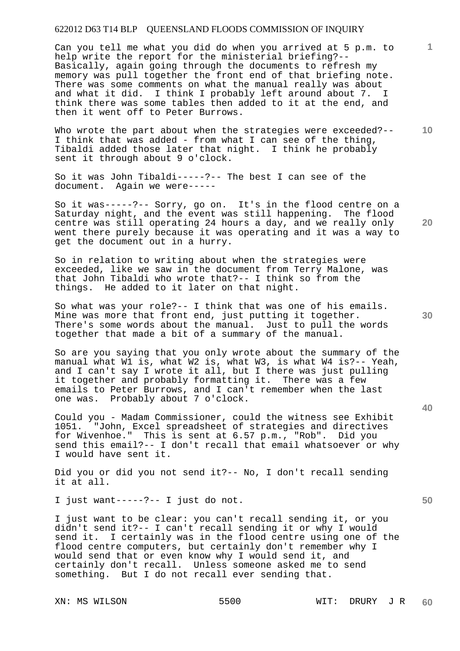Can you tell me what you did do when you arrived at 5 p.m. to help write the report for the ministerial briefing?-- Basically, again going through the documents to refresh my memory was pull together the front end of that briefing note. There was some comments on what the manual really was about and what it did. I think I probably left around about 7. I think there was some tables then added to it at the end, and then it went off to Peter Burrows.

**10**  Who wrote the part about when the strategies were exceeded?--I think that was added - from what I can see of the thing, Tibaldi added those later that night. I think he probably sent it through about 9 o'clock.

So it was John Tibaldi-----?-- The best I can see of the document. Again we were-----

So it was-----?-- Sorry, go on. It's in the flood centre on a Saturday night, and the event was still happening. The flood centre was still operating 24 hours a day, and we really only went there purely because it was operating and it was a way to get the document out in a hurry.

So in relation to writing about when the strategies were exceeded, like we saw in the document from Terry Malone, was that John Tibaldi who wrote that?-- I think so from the things. He added to it later on that night.

So what was your role?-- I think that was one of his emails. Mine was more that front end, just putting it together. There's some words about the manual. Just to pull the words together that made a bit of a summary of the manual.

So are you saying that you only wrote about the summary of the manual what W1 is, what W2 is, what W3, is what W4 is?-- Yeah, and I can't say I wrote it all, but I there was just pulling it together and probably formatting it. There was a few emails to Peter Burrows, and I can't remember when the last one was. Probably about 7 o'clock.

Could you - Madam Commissioner, could the witness see Exhibit 1051. "John, Excel spreadsheet of strategies and directives for Wivenhoe." This is sent at 6.57 p.m., "Rob". Did you send this email?-- I don't recall that email whatsoever or why I would have sent it.

Did you or did you not send it?-- No, I don't recall sending it at all.

I just want-----?-- I just do not.

I just want to be clear: you can't recall sending it, or you didn't send it?-- I can't recall sending it or why I would send it. I certainly was in the flood centre using one of the flood centre computers, but certainly don't remember why I would send that or even know why I would send it, and certainly don't recall. Unless someone asked me to send something. But I do not recall ever sending that.

**20** 

**30** 

**1**

**40**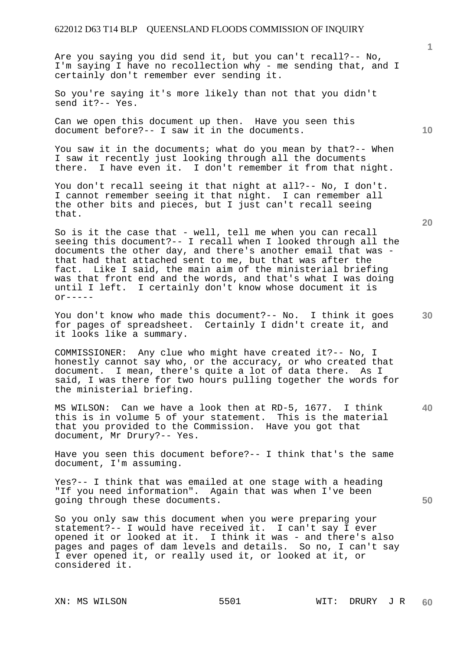Are you saying you did send it, but you can't recall?-- No, I'm saying I have no recollection why - me sending that, and I certainly don't remember ever sending it.

So you're saying it's more likely than not that you didn't send it?-- Yes.

Can we open this document up then. Have you seen this document before?-- I saw it in the documents.

You saw it in the documents; what do you mean by that?-- When I saw it recently just looking through all the documents there. I have even it. I don't remember it from that night.

You don't recall seeing it that night at all?-- No, I don't. I cannot remember seeing it that night. I can remember all the other bits and pieces, but I just can't recall seeing that.

So is it the case that - well, tell me when you can recall seeing this document?-- I recall when I looked through all the documents the other day, and there's another email that was that had that attached sent to me, but that was after the fact. Like I said, the main aim of the ministerial briefing was that front end and the words, and that's what I was doing until I left. I certainly don't know whose document it is  $OY$ -----

You don't know who made this document?-- No. I think it goes for pages of spreadsheet. Certainly I didn't create it, and it looks like a summary.

COMMISSIONER: Any clue who might have created it?-- No, I honestly cannot say who, or the accuracy, or who created that document. I mean, there's quite a lot of data there. As I said, I was there for two hours pulling together the words for the ministerial briefing.

MS WILSON: Can we have a look then at RD-5, 1677. I think this is in volume 5 of your statement. This is the material that you provided to the Commission. Have you got that document, Mr Drury?-- Yes.

Have you seen this document before?-- I think that's the same document, I'm assuming.

Yes?-- I think that was emailed at one stage with a heading "If you need information". Again that was when I've been going through these documents.

So you only saw this document when you were preparing your statement?-- I would have received it. I can't say I ever opened it or looked at it. I think it was - and there's also pages and pages of dam levels and details. So no, I can't say I ever opened it, or really used it, or looked at it, or considered it.

**20** 

**40** 

**50** 

**10**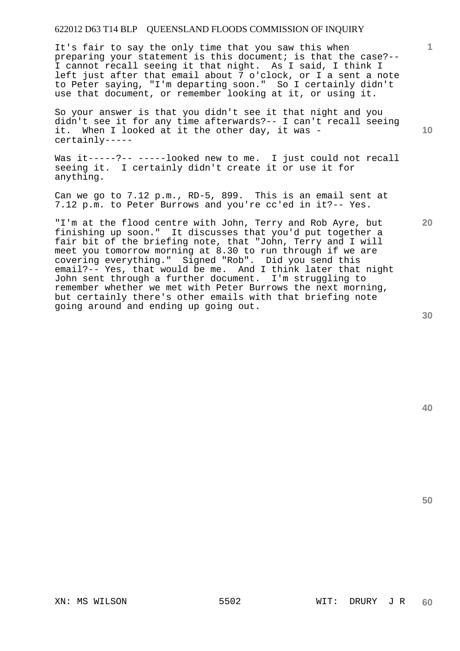It's fair to say the only time that you saw this when preparing your statement is this document; is that the case?-- I cannot recall seeing it that night. As I said, I think I left just after that email about 7 o'clock, or I a sent a note to Peter saying, "I'm departing soon." So I certainly didn't use that document, or remember looking at it, or using it.

So your answer is that you didn't see it that night and you didn't see it for any time afterwards?-- I can't recall seeing it. When I looked at it the other day, it was certainly-----

Was it-----?-- -----looked new to me. I just could not recall seeing it. I certainly didn't create it or use it for anything.

Can we go to 7.12 p.m., RD-5, 899. This is an email sent at 7.12 p.m. to Peter Burrows and you're cc'ed in it?-- Yes.

"I'm at the flood centre with John, Terry and Rob Ayre, but finishing up soon." It discusses that you'd put together a fair bit of the briefing note, that "John, Terry and I will meet you tomorrow morning at 8.30 to run through if we are covering everything." Signed "Rob". Did you send this email?-- Yes, that would be me. And I think later that night John sent through a further document. I'm struggling to remember whether we met with Peter Burrows the next morning, but certainly there's other emails with that briefing note going around and ending up going out.

**20** 

**1**

**10**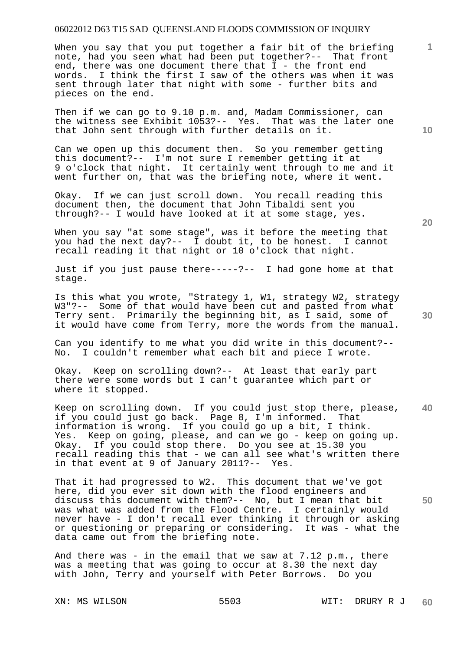When you say that you put together a fair bit of the briefing note, had you seen what had been put together?-- That front end, there was one document there that I - the front end words. I think the first I saw of the others was when it was sent through later that night with some - further bits and pieces on the end.

Then if we can go to 9.10 p.m. and, Madam Commissioner, can the witness see Exhibit 1053?-- Yes. That was the later one that John sent through with further details on it.

Can we open up this document then. So you remember getting this document?-- I'm not sure I remember getting it at 9 o'clock that night. It certainly went through to me and it went further on, that was the briefing note, where it went.

Okay. If we can just scroll down. You recall reading this document then, the document that John Tibaldi sent you through?-- I would have looked at it at some stage, yes.

When you say "at some stage", was it before the meeting that you had the next day?-- I doubt it, to be honest. I cannot recall reading it that night or 10 o'clock that night.

Just if you just pause there-----?-- I had gone home at that stage.

Is this what you wrote, "Strategy 1, W1, strategy W2, strategy W3"?-- Some of that would have been cut and pasted from what Terry sent. Primarily the beginning bit, as I said, some of it would have come from Terry, more the words from the manual.

Can you identify to me what you did write in this document?-- No. I couldn't remember what each bit and piece I wrote.

Okay. Keep on scrolling down?-- At least that early part there were some words but I can't guarantee which part or where it stopped.

**40**  Keep on scrolling down. If you could just stop there, please, if you could just go back. Page 8, I'm informed. That information is wrong. If you could go up a bit, I think. Yes. Keep on going, please, and can we go - keep on going up. Okay. If you could stop there. Do you see at 15.30 you recall reading this that - we can all see what's written there in that event at 9 of January 2011?-- Yes.

**50**  That it had progressed to W2. This document that we've got here, did you ever sit down with the flood engineers and discuss this document with them?-- No, but I mean that bit was what was added from the Flood Centre. I certainly would never have - I don't recall ever thinking it through or asking or questioning or preparing or considering. It was - what the data came out from the briefing note.

And there was - in the email that we saw at  $7.12$  p.m., there was a meeting that was going to occur at 8.30 the next day with John, Terry and yourself with Peter Borrows. Do you

**20** 

**10** 

**1**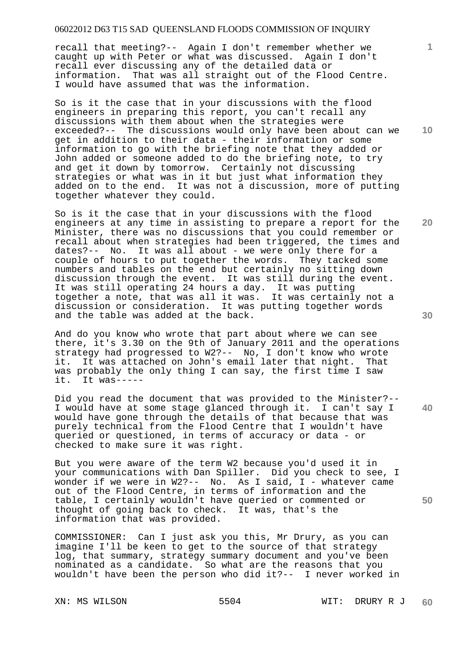recall that meeting?-- Again I don't remember whether we caught up with Peter or what was discussed. Again I don't recall ever discussing any of the detailed data or information. That was all straight out of the Flood Centre. I would have assumed that was the information.

So is it the case that in your discussions with the flood engineers in preparing this report, you can't recall any discussions with them about when the strategies were exceeded?-- The discussions would only have been about can we get in addition to their data - their information or some information to go with the briefing note that they added or John added or someone added to do the briefing note, to try and get it down by tomorrow. Certainly not discussing strategies or what was in it but just what information they added on to the end. It was not a discussion, more of putting together whatever they could.

So is it the case that in your discussions with the flood engineers at any time in assisting to prepare a report for the Minister, there was no discussions that you could remember or recall about when strategies had been triggered, the times and dates?-- No. It was all about - we were only there for a couple of hours to put together the words. They tacked some numbers and tables on the end but certainly no sitting down discussion through the event. It was still during the event. It was still operating 24 hours a day. It was putting together a note, that was all it was. It was certainly not a discussion or consideration. It was putting together words and the table was added at the back.

And do you know who wrote that part about where we can see there, it's 3.30 on the 9th of January 2011 and the operations strategy had progressed to W2?-- No, I don't know who wrote it. It was attached on John's email later that night. That was probably the only thing I can say, the first time I saw it. It was-----

Did you read the document that was provided to the Minister?-- I would have at some stage glanced through it. I can't say I would have gone through the details of that because that was purely technical from the Flood Centre that I wouldn't have queried or questioned, in terms of accuracy or data - or checked to make sure it was right.

But you were aware of the term W2 because you'd used it in your communications with Dan Spiller. Did you check to see, I wonder if we were in W2?-- No. As I said, I - whatever came out of the Flood Centre, in terms of information and the table, I certainly wouldn't have queried or commented or thought of going back to check. It was, that's the information that was provided.

COMMISSIONER: Can I just ask you this, Mr Drury, as you can imagine I'll be keen to get to the source of that strategy log, that summary, strategy summary document and you've been nominated as a candidate. So what are the reasons that you wouldn't have been the person who did it?-- I never worked in

**20** 

**40** 

**50** 

**10**